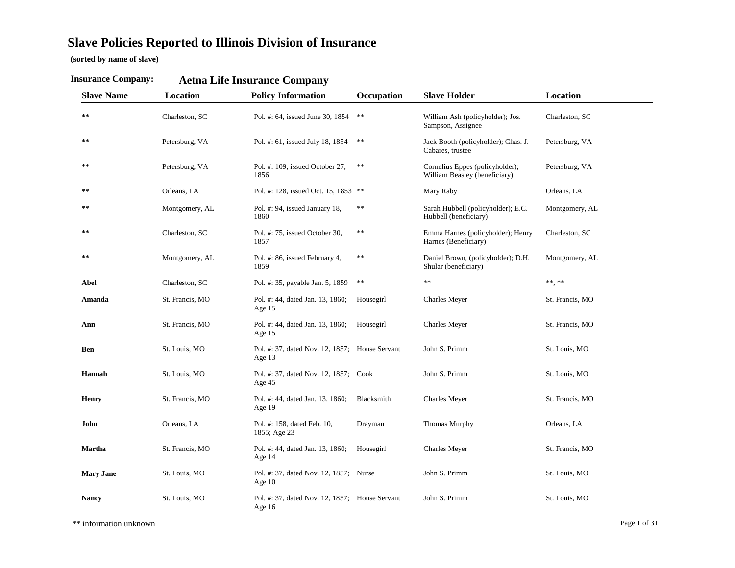# **Slave Policies Reported to Illinois Division of Insurance**

**(sorted by name of slave)**

| <b>Slave Name</b> | Location        | <b>Policy Information</b>                                | Occupation | <b>Slave Holder</b>                                              | Location        |
|-------------------|-----------------|----------------------------------------------------------|------------|------------------------------------------------------------------|-----------------|
| **                | Charleston, SC  | Pol. #: 64, issued June 30, 1854                         | $\ast\ast$ | William Ash (policyholder); Jos.<br>Sampson, Assignee            | Charleston, SC  |
| $***$             | Petersburg, VA  | Pol. #: 61, issued July 18, 1854                         | $**$       | Jack Booth (policyholder); Chas. J.<br>Cabares, trustee          | Petersburg, VA  |
| **                | Petersburg, VA  | Pol. #: 109, issued October 27,<br>1856                  | **         | Cornelius Eppes (policyholder);<br>William Beasley (beneficiary) | Petersburg, VA  |
| **                | Orleans, LA     | Pol. #: 128, issued Oct. 15, 1853 **                     |            | Mary Raby                                                        | Orleans, LA     |
| **                | Montgomery, AL  | Pol. #: 94, issued January 18,<br>1860                   | $\ast\ast$ | Sarah Hubbell (policyholder); E.C.<br>Hubbell (beneficiary)      | Montgomery, AL  |
| **                | Charleston, SC  | Pol. #: 75, issued October 30,<br>1857                   | **         | Emma Harnes (policyholder); Henry<br>Harnes (Beneficiary)        | Charleston, SC  |
| **                | Montgomery, AL  | Pol. #: 86, issued February 4,<br>1859                   | **         | Daniel Brown, (policyholder); D.H.<br>Shular (beneficiary)       | Montgomery, AL  |
| Abel              | Charleston, SC  | Pol. #: 35, payable Jan. 5, 1859                         | **         | $\ast$                                                           | ** **           |
| Amanda            | St. Francis, MO | Pol. #: 44, dated Jan. 13, 1860;<br>Age 15               | Housegirl  | <b>Charles Meyer</b>                                             | St. Francis, MO |
| Ann               | St. Francis, MO | Pol. #: 44, dated Jan. 13, 1860;<br>Age 15               | Housegirl  | <b>Charles Meyer</b>                                             | St. Francis, MO |
| Ben               | St. Louis, MO   | Pol. #: 37, dated Nov. 12, 1857; House Servant<br>Age 13 |            | John S. Primm                                                    | St. Louis, MO   |
| Hannah            | St. Louis, MO   | Pol. #: 37, dated Nov. 12, 1857; Cook<br>Age 45          |            | John S. Primm                                                    | St. Louis, MO   |
| <b>Henry</b>      | St. Francis, MO | Pol. #: 44, dated Jan. 13, 1860;<br>Age 19               | Blacksmith | <b>Charles Meyer</b>                                             | St. Francis, MO |
| John              | Orleans, LA     | Pol. #: 158, dated Feb. 10,<br>1855; Age 23              | Drayman    | Thomas Murphy                                                    | Orleans, LA     |
| <b>Martha</b>     | St. Francis, MO | Pol. #: 44, dated Jan. 13, 1860;<br>Age 14               | Housegirl  | Charles Meyer                                                    | St. Francis, MO |
| <b>Mary Jane</b>  | St. Louis, MO   | Pol. #: 37, dated Nov. 12, 1857; Nurse<br>Age $10$       |            | John S. Primm                                                    | St. Louis, MO   |
| <b>Nancy</b>      | St. Louis, MO   | Pol. #: 37, dated Nov. 12, 1857; House Servant<br>Age 16 |            | John S. Primm                                                    | St. Louis, MO   |

#### **Insurance Company: Aetna Life Insurance Com pan y**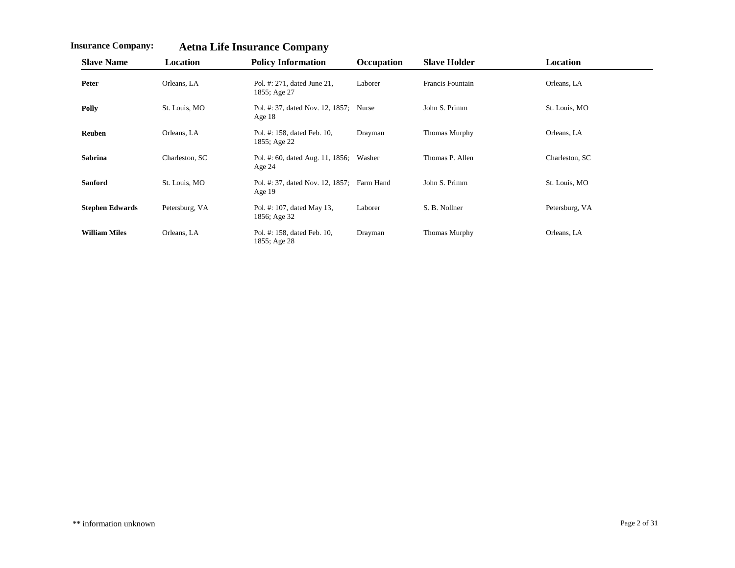| <b>Slave Name</b>      | <b>Location</b> | <b>Policy Information</b>                              | <b>Occupation</b> | <b>Slave Holder</b>     | Location       |
|------------------------|-----------------|--------------------------------------------------------|-------------------|-------------------------|----------------|
| Peter                  | Orleans, LA     | Pol. #: 271, dated June 21,<br>1855; Age 27            | Laborer           | <b>Francis Fountain</b> | Orleans, LA    |
| Polly                  | St. Louis, MO   | Pol. #: 37, dated Nov. 12, 1857; Nurse<br>Age $18$     |                   | John S. Primm           | St. Louis, MO  |
| <b>Reuben</b>          | Orleans, LA     | Pol. #: 158, dated Feb. 10,<br>1855; Age 22            | Drayman           | Thomas Murphy           | Orleans, LA    |
| <b>Sabrina</b>         | Charleston, SC  | Pol. #: 60, dated Aug. 11, 1856; Washer<br>Age $24$    |                   | Thomas P. Allen         | Charleston, SC |
| <b>Sanford</b>         | St. Louis, MO   | Pol. #: 37, dated Nov. 12, 1857; Farm Hand<br>Age $19$ |                   | John S. Primm           | St. Louis, MO  |
| <b>Stephen Edwards</b> | Petersburg, VA  | Pol. #: 107, dated May 13,<br>1856; Age 32             | Laborer           | S. B. Nollner           | Petersburg, VA |
| <b>William Miles</b>   | Orleans, LA     | Pol. #: 158, dated Feb. 10,<br>1855; Age 28            | Drayman           | Thomas Murphy           | Orleans, LA    |

**Insurance Company: Aetna Life Insurance Company**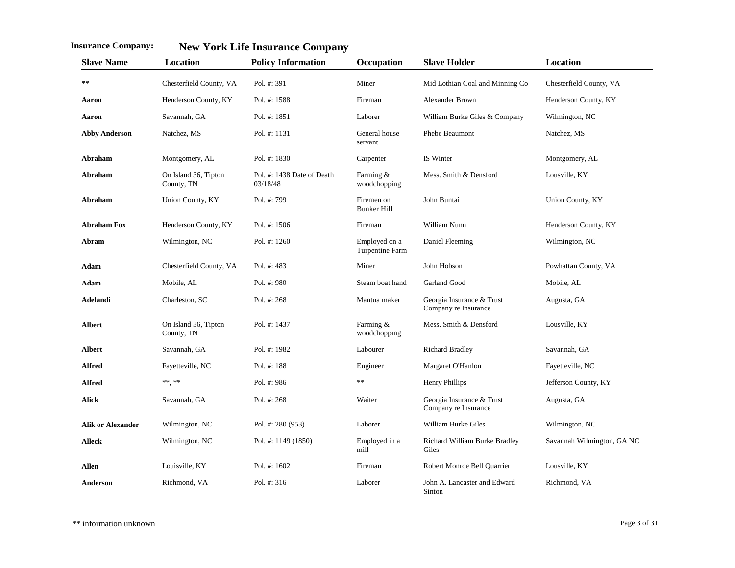| <b>Slave Name</b>        | <b>Location</b>                    | <b>Policy Information</b>              | Occupation                       | <b>Slave Holder</b>                               | Location                   |
|--------------------------|------------------------------------|----------------------------------------|----------------------------------|---------------------------------------------------|----------------------------|
| $\ast\ast$               | Chesterfield County, VA            | Pol. #: 391                            | Miner                            | Mid Lothian Coal and Minning Co                   | Chesterfield County, VA    |
| Aaron                    | Henderson County, KY               | Pol. #: 1588                           | Fireman                          | Alexander Brown                                   | Henderson County, KY       |
| Aaron                    | Savannah, GA                       | Pol. #: 1851                           | Laborer                          | William Burke Giles & Company                     | Wilmington, NC             |
| <b>Abby Anderson</b>     | Natchez, MS                        | Pol. #: 1131                           | General house<br>servant         | Phebe Beaumont                                    | Natchez, MS                |
| Abraham                  | Montgomery, AL                     | Pol. #: 1830                           | Carpenter                        | IS Winter                                         | Montgomery, AL             |
| Abraham                  | On Island 36, Tipton<br>County, TN | Pol. #: 1438 Date of Death<br>03/18/48 | Farming &<br>woodchopping        | Mess. Smith & Densford                            | Lousville, KY              |
| Abraham                  | Union County, KY                   | Pol. #: 799                            | Firemen on<br><b>Bunker Hill</b> | John Buntai                                       | Union County, KY           |
| <b>Abraham Fox</b>       | Henderson County, KY               | Pol. $\#: 1506$                        | Fireman                          | William Nunn                                      | Henderson County, KY       |
| Abram                    | Wilmington, NC                     | Pol. #: 1260                           | Employed on a<br>Turpentine Farm | Daniel Fleeming                                   | Wilmington, NC             |
| Adam                     | Chesterfield County, VA            | Pol. #: 483                            | Miner                            | John Hobson                                       | Powhattan County, VA       |
| Adam                     | Mobile, AL                         | Pol. #: 980                            | Steam boat hand                  | Garland Good                                      | Mobile, AL                 |
| Adelandi                 | Charleston, SC                     | Pol. #: 268                            | Mantua maker                     | Georgia Insurance & Trust<br>Company re Insurance | Augusta, GA                |
| <b>Albert</b>            | On Island 36, Tipton<br>County, TN | Pol. #: 1437                           | Farming &<br>woodchopping        | Mess. Smith & Densford                            | Lousville, KY              |
| <b>Albert</b>            | Savannah, GA                       | Pol. #: 1982                           | Labourer                         | <b>Richard Bradley</b>                            | Savannah, GA               |
| Alfred                   | Fayetteville, NC                   | Pol. #: 188                            | Engineer                         | Margaret O'Hanlon                                 | Fayetteville, NC           |
| <b>Alfred</b>            | $\ast\ast,\,\ast\ast$              | Pol. #: 986                            | $\ast$                           | <b>Henry Phillips</b>                             | Jefferson County, KY       |
| <b>Alick</b>             | Savannah, GA                       | Pol. #: 268                            | Waiter                           | Georgia Insurance & Trust<br>Company re Insurance | Augusta, GA                |
| <b>Alik or Alexander</b> | Wilmington, NC                     | Pol. #: 280 (953)                      | Laborer                          | William Burke Giles                               | Wilmington, NC             |
| <b>Alleck</b>            | Wilmington, NC                     | Pol. #: 1149 (1850)                    | Employed in a<br>mill            | Richard William Burke Bradley<br>Giles            | Savannah Wilmington, GA NC |
| <b>Allen</b>             | Louisville, KY                     | Pol. #: 1602                           | Fireman                          | Robert Monroe Bell Quarrier                       | Lousville, KY              |
| Anderson                 | Richmond, VA                       | Pol. #: 316                            | Laborer                          | John A. Lancaster and Edward<br>Sinton            | Richmond, VA               |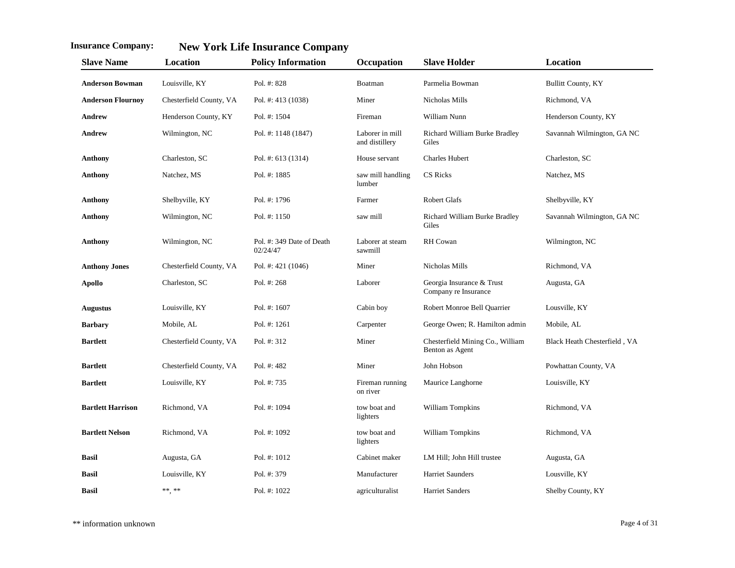| <b>Slave Name</b>        | Location                | <b>Policy Information</b>             | Occupation                        | <b>Slave Holder</b>                                 | Location                     |
|--------------------------|-------------------------|---------------------------------------|-----------------------------------|-----------------------------------------------------|------------------------------|
| <b>Anderson Bowman</b>   | Louisville, KY          | Pol. #: 828                           | Boatman                           | Parmelia Bowman                                     | <b>Bullitt County, KY</b>    |
| <b>Anderson Flournoy</b> | Chesterfield County, VA | Pol. #: 413 (1038)                    | Miner                             | Nicholas Mills                                      | Richmond, VA                 |
| Andrew                   | Henderson County, KY    | Pol. #: 1504                          | Fireman                           | William Nunn                                        | Henderson County, KY         |
| <b>Andrew</b>            | Wilmington, NC          | Pol. #: 1148 (1847)                   | Laborer in mill<br>and distillery | Richard William Burke Bradley<br>Giles              | Savannah Wilmington, GA NC   |
| <b>Anthony</b>           | Charleston, SC          | Pol. #: 613 (1314)                    | House servant                     | <b>Charles Hubert</b>                               | Charleston, SC               |
| <b>Anthony</b>           | Natchez, MS             | Pol. #: 1885                          | saw mill handling<br>lumber       | CS Ricks                                            | Natchez, MS                  |
| <b>Anthony</b>           | Shelbyville, KY         | Pol. #: 1796                          | Farmer                            | <b>Robert Glafs</b>                                 | Shelbyville, KY              |
| <b>Anthony</b>           | Wilmington, NC          | Pol. #: 1150                          | saw mill                          | Richard William Burke Bradley<br>Giles              | Savannah Wilmington, GA NC   |
| <b>Anthony</b>           | Wilmington, NC          | Pol. #: 349 Date of Death<br>02/24/47 | Laborer at steam<br>sawmill       | RH Cowan                                            | Wilmington, NC               |
| <b>Anthony Jones</b>     | Chesterfield County, VA | Pol. #: 421 (1046)                    | Miner                             | Nicholas Mills                                      | Richmond, VA                 |
| <b>Apollo</b>            | Charleston, SC          | Pol. #: 268                           | Laborer                           | Georgia Insurance & Trust<br>Company re Insurance   | Augusta, GA                  |
| <b>Augustus</b>          | Louisville, KY          | Pol. #: 1607                          | Cabin boy                         | Robert Monroe Bell Quarrier                         | Lousville, KY                |
| <b>Barbary</b>           | Mobile, AL              | Pol. #: 1261                          | Carpenter                         | George Owen; R. Hamilton admin                      | Mobile, AL                   |
| <b>Bartlett</b>          | Chesterfield County, VA | Pol. #: 312                           | Miner                             | Chesterfield Mining Co., William<br>Benton as Agent | Black Heath Chesterfield, VA |
| <b>Bartlett</b>          | Chesterfield County, VA | Pol. #: 482                           | Miner                             | John Hobson                                         | Powhattan County, VA         |
| <b>Bartlett</b>          | Louisville, KY          | Pol. #: 735                           | Fireman running<br>on river       | Maurice Langhorne                                   | Louisville, KY               |
| <b>Bartlett Harrison</b> | Richmond, VA            | Pol. #: 1094                          | tow boat and<br>lighters          | William Tompkins                                    | Richmond, VA                 |
| <b>Bartlett Nelson</b>   | Richmond, VA            | Pol. #: 1092                          | tow boat and<br>lighters          | William Tompkins                                    | Richmond, VA                 |
| <b>Basil</b>             | Augusta, GA             | Pol. #: 1012                          | Cabinet maker                     | LM Hill; John Hill trustee                          | Augusta, GA                  |
| <b>Basil</b>             | Louisville, KY          | Pol. #: 379                           | Manufacturer                      | <b>Harriet Saunders</b>                             | Lousville, KY                |
| <b>Basil</b>             | ** **                   | Pol. #: 1022                          | agriculturalist                   | <b>Harriet Sanders</b>                              | Shelby County, KY            |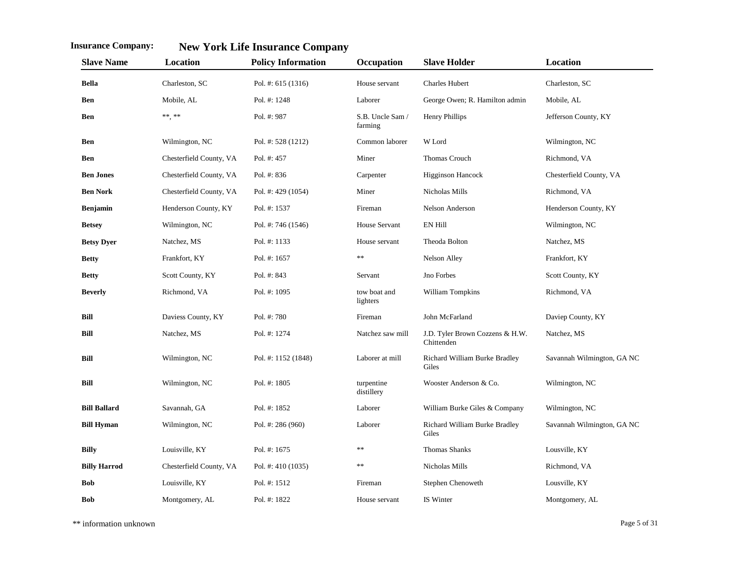| <b>Slave Name</b>   | Location                | <b>Policy Information</b> | Occupation                  | <b>Slave Holder</b>                           | Location                   |
|---------------------|-------------------------|---------------------------|-----------------------------|-----------------------------------------------|----------------------------|
| <b>Bella</b>        | Charleston, SC          | Pol. #: 615 (1316)        | House servant               | <b>Charles Hubert</b>                         | Charleston, SC             |
| Ben                 | Mobile, AL              | Pol. #: 1248              | Laborer                     | George Owen; R. Hamilton admin                | Mobile, AL                 |
| Ben                 | ** **                   | Pol. #: 987               | S.B. Uncle Sam /<br>farming | Henry Phillips                                | Jefferson County, KY       |
| Ben                 | Wilmington, NC          | Pol. #: 528 (1212)        | Common laborer              | W Lord                                        | Wilmington, NC             |
| Ben                 | Chesterfield County, VA | Pol. #: 457               | Miner                       | Thomas Crouch                                 | Richmond, VA               |
| <b>Ben Jones</b>    | Chesterfield County, VA | Pol. #: 836               | Carpenter                   | <b>Higginson Hancock</b>                      | Chesterfield County, VA    |
| <b>Ben Nork</b>     | Chesterfield County, VA | Pol. #: 429 (1054)        | Miner                       | Nicholas Mills                                | Richmond, VA               |
| <b>Benjamin</b>     | Henderson County, KY    | Pol. #: 1537              | Fireman                     | Nelson Anderson                               | Henderson County, KY       |
| <b>Betsey</b>       | Wilmington, NC          | Pol. #: 746 (1546)        | House Servant               | EN Hill                                       | Wilmington, NC             |
| <b>Betsy Dyer</b>   | Natchez, MS             | Pol. #: 1133              | House servant               | Theoda Bolton                                 | Natchez, MS                |
| <b>Betty</b>        | Frankfort, KY           | Pol. #: 1657              | **                          | Nelson Alley                                  | Frankfort, KY              |
| <b>Betty</b>        | Scott County, KY        | Pol. #: 843               | Servant                     | Jno Forbes                                    | Scott County, KY           |
| <b>Beverly</b>      | Richmond, VA            | Pol. #: 1095              | tow boat and<br>lighters    | William Tompkins                              | Richmond, VA               |
| Bill                | Daviess County, KY      | Pol. #: 780               | Fireman                     | John McFarland                                | Daviep County, KY          |
| <b>Bill</b>         | Natchez, MS             | Pol. #: 1274              | Natchez saw mill            | J.D. Tyler Brown Cozzens & H.W.<br>Chittenden | Natchez, MS                |
| Bill                | Wilmington, NC          | Pol. #: 1152 (1848)       | Laborer at mill             | Richard William Burke Bradley<br>Giles        | Savannah Wilmington, GA NC |
| Bill                | Wilmington, NC          | Pol. #: 1805              | turpentine<br>distillery    | Wooster Anderson & Co.                        | Wilmington, NC             |
| <b>Bill Ballard</b> | Savannah, GA            | Pol. #: 1852              | Laborer                     | William Burke Giles & Company                 | Wilmington, NC             |
| <b>Bill Hyman</b>   | Wilmington, NC          | Pol. #: 286 (960)         | Laborer                     | Richard William Burke Bradley<br>Giles        | Savannah Wilmington, GA NC |
| <b>Billy</b>        | Louisville, KY          | Pol. #: $1675$            | **                          | Thomas Shanks                                 | Lousville, KY              |
| <b>Billy Harrod</b> | Chesterfield County, VA | Pol. #: 410 (1035)        | $**$                        | Nicholas Mills                                | Richmond, VA               |
| <b>Bob</b>          | Louisville, KY          | Pol. #: 1512              | Fireman                     | Stephen Chenoweth                             | Lousville, KY              |
| <b>Bob</b>          | Montgomery, AL          | Pol. #: 1822              | House servant               | IS Winter                                     | Montgomery, AL             |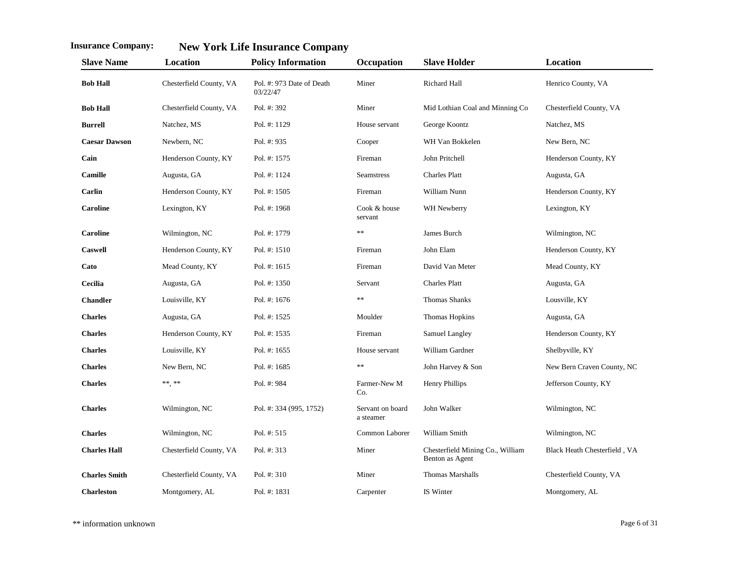| <b>Slave Name</b>    | Location                | <b>Policy Information</b>             | Occupation                    | <b>Slave Holder</b>                                 | Location                     |
|----------------------|-------------------------|---------------------------------------|-------------------------------|-----------------------------------------------------|------------------------------|
| <b>Bob Hall</b>      | Chesterfield County, VA | Pol. #: 973 Date of Death<br>03/22/47 | Miner                         | <b>Richard Hall</b>                                 | Henrico County, VA           |
| <b>Bob Hall</b>      | Chesterfield County, VA | Pol. #: 392                           | Miner                         | Mid Lothian Coal and Minning Co                     | Chesterfield County, VA      |
| <b>Burrell</b>       | Natchez, MS             | Pol. #: 1129                          | House servant                 | George Koontz                                       | Natchez, MS                  |
| <b>Caesar Dawson</b> | Newbern, NC             | Pol. #: 935                           | Cooper                        | WH Van Bokkelen                                     | New Bern, NC                 |
| Cain                 | Henderson County, KY    | Pol. #: 1575                          | Fireman                       | John Pritchell                                      | Henderson County, KY         |
| Camille              | Augusta, GA             | Pol. #: 1124                          | <b>Seamstress</b>             | <b>Charles Platt</b>                                | Augusta, GA                  |
| Carlin               | Henderson County, KY    | Pol. $\#: 1505$                       | Fireman                       | William Nunn                                        | Henderson County, KY         |
| <b>Caroline</b>      | Lexington, KY           | Pol. #: 1968                          | Cook & house<br>servant       | WH Newberry                                         | Lexington, KY                |
| <b>Caroline</b>      | Wilmington, NC          | Pol. #: 1779                          | **                            | James Burch                                         | Wilmington, NC               |
| <b>Caswell</b>       | Henderson County, KY    | Pol. $#: 1510$                        | Fireman                       | John Elam                                           | Henderson County, KY         |
| Cato                 | Mead County, KY         | Pol. #: $1615$                        | Fireman                       | David Van Meter                                     | Mead County, KY              |
| Cecilia              | Augusta, GA             | Pol. #: 1350                          | Servant                       | <b>Charles Platt</b>                                | Augusta, GA                  |
| <b>Chandler</b>      | Louisville, KY          | Pol. #: 1676                          | **                            | Thomas Shanks                                       | Lousville, KY                |
| <b>Charles</b>       | Augusta, GA             | Pol. #: 1525                          | Moulder                       | Thomas Hopkins                                      | Augusta, GA                  |
| <b>Charles</b>       | Henderson County, KY    | Pol. #: 1535                          | Fireman                       | Samuel Langley                                      | Henderson County, KY         |
| <b>Charles</b>       | Louisville, KY          | Pol. #: 1655                          | House servant                 | William Gardner                                     | Shelbyville, KY              |
| <b>Charles</b>       | New Bern, NC            | Pol. #: $1685$                        | **                            | John Harvey & Son                                   | New Bern Craven County, NC   |
| <b>Charles</b>       | ** **                   | Pol. #: 984                           | Farmer-New M<br>Co.           | Henry Phillips                                      | Jefferson County, KY         |
| <b>Charles</b>       | Wilmington, NC          | Pol. #: 334 (995, 1752)               | Servant on board<br>a steamer | John Walker                                         | Wilmington, NC               |
| <b>Charles</b>       | Wilmington, NC          | Pol. #: 515                           | Common Laborer                | William Smith                                       | Wilmington, NC               |
| <b>Charles Hall</b>  | Chesterfield County, VA | Pol. #: 313                           | Miner                         | Chesterfield Mining Co., William<br>Benton as Agent | Black Heath Chesterfield, VA |
| <b>Charles Smith</b> | Chesterfield County, VA | Pol. #: 310                           | Miner                         | <b>Thomas Marshalls</b>                             | Chesterfield County, VA      |
| <b>Charleston</b>    | Montgomery, AL          | Pol. #: 1831                          | Carpenter                     | IS Winter                                           | Montgomery, AL               |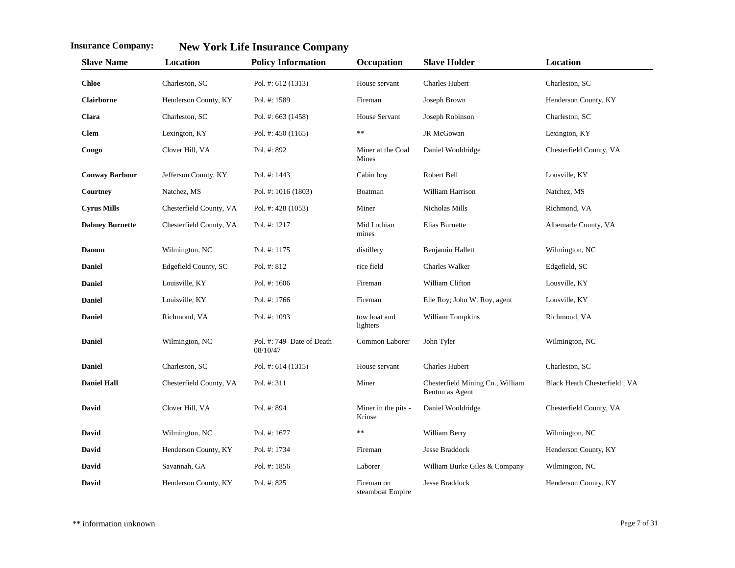| <b>Slave Name</b>      | Location                | <b>Policy Information</b>             | Occupation                     | <b>Slave Holder</b>                                 | Location                     |
|------------------------|-------------------------|---------------------------------------|--------------------------------|-----------------------------------------------------|------------------------------|
| <b>Chloe</b>           | Charleston, SC          | Pol. #: $612(1313)$                   | House servant                  | <b>Charles Hubert</b>                               | Charleston, SC               |
| Clairborne             | Henderson County, KY    | Pol. #: 1589                          | Fireman                        | Joseph Brown                                        | Henderson County, KY         |
| Clara                  | Charleston, SC          | Pol. #: 663 (1458)                    | House Servant                  | Joseph Robinson                                     | Charleston, SC               |
| <b>Clem</b>            | Lexington, KY           | Pol. #: 450 (1165)                    | $**$                           | JR McGowan                                          | Lexington, KY                |
| Congo                  | Clover Hill, VA         | Pol. #: 892                           | Miner at the Coal<br>Mines     | Daniel Wooldridge                                   | Chesterfield County, VA      |
| <b>Conway Barbour</b>  | Jefferson County, KY    | Pol. $\#$ : 1443                      | Cabin boy                      | Robert Bell                                         | Lousville, KY                |
| Courtney               | Natchez, MS             | Pol. #: 1016 (1803)                   | Boatman                        | William Harrison                                    | Natchez, MS                  |
| <b>Cyrus Mills</b>     | Chesterfield County, VA | Pol. #: 428 (1053)                    | Miner                          | Nicholas Mills                                      | Richmond, VA                 |
| <b>Dabney Burnette</b> | Chesterfield County, VA | Pol. #: 1217                          | Mid Lothian<br>mines           | Elias Burnette                                      | Albemarle County, VA         |
| <b>Damon</b>           | Wilmington, NC          | Pol. #: 1175                          | distillery                     | Benjamin Hallett                                    | Wilmington, NC               |
| <b>Daniel</b>          | Edgefield County, SC    | Pol. #: 812                           | rice field                     | <b>Charles Walker</b>                               | Edgefield, SC                |
| <b>Daniel</b>          | Louisville, KY          | Pol. #: $1606$                        | Fireman                        | William Clifton                                     | Lousville, KY                |
| <b>Daniel</b>          | Louisville, KY          | Pol. #: 1766                          | Fireman                        | Elle Roy; John W. Roy, agent                        | Lousville, KY                |
| <b>Daniel</b>          | Richmond, VA            | Pol. #: 1093                          | tow boat and<br>lighters       | William Tompkins                                    | Richmond, VA                 |
| <b>Daniel</b>          | Wilmington, NC          | Pol. #: 749 Date of Death<br>08/10/47 | Common Laborer                 | John Tyler                                          | Wilmington, NC               |
| <b>Daniel</b>          | Charleston, SC          | Pol. #: 614 (1315)                    | House servant                  | <b>Charles Hubert</b>                               | Charleston, SC               |
| <b>Daniel Hall</b>     | Chesterfield County, VA | Pol. #: 311                           | Miner                          | Chesterfield Mining Co., William<br>Benton as Agent | Black Heath Chesterfield, VA |
| David                  | Clover Hill, VA         | Pol. #: 894                           | Miner in the pits -<br>Krinse  | Daniel Wooldridge                                   | Chesterfield County, VA      |
| David                  | Wilmington, NC          | Pol. #: 1677                          | **                             | William Berry                                       | Wilmington, NC               |
| David                  | Henderson County, KY    | Pol. #: 1734                          | Fireman                        | <b>Jesse Braddock</b>                               | Henderson County, KY         |
| David                  | Savannah, GA            | Pol. #: 1856                          | Laborer                        | William Burke Giles & Company                       | Wilmington, NC               |
| David                  | Henderson County, KY    | Pol. #: 825                           | Fireman on<br>steamboat Empire | Jesse Braddock                                      | Henderson County, KY         |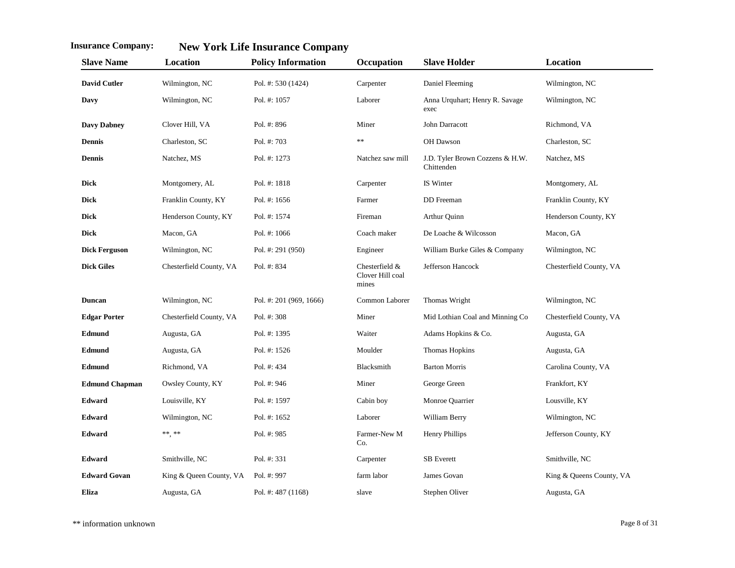| <b>Slave Name</b>     | Location                | <b>Policy Information</b> | Occupation                                  | <b>Slave Holder</b>                           | Location                 |
|-----------------------|-------------------------|---------------------------|---------------------------------------------|-----------------------------------------------|--------------------------|
| <b>David Cutler</b>   | Wilmington, NC          | Pol. #: 530 (1424)        | Carpenter                                   | Daniel Fleeming                               | Wilmington, NC           |
| Davy                  | Wilmington, NC          | Pol. #: 1057              | Laborer                                     | Anna Urquhart; Henry R. Savage<br>exec        | Wilmington, NC           |
| <b>Davy Dabney</b>    | Clover Hill, VA         | Pol. #: 896               | Miner                                       | John Darracott                                | Richmond, VA             |
| <b>Dennis</b>         | Charleston, SC          | Pol. #: 703               | $\ast$                                      | OH Dawson                                     | Charleston, SC           |
| <b>Dennis</b>         | Natchez, MS             | Pol. #: 1273              | Natchez saw mill                            | J.D. Tyler Brown Cozzens & H.W.<br>Chittenden | Natchez, MS              |
| Dick                  | Montgomery, AL          | Pol. #: 1818              | Carpenter                                   | IS Winter                                     | Montgomery, AL           |
| <b>Dick</b>           | Franklin County, KY     | Pol. #: 1656              | Farmer                                      | DD Freeman                                    | Franklin County, KY      |
| Dick                  | Henderson County, KY    | Pol. #: 1574              | Fireman                                     | Arthur Quinn                                  | Henderson County, KY     |
| <b>Dick</b>           | Macon, GA               | Pol. #: 1066              | Coach maker                                 | De Loache & Wilcosson                         | Macon, GA                |
| <b>Dick Ferguson</b>  | Wilmington, NC          | Pol. #: 291 (950)         | Engineer                                    | William Burke Giles & Company                 | Wilmington, NC           |
| <b>Dick Giles</b>     | Chesterfield County, VA | Pol. #: 834               | Chesterfield &<br>Clover Hill coal<br>mines | Jefferson Hancock                             | Chesterfield County, VA  |
| Duncan                | Wilmington, NC          | Pol. #: 201 (969, 1666)   | Common Laborer                              | Thomas Wright                                 | Wilmington, NC           |
| <b>Edgar Porter</b>   | Chesterfield County, VA | Pol. #: 308               | Miner                                       | Mid Lothian Coal and Minning Co               | Chesterfield County, VA  |
| Edmund                | Augusta, GA             | Pol. #: 1395              | Waiter                                      | Adams Hopkins & Co.                           | Augusta, GA              |
| Edmund                | Augusta, GA             | Pol. #: 1526              | Moulder                                     | Thomas Hopkins                                | Augusta, GA              |
| Edmund                | Richmond, VA            | Pol. #: 434               | Blacksmith                                  | <b>Barton Morris</b>                          | Carolina County, VA      |
| <b>Edmund Chapman</b> | Owsley County, KY       | Pol. #: 946               | Miner                                       | George Green                                  | Frankfort, KY            |
| <b>Edward</b>         | Louisville, KY          | Pol. #: 1597              | Cabin boy                                   | Monroe Quarrier                               | Lousville, KY            |
| <b>Edward</b>         | Wilmington, NC          | Pol. #: $1652$            | Laborer                                     | William Berry                                 | Wilmington, NC           |
| Edward                | **.**                   | Pol. #: 985               | Farmer-New M<br>Co.                         | <b>Henry Phillips</b>                         | Jefferson County, KY     |
| <b>Edward</b>         | Smithville, NC          | Pol. #: 331               | Carpenter                                   | <b>SB</b> Everett                             | Smithville, NC           |
| <b>Edward Govan</b>   | King & Queen County, VA | Pol. #: 997               | farm labor                                  | James Govan                                   | King & Queens County, VA |
| Eliza                 | Augusta, GA             | Pol. #: 487 (1168)        | slave                                       | Stephen Oliver                                | Augusta, GA              |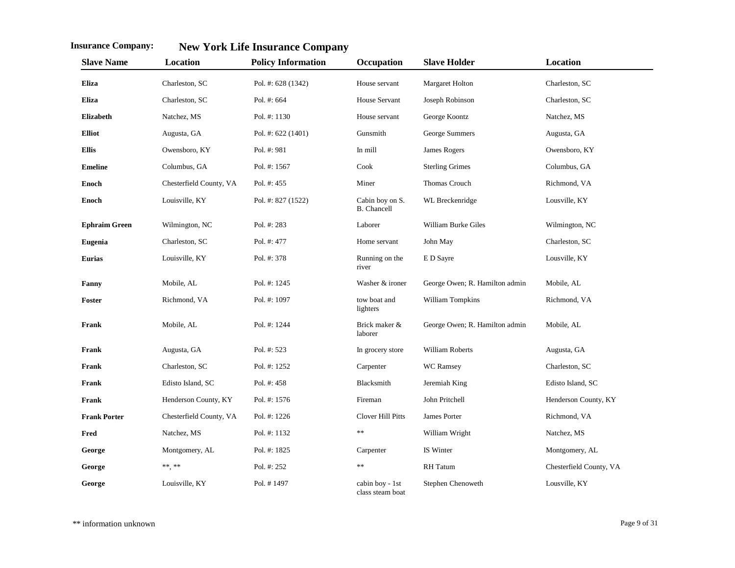| <b>Slave Name</b>    | Location                | <b>Policy Information</b> | Occupation                            | <b>Slave Holder</b>            | Location                |
|----------------------|-------------------------|---------------------------|---------------------------------------|--------------------------------|-------------------------|
| Eliza                | Charleston, SC          | Pol. #: 628 (1342)        | House servant                         | Margaret Holton                | Charleston, SC          |
| Eliza                | Charleston, SC          | Pol. #: 664               | House Servant                         | Joseph Robinson                | Charleston, SC          |
| <b>Elizabeth</b>     | Natchez, MS             | Pol. #: 1130              | House servant                         | George Koontz                  | Natchez, MS             |
| <b>Elliot</b>        | Augusta, GA             | Pol. #: 622 (1401)        | Gunsmith                              | George Summers                 | Augusta, GA             |
| <b>Ellis</b>         | Owensboro, KY           | Pol. #: 981               | In mill                               | James Rogers                   | Owensboro, KY           |
| <b>Emeline</b>       | Columbus, GA            | Pol. #: 1567              | Cook                                  | <b>Sterling Grimes</b>         | Columbus, GA            |
| <b>Enoch</b>         | Chesterfield County, VA | Pol. $\#: 455$            | Miner                                 | Thomas Crouch                  | Richmond, VA            |
| <b>Enoch</b>         | Louisville, KY          | Pol. #: 827 (1522)        | Cabin boy on S.<br><b>B.</b> Chancell | WL Breckenridge                | Lousville, KY           |
| <b>Ephraim Green</b> | Wilmington, NC          | Pol. #: 283               | Laborer                               | William Burke Giles            | Wilmington, NC          |
| Eugenia              | Charleston, SC          | Pol. #: 477               | Home servant                          | John May                       | Charleston, SC          |
| <b>Eurias</b>        | Louisville, KY          | Pol. #: 378               | Running on the<br>river               | E D Sayre                      | Lousville, KY           |
| Fanny                | Mobile, AL              | Pol. #: 1245              | Washer & ironer                       | George Owen; R. Hamilton admin | Mobile, AL              |
| Foster               | Richmond, VA            | Pol. #: 1097              | tow boat and<br>lighters              | William Tompkins               | Richmond, VA            |
| Frank                | Mobile, AL              | Pol. #: 1244              | Brick maker &<br>laborer              | George Owen; R. Hamilton admin | Mobile, AL              |
| Frank                | Augusta, GA             | Pol. #: 523               | In grocery store                      | William Roberts                | Augusta, GA             |
| Frank                | Charleston, SC          | Pol. #: 1252              | Carpenter                             | <b>WC</b> Ramsey               | Charleston, SC          |
| Frank                | Edisto Island, SC       | Pol. #: 458               | Blacksmith                            | Jeremiah King                  | Edisto Island, SC       |
| Frank                | Henderson County, KY    | Pol. #: 1576              | Fireman                               | John Pritchell                 | Henderson County, KY    |
| <b>Frank Porter</b>  | Chesterfield County, VA | Pol. #: 1226              | Clover Hill Pitts                     | James Porter                   | Richmond, VA            |
| Fred                 | Natchez, MS             | Pol. #: 1132              | **                                    | William Wright                 | Natchez, MS             |
| George               | Montgomery, AL          | Pol. #: 1825              | Carpenter                             | IS Winter                      | Montgomery, AL          |
| George               | $\ast\ast,\ast\ast$     | Pol. #: 252               | **                                    | RH Tatum                       | Chesterfield County, VA |
| George               | Louisville, KY          | Pol. #1497                | cabin boy - 1st<br>class steam boat   | Stephen Chenoweth              | Lousville, KY           |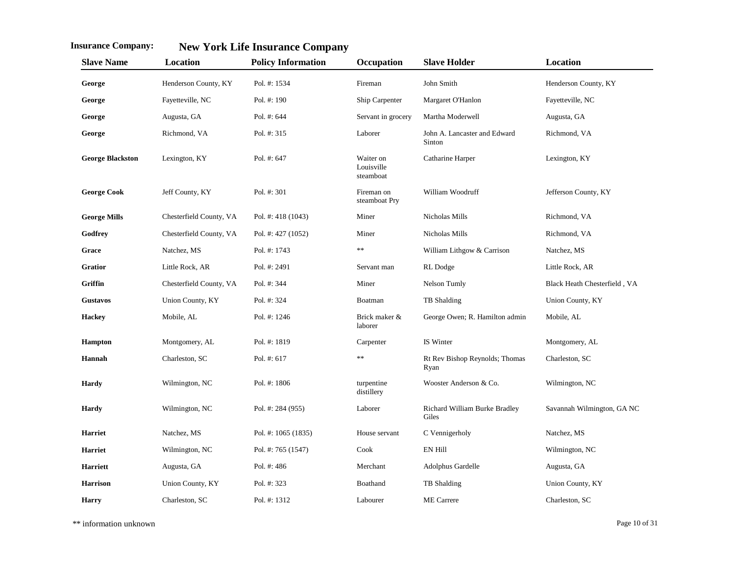| <b>Slave Name</b>       | Location                | <b>Policy Information</b> | Occupation                           | <b>Slave Holder</b>                    | Location                     |
|-------------------------|-------------------------|---------------------------|--------------------------------------|----------------------------------------|------------------------------|
| George                  | Henderson County, KY    | Pol. #: 1534              | Fireman                              | John Smith                             | Henderson County, KY         |
| George                  | Fayetteville, NC        | Pol. #: 190               | Ship Carpenter                       | Margaret O'Hanlon                      | Fayetteville, NC             |
| George                  | Augusta, GA             | Pol. #: 644               | Servant in grocery                   | Martha Moderwell                       | Augusta, GA                  |
| George                  | Richmond, VA            | Pol. #: 315               | Laborer                              | John A. Lancaster and Edward<br>Sinton | Richmond, VA                 |
| <b>George Blackston</b> | Lexington, KY           | Pol. #: 647               | Waiter on<br>Louisville<br>steamboat | Catharine Harper                       | Lexington, KY                |
| <b>George Cook</b>      | Jeff County, KY         | Pol. #: 301               | Fireman on<br>steamboat Pry          | William Woodruff                       | Jefferson County, KY         |
| <b>George Mills</b>     | Chesterfield County, VA | Pol. #: $418(1043)$       | Miner                                | Nicholas Mills                         | Richmond, VA                 |
| Godfrey                 | Chesterfield County, VA | Pol. #: 427 (1052)        | Miner                                | Nicholas Mills                         | Richmond, VA                 |
| Grace                   | Natchez, MS             | Pol. #: 1743              | **                                   | William Lithgow & Carrison             | Natchez, MS                  |
| <b>Gratior</b>          | Little Rock, AR         | Pol. #: 2491              | Servant man                          | RL Dodge                               | Little Rock, AR              |
| Griffin                 | Chesterfield County, VA | Pol. #: 344               | Miner                                | Nelson Tumly                           | Black Heath Chesterfield, VA |
| <b>Gustavos</b>         | Union County, KY        | Pol. #: 324               | Boatman                              | TB Shalding                            | Union County, KY             |
| <b>Hackey</b>           | Mobile, AL              | Pol. #: 1246              | Brick maker &<br>laborer             | George Owen; R. Hamilton admin         | Mobile, AL                   |
| <b>Hampton</b>          | Montgomery, AL          | Pol. #: 1819              | Carpenter                            | IS Winter                              | Montgomery, AL               |
| Hannah                  | Charleston, SC          | Pol. #: 617               | **                                   | Rt Rev Bishop Reynolds; Thomas<br>Ryan | Charleston, SC               |
| Hardy                   | Wilmington, NC          | Pol. #: 1806              | turpentine<br>distillery             | Wooster Anderson & Co.                 | Wilmington, NC               |
| <b>Hardy</b>            | Wilmington, NC          | Pol. #: 284 (955)         | Laborer                              | Richard William Burke Bradley<br>Giles | Savannah Wilmington, GA NC   |
| <b>Harriet</b>          | Natchez, MS             | Pol. #: 1065 (1835)       | House servant                        | C Vennigerholy                         | Natchez, MS                  |
| <b>Harriet</b>          | Wilmington, NC          | Pol. #: 765 (1547)        | Cook                                 | <b>EN Hill</b>                         | Wilmington, NC               |
| <b>Harriett</b>         | Augusta, GA             | Pol. #: 486               | Merchant                             | Adolphus Gardelle                      | Augusta, GA                  |
| <b>Harrison</b>         | Union County, KY        | Pol. #: 323               | Boathand                             | TB Shalding                            | Union County, KY             |
| <b>Harry</b>            | Charleston, SC          | Pol. #: 1312              | Labourer                             | <b>ME</b> Carrere                      | Charleston, SC               |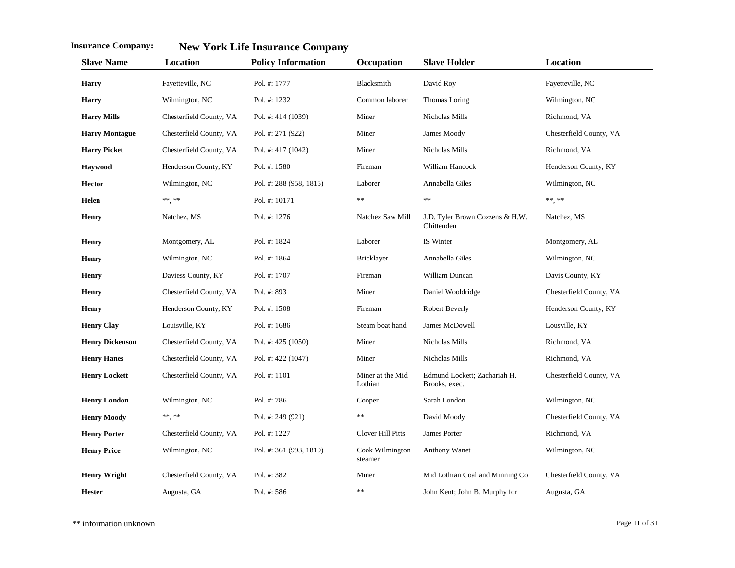| <b>Slave Name</b>      | Location                | <b>Policy Information</b> | Occupation                  | <b>Slave Holder</b>                           | Location                |
|------------------------|-------------------------|---------------------------|-----------------------------|-----------------------------------------------|-------------------------|
| <b>Harry</b>           | Fayetteville, NC        | Pol. #: 1777              | Blacksmith                  | David Roy                                     | Fayetteville, NC        |
| <b>Harry</b>           | Wilmington, NC          | Pol. #: 1232              | Common laborer              | Thomas Loring                                 | Wilmington, NC          |
| <b>Harry Mills</b>     | Chesterfield County, VA | Pol. #: 414 (1039)        | Miner                       | Nicholas Mills                                | Richmond, VA            |
| <b>Harry Montague</b>  | Chesterfield County, VA | Pol. #: 271 (922)         | Miner                       | James Moody                                   | Chesterfield County, VA |
| <b>Harry Picket</b>    | Chesterfield County, VA | Pol. #: 417 (1042)        | Miner                       | Nicholas Mills                                | Richmond, VA            |
| Havwood                | Henderson County, KY    | Pol. #: 1580              | Fireman                     | William Hancock                               | Henderson County, KY    |
| <b>Hector</b>          | Wilmington, NC          | Pol. #: 288 (958, 1815)   | Laborer                     | Annabella Giles                               | Wilmington, NC          |
| Helen                  | ** **                   | Pol. #: 10171             | **                          | $\ast\ast$                                    | $\ast\ast\ast\ast$      |
| <b>Henry</b>           | Natchez, MS             | Pol. #: 1276              | Natchez Saw Mill            | J.D. Tyler Brown Cozzens & H.W.<br>Chittenden | Natchez, MS             |
| <b>Henry</b>           | Montgomery, AL          | Pol. #: 1824              | Laborer                     | IS Winter                                     | Montgomery, AL          |
| <b>Henry</b>           | Wilmington, NC          | Pol. #: 1864              | Bricklayer                  | Annabella Giles                               | Wilmington, NC          |
| <b>Henry</b>           | Daviess County, KY      | Pol. #: 1707              | Fireman                     | William Duncan                                | Davis County, KY        |
| <b>Henry</b>           | Chesterfield County, VA | Pol. #: 893               | Miner                       | Daniel Wooldridge                             | Chesterfield County, VA |
| <b>Henry</b>           | Henderson County, KY    | Pol. #: 1508              | Fireman                     | Robert Beverly                                | Henderson County, KY    |
| <b>Henry Clay</b>      | Louisville, KY          | Pol. #: 1686              | Steam boat hand             | James McDowell                                | Lousville, KY           |
| <b>Henry Dickenson</b> | Chesterfield County, VA | Pol. #: $425(1050)$       | Miner                       | Nicholas Mills                                | Richmond, VA            |
| <b>Henry Hanes</b>     | Chesterfield County, VA | Pol. #: 422 (1047)        | Miner                       | Nicholas Mills                                | Richmond, VA            |
| <b>Henry Lockett</b>   | Chesterfield County, VA | Pol. #: 1101              | Miner at the Mid<br>Lothian | Edmund Lockett; Zachariah H.<br>Brooks, exec. | Chesterfield County, VA |
| <b>Henry London</b>    | Wilmington, NC          | Pol. #: 786               | Cooper                      | Sarah London                                  | Wilmington, NC          |
| <b>Henry Moody</b>     | ** **                   | Pol. #: 249 (921)         | **                          | David Moody                                   | Chesterfield County, VA |
| <b>Henry Porter</b>    | Chesterfield County, VA | Pol. #: 1227              | <b>Clover Hill Pitts</b>    | James Porter                                  | Richmond, VA            |
| <b>Henry Price</b>     | Wilmington, NC          | Pol. #: 361 (993, 1810)   | Cook Wilmington<br>steamer  | Anthony Wanet                                 | Wilmington, NC          |
| <b>Henry Wright</b>    | Chesterfield County, VA | Pol. #: 382               | Miner                       | Mid Lothian Coal and Minning Co               | Chesterfield County, VA |
| <b>Hester</b>          | Augusta, GA             | Pol. #: 586               | **                          | John Kent; John B. Murphy for                 | Augusta, GA             |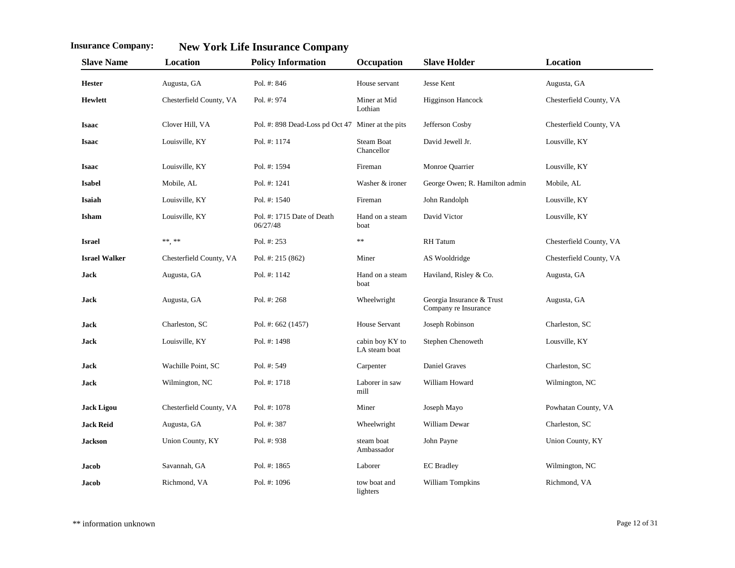| <b>Slave Name</b>    | <b>Location</b>         | <b>Policy Information</b>                         | Occupation                       | <b>Slave Holder</b>                               | Location                |
|----------------------|-------------------------|---------------------------------------------------|----------------------------------|---------------------------------------------------|-------------------------|
| <b>Hester</b>        | Augusta, GA             | Pol. #: 846                                       | House servant                    | Jesse Kent                                        | Augusta, GA             |
| <b>Hewlett</b>       | Chesterfield County, VA | Pol. #: 974                                       | Miner at Mid<br>Lothian          | <b>Higginson Hancock</b>                          | Chesterfield County, VA |
| <b>Isaac</b>         | Clover Hill, VA         | Pol. #: 898 Dead-Loss pd Oct 47 Miner at the pits |                                  | Jefferson Cosby                                   | Chesterfield County, VA |
| <b>Isaac</b>         | Louisville, KY          | Pol. #: 1174                                      | <b>Steam Boat</b><br>Chancellor  | David Jewell Jr.                                  | Lousville, KY           |
| <b>Isaac</b>         | Louisville, KY          | Pol. #: 1594                                      | Fireman                          | Monroe Quarrier                                   | Lousville, KY           |
| <b>Isabel</b>        | Mobile, AL              | Pol. #: 1241                                      | Washer & ironer                  | George Owen; R. Hamilton admin                    | Mobile, AL              |
| Isaiah               | Louisville, KY          | Pol. #: 1540                                      | Fireman                          | John Randolph                                     | Lousville, KY           |
| Isham                | Louisville, KY          | Pol. #: 1715 Date of Death<br>06/27/48            | Hand on a steam<br>boat          | David Victor                                      | Lousville, KY           |
| <b>Israel</b>        | ** **                   | Pol. #: 253                                       | **                               | <b>RH</b> Tatum                                   | Chesterfield County, VA |
| <b>Israel Walker</b> | Chesterfield County, VA | Pol. #: 215 (862)                                 | Miner                            | AS Wooldridge                                     | Chesterfield County, VA |
| <b>Jack</b>          | Augusta, GA             | Pol. #: 1142                                      | Hand on a steam<br>boat          | Haviland, Risley & Co.                            | Augusta, GA             |
| <b>Jack</b>          | Augusta, GA             | Pol. #: 268                                       | Wheelwright                      | Georgia Insurance & Trust<br>Company re Insurance | Augusta, GA             |
| <b>Jack</b>          | Charleston, SC          | Pol. #: 662 (1457)                                | House Servant                    | Joseph Robinson                                   | Charleston, SC          |
| <b>Jack</b>          | Louisville, KY          | Pol. #: 1498                                      | cabin boy KY to<br>LA steam boat | Stephen Chenoweth                                 | Lousville, KY           |
| <b>Jack</b>          | Wachille Point, SC      | Pol. #: 549                                       | Carpenter                        | <b>Daniel Graves</b>                              | Charleston, SC          |
| <b>Jack</b>          | Wilmington, NC          | Pol. #: 1718                                      | Laborer in saw<br>mill           | William Howard                                    | Wilmington, NC          |
| <b>Jack Ligou</b>    | Chesterfield County, VA | Pol. #: 1078                                      | Miner                            | Joseph Mayo                                       | Powhatan County, VA     |
| <b>Jack Reid</b>     | Augusta, GA             | Pol. #: 387                                       | Wheelwright                      | William Dewar                                     | Charleston, SC          |
| <b>Jackson</b>       | Union County, KY        | Pol. #: 938                                       | steam boat<br>Ambassador         | John Payne                                        | Union County, KY        |
| Jacob                | Savannah, GA            | Pol. #: 1865                                      | Laborer                          | <b>EC</b> Bradley                                 | Wilmington, NC          |
| Jacob                | Richmond, VA            | Pol. #: 1096                                      | tow boat and<br>lighters         | William Tompkins                                  | Richmond, VA            |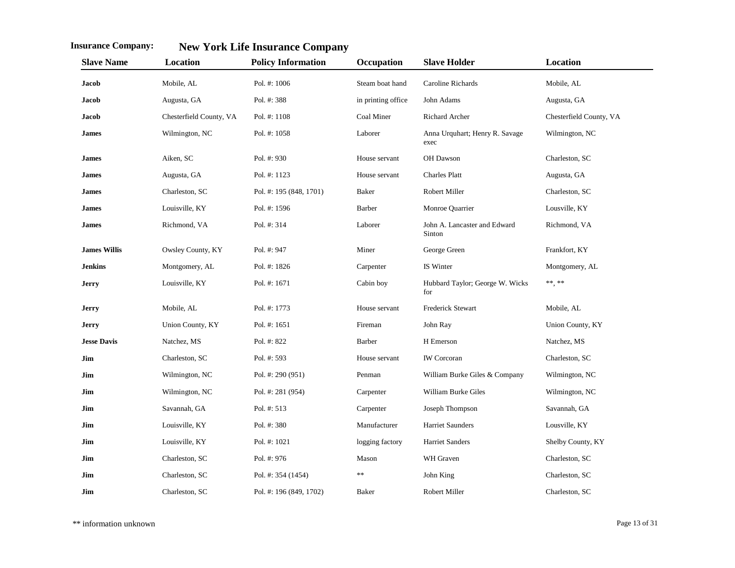| <b>Slave Name</b>   | Location                | <b>Policy Information</b> | Occupation         | <b>Slave Holder</b>                    | Location                |
|---------------------|-------------------------|---------------------------|--------------------|----------------------------------------|-------------------------|
| <b>Jacob</b>        | Mobile, AL              | Pol. #: 1006              | Steam boat hand    | Caroline Richards                      | Mobile, AL              |
| Jacob               | Augusta, GA             | Pol. #: 388               | in printing office | John Adams                             | Augusta, GA             |
| Jacob               | Chesterfield County, VA | Pol. #: 1108              | Coal Miner         | <b>Richard Archer</b>                  | Chesterfield County, VA |
| <b>James</b>        | Wilmington, NC          | Pol. #: 1058              | Laborer            | Anna Urquhart; Henry R. Savage<br>exec | Wilmington, NC          |
| James               | Aiken, SC               | Pol. #: 930               | House servant      | OH Dawson                              | Charleston, SC          |
| James               | Augusta, GA             | Pol. #: 1123              | House servant      | <b>Charles Platt</b>                   | Augusta, GA             |
| James               | Charleston, SC          | Pol. #: 195 (848, 1701)   | <b>Baker</b>       | Robert Miller                          | Charleston, SC          |
| James               | Louisville, KY          | Pol. #: 1596              | Barber             | Monroe Quarrier                        | Lousville, KY           |
| James               | Richmond, VA            | Pol. #: 314               | Laborer            | John A. Lancaster and Edward<br>Sinton | Richmond, VA            |
| <b>James Willis</b> | Owsley County, KY       | Pol. #: 947               | Miner              | George Green                           | Frankfort, KY           |
| <b>Jenkins</b>      | Montgomery, AL          | Pol. #: 1826              | Carpenter          | IS Winter                              | Montgomery, AL          |
| Jerry               | Louisville, KY          | Pol. #: 1671              | Cabin boy          | Hubbard Taylor; George W. Wicks<br>for | $\ast\ast\ast\ast$      |
| <b>Jerry</b>        | Mobile, AL              | Pol. #: 1773              | House servant      | Frederick Stewart                      | Mobile, AL              |
| Jerry               | Union County, KY        | Pol. #: 1651              | Fireman            | John Ray                               | Union County, KY        |
| <b>Jesse Davis</b>  | Natchez, MS             | Pol. #: 822               | Barber             | H Emerson                              | Natchez, MS             |
| Jim                 | Charleston, SC          | Pol. #: 593               | House servant      | <b>IW</b> Corcoran                     | Charleston, SC          |
| Jim                 | Wilmington, NC          | Pol. #: 290 (951)         | Penman             | William Burke Giles & Company          | Wilmington, NC          |
| Jim                 | Wilmington, NC          | Pol. #: 281 (954)         | Carpenter          | William Burke Giles                    | Wilmington, NC          |
| Jim                 | Savannah, GA            | Pol. #: 513               | Carpenter          | Joseph Thompson                        | Savannah, GA            |
| Jim                 | Louisville, KY          | Pol. #: 380               | Manufacturer       | Harriet Saunders                       | Lousville, KY           |
| Jim                 | Louisville, KY          | Pol. #: 1021              | logging factory    | Harriet Sanders                        | Shelby County, KY       |
| Jim                 | Charleston, SC          | Pol. #: 976               | Mason              | WH Graven                              | Charleston, SC          |
| Jim                 | Charleston, SC          | Pol. #: 354 (1454)        | **                 | John King                              | Charleston, SC          |
| Jim                 | Charleston, SC          | Pol. #: 196 (849, 1702)   | <b>Baker</b>       | Robert Miller                          | Charleston, SC          |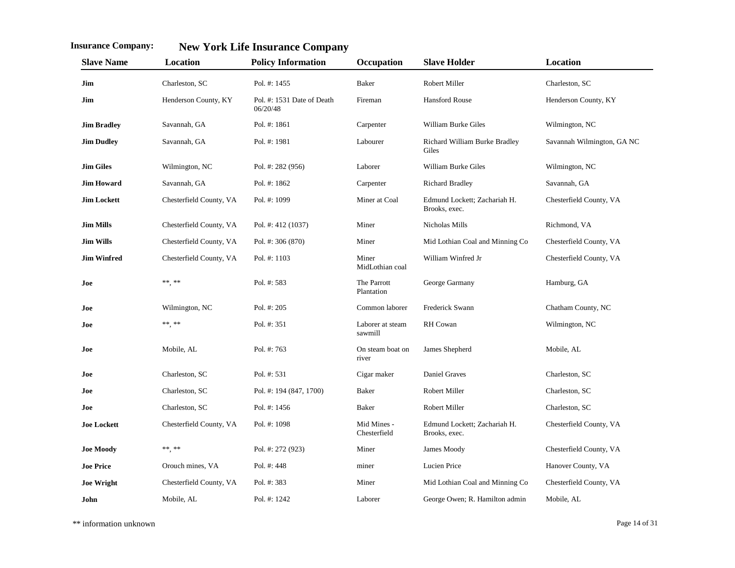| <b>Slave Name</b>  | Location                | <b>Policy Information</b>              | Occupation                  | <b>Slave Holder</b>                           | Location                   |
|--------------------|-------------------------|----------------------------------------|-----------------------------|-----------------------------------------------|----------------------------|
| Jim                | Charleston, SC          | Pol. #: 1455                           | Baker                       | Robert Miller                                 | Charleston, SC             |
| Jim                | Henderson County, KY    | Pol. #: 1531 Date of Death<br>06/20/48 | Fireman                     | Hansford Rouse                                | Henderson County, KY       |
| <b>Jim Bradley</b> | Savannah, GA            | Pol. #: 1861                           | Carpenter                   | William Burke Giles                           | Wilmington, NC             |
| <b>Jim Dudley</b>  | Savannah, GA            | Pol. #: 1981                           | Labourer                    | Richard William Burke Bradley<br>Giles        | Savannah Wilmington, GA NC |
| <b>Jim Giles</b>   | Wilmington, NC          | Pol. #: 282 (956)                      | Laborer                     | William Burke Giles                           | Wilmington, NC             |
| <b>Jim Howard</b>  | Savannah, GA            | Pol. #: 1862                           | Carpenter                   | <b>Richard Bradley</b>                        | Savannah, GA               |
| <b>Jim Lockett</b> | Chesterfield County, VA | Pol. #: 1099                           | Miner at Coal               | Edmund Lockett; Zachariah H.<br>Brooks, exec. | Chesterfield County, VA    |
| <b>Jim Mills</b>   | Chesterfield County, VA | Pol. #: 412 (1037)                     | Miner                       | Nicholas Mills                                | Richmond, VA               |
| <b>Jim Wills</b>   | Chesterfield County, VA | Pol. #: 306 (870)                      | Miner                       | Mid Lothian Coal and Minning Co               | Chesterfield County, VA    |
| <b>Jim Winfred</b> | Chesterfield County, VA | Pol. #: 1103                           | Miner<br>MidLothian coal    | William Winfred Jr                            | Chesterfield County, VA    |
| Joe                | **, **                  | Pol. #: 583                            | The Parrott<br>Plantation   | George Garmany                                | Hamburg, GA                |
| Joe                | Wilmington, NC          | Pol. #: 205                            | Common laborer              | Frederick Swann                               | Chatham County, NC         |
| Joe                | **, **                  | Pol. #: 351                            | Laborer at steam<br>sawmill | <b>RH</b> Cowan                               | Wilmington, NC             |
| Joe                | Mobile, AL              | Pol. #: 763                            | On steam boat on<br>river   | James Shepherd                                | Mobile, AL                 |
| Joe                | Charleston, SC          | Pol. #: 531                            | Cigar maker                 | Daniel Graves                                 | Charleston, SC             |
| Joe                | Charleston, SC          | Pol. #: 194 (847, 1700)                | Baker                       | Robert Miller                                 | Charleston, SC             |
| Joe                | Charleston, SC          | Pol. #: 1456                           | Baker                       | <b>Robert Miller</b>                          | Charleston, SC             |
| <b>Joe Lockett</b> | Chesterfield County, VA | Pol. #: 1098                           | Mid Mines -<br>Chesterfield | Edmund Lockett; Zachariah H.<br>Brooks, exec. | Chesterfield County, VA    |
| <b>Joe Moody</b>   | **, **                  | Pol. #: 272 (923)                      | Miner                       | James Moody                                   | Chesterfield County, VA    |
| <b>Joe Price</b>   | Orouch mines, VA        | Pol. #: 448                            | miner                       | Lucien Price                                  | Hanover County, VA         |
| <b>Joe Wright</b>  | Chesterfield County, VA | Pol. #: 383                            | Miner                       | Mid Lothian Coal and Minning Co               | Chesterfield County, VA    |
| John               | Mobile, AL              | Pol. #: 1242                           | Laborer                     | George Owen; R. Hamilton admin                | Mobile, AL                 |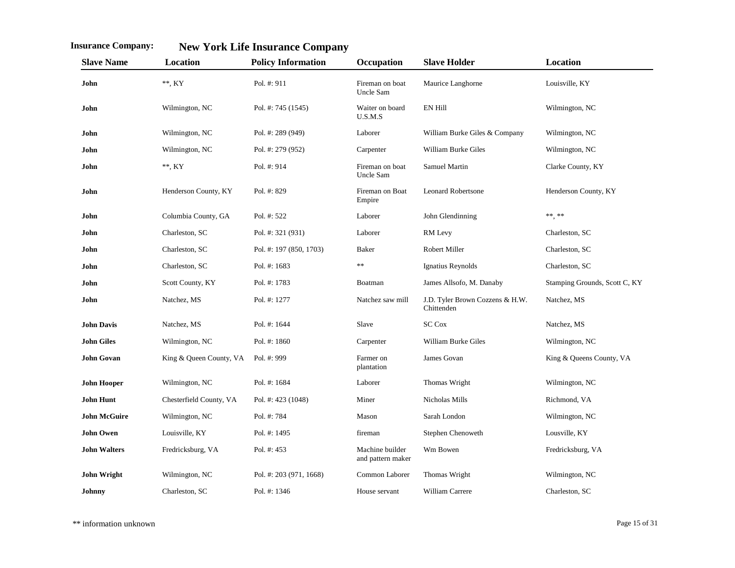| <b>Slave Name</b>   | Location                | <b>Policy Information</b> | Occupation                           | <b>Slave Holder</b>                           | Location                      |
|---------------------|-------------------------|---------------------------|--------------------------------------|-----------------------------------------------|-------------------------------|
| John                | $**$ , KY               | Pol. #: 911               | Fireman on boat<br>Uncle Sam         | Maurice Langhorne                             | Louisville, KY                |
| John                | Wilmington, NC          | Pol. #: 745 (1545)        | Waiter on board<br>U.S.M.S           | <b>EN Hill</b>                                | Wilmington, NC                |
| John                | Wilmington, NC          | Pol. #: 289 (949)         | Laborer                              | William Burke Giles & Company                 | Wilmington, NC                |
| John                | Wilmington, NC          | Pol. #: 279 (952)         | Carpenter                            | William Burke Giles                           | Wilmington, NC                |
| John                | $**$ , KY               | Pol. #: 914               | Fireman on boat<br>Uncle Sam         | Samuel Martin                                 | Clarke County, KY             |
| John                | Henderson County, KY    | Pol. #: 829               | Fireman on Boat<br>Empire            | <b>Leonard Robertsone</b>                     | Henderson County, KY          |
| John                | Columbia County, GA     | Pol. #: 522               | Laborer                              | John Glendinning                              | ** **                         |
| John                | Charleston, SC          | Pol. #: 321 (931)         | Laborer                              | RM Levy                                       | Charleston, SC                |
| John                | Charleston, SC          | Pol. #: 197 (850, 1703)   | <b>Baker</b>                         | Robert Miller                                 | Charleston, SC                |
| John                | Charleston, SC          | Pol. #: 1683              | **                                   | Ignatius Reynolds                             | Charleston, SC                |
| John                | Scott County, KY        | Pol. #: 1783              | Boatman                              | James Allsofo, M. Danaby                      | Stamping Grounds, Scott C, KY |
| John                | Natchez, MS             | Pol. #: 1277              | Natchez saw mill                     | J.D. Tyler Brown Cozzens & H.W.<br>Chittenden | Natchez, MS                   |
| <b>John Davis</b>   | Natchez, MS             | Pol. #: 1644              | Slave                                | <b>SC Cox</b>                                 | Natchez, MS                   |
| <b>John Giles</b>   | Wilmington, NC          | Pol. #: 1860              | Carpenter                            | William Burke Giles                           | Wilmington, NC                |
| <b>John Govan</b>   | King & Queen County, VA | Pol. #: 999               | Farmer on<br>plantation              | James Govan                                   | King & Queens County, VA      |
| <b>John Hooper</b>  | Wilmington, NC          | Pol. #: 1684              | Laborer                              | Thomas Wright                                 | Wilmington, NC                |
| <b>John Hunt</b>    | Chesterfield County, VA | Pol. #: 423 (1048)        | Miner                                | Nicholas Mills                                | Richmond, VA                  |
| <b>John McGuire</b> | Wilmington, NC          | Pol. #: 784               | Mason                                | Sarah London                                  | Wilmington, NC                |
| <b>John Owen</b>    | Louisville, KY          | Pol. #: 1495              | fireman                              | Stephen Chenoweth                             | Lousville, KY                 |
| <b>John Walters</b> | Fredricksburg, VA       | Pol. #: 453               | Machine builder<br>and pattern maker | Wm Bowen                                      | Fredricksburg, VA             |
| <b>John Wright</b>  | Wilmington, NC          | Pol. #: 203 (971, 1668)   | Common Laborer                       | Thomas Wright                                 | Wilmington, NC                |
| Johnny              | Charleston, SC          | Pol. #: 1346              | House servant                        | William Carrere                               | Charleston, SC                |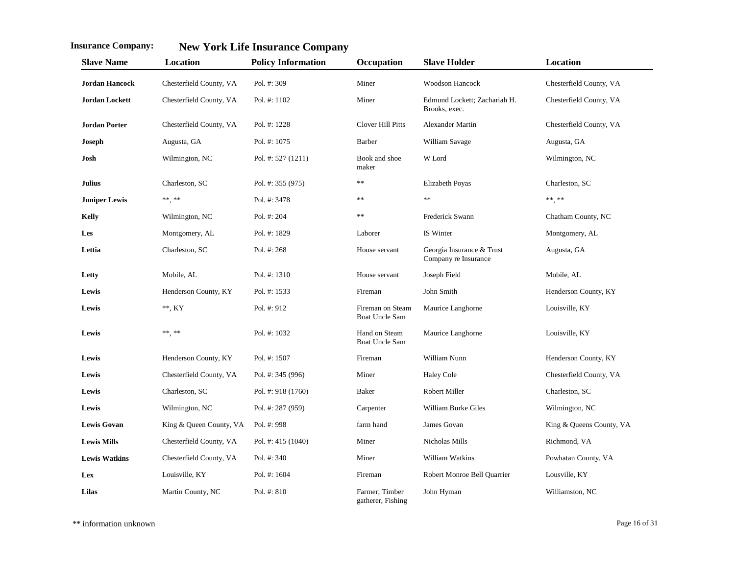| <b>Slave Name</b>     | Location                | <b>Policy Information</b> | Occupation                                | <b>Slave Holder</b>                               | Location                 |
|-----------------------|-------------------------|---------------------------|-------------------------------------------|---------------------------------------------------|--------------------------|
| <b>Jordan Hancock</b> | Chesterfield County, VA | Pol. #: 309               | Miner                                     | Woodson Hancock                                   | Chesterfield County, VA  |
| Jordan Lockett        | Chesterfield County, VA | Pol. #: 1102              | Miner                                     | Edmund Lockett; Zachariah H.<br>Brooks, exec.     | Chesterfield County, VA  |
| <b>Jordan Porter</b>  | Chesterfield County, VA | Pol. #: 1228              | <b>Clover Hill Pitts</b>                  | <b>Alexander Martin</b>                           | Chesterfield County, VA  |
| Joseph                | Augusta, GA             | Pol. #: 1075              | Barber                                    | William Savage                                    | Augusta, GA              |
| Josh                  | Wilmington, NC          | Pol. #: 527 (1211)        | Book and shoe<br>maker                    | W Lord                                            | Wilmington, NC           |
| <b>Julius</b>         | Charleston, SC          | Pol. #: 355 (975)         | **                                        | Elizabeth Poyas                                   | Charleston, SC           |
| <b>Juniper Lewis</b>  | ** **                   | Pol. #: 3478              | **                                        | $\ast\ast$                                        | $\ast\ast,\,\ast\ast$    |
| <b>Kelly</b>          | Wilmington, NC          | Pol. #: 204               | **                                        | Frederick Swann                                   | Chatham County, NC       |
| Les                   | Montgomery, AL          | Pol. #: 1829              | Laborer                                   | IS Winter                                         | Montgomery, AL           |
| Lettia                | Charleston, SC          | Pol. #: 268               | House servant                             | Georgia Insurance & Trust<br>Company re Insurance | Augusta, GA              |
| Letty                 | Mobile, AL              | Pol. #: 1310              | House servant                             | Joseph Field                                      | Mobile, AL               |
| Lewis                 | Henderson County, KY    | Pol. #: 1533              | Fireman                                   | John Smith                                        | Henderson County, KY     |
| Lewis                 | $**$ , KY               | Pol. #: 912               | Fireman on Steam<br><b>Boat Uncle Sam</b> | Maurice Langhorne                                 | Louisville, KY           |
| Lewis                 | ** **                   | Pol. #: 1032              | Hand on Steam<br><b>Boat Uncle Sam</b>    | Maurice Langhorne                                 | Louisville, KY           |
| Lewis                 | Henderson County, KY    | Pol. #: 1507              | Fireman                                   | William Nunn                                      | Henderson County, KY     |
| Lewis                 | Chesterfield County, VA | Pol. #: 345 (996)         | Miner                                     | <b>Haley Cole</b>                                 | Chesterfield County, VA  |
| Lewis                 | Charleston, SC          | Pol. #: 918 (1760)        | Baker                                     | Robert Miller                                     | Charleston, SC           |
| Lewis                 | Wilmington, NC          | Pol. #: 287 (959)         | Carpenter                                 | William Burke Giles                               | Wilmington, NC           |
| <b>Lewis Govan</b>    | King & Queen County, VA | Pol. #: 998               | farm hand                                 | James Govan                                       | King & Queens County, VA |
| <b>Lewis Mills</b>    | Chesterfield County, VA | Pol. #: 415 (1040)        | Miner                                     | Nicholas Mills                                    | Richmond, VA             |
| <b>Lewis Watkins</b>  | Chesterfield County, VA | Pol. #: 340               | Miner                                     | William Watkins                                   | Powhatan County, VA      |
| Lex                   | Louisville, KY          | Pol. #: 1604              | Fireman                                   | Robert Monroe Bell Quarrier                       | Lousville, KY            |
| Lilas                 | Martin County, NC       | Pol. #: 810               | Farmer, Timber<br>gatherer, Fishing       | John Hyman                                        | Williamston, NC          |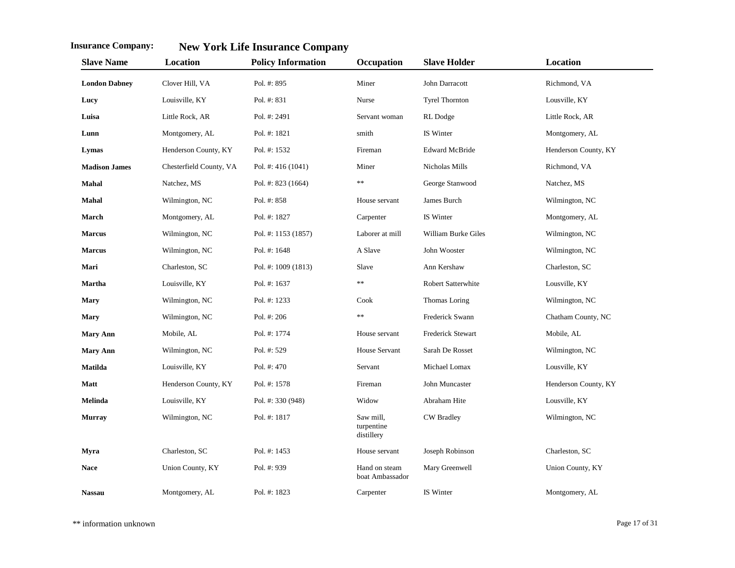| <b>Slave Name</b>    | Location                | <b>Policy Information</b> | Occupation                            | <b>Slave Holder</b>   | Location             |
|----------------------|-------------------------|---------------------------|---------------------------------------|-----------------------|----------------------|
| <b>London Dabney</b> | Clover Hill, VA         | Pol. #: 895               | Miner                                 | John Darracott        | Richmond, VA         |
| Lucy                 | Louisville, KY          | Pol. #: 831               | Nurse                                 | <b>Tyrel Thornton</b> | Lousville, KY        |
| Luisa                | Little Rock, AR         | Pol. #: 2491              | Servant woman                         | RL Dodge              | Little Rock, AR      |
| Lunn                 | Montgomery, AL          | Pol. #: 1821              | smith                                 | IS Winter             | Montgomery, AL       |
| Lymas                | Henderson County, KY    | Pol. #: 1532              | Fireman                               | <b>Edward McBride</b> | Henderson County, KY |
| <b>Madison James</b> | Chesterfield County, VA | Pol. #: $416(1041)$       | Miner                                 | Nicholas Mills        | Richmond, VA         |
| Mahal                | Natchez, MS             | Pol. #: 823 (1664)        | $\ast$                                | George Stanwood       | Natchez, MS          |
| Mahal                | Wilmington, NC          | Pol. #: 858               | House servant                         | James Burch           | Wilmington, NC       |
| March                | Montgomery, AL          | Pol. #: 1827              | Carpenter                             | IS Winter             | Montgomery, AL       |
| <b>Marcus</b>        | Wilmington, NC          | Pol. #: 1153 (1857)       | Laborer at mill                       | William Burke Giles   | Wilmington, NC       |
| <b>Marcus</b>        | Wilmington, NC          | Pol. #: 1648              | A Slave                               | John Wooster          | Wilmington, NC       |
| Mari                 | Charleston, SC          | Pol. #: 1009 (1813)       | Slave                                 | Ann Kershaw           | Charleston, SC       |
| <b>Martha</b>        | Louisville, KY          | Pol. #: 1637              | $\ast$                                | Robert Satterwhite    | Lousville, KY        |
| <b>Mary</b>          | Wilmington, NC          | Pol. #: 1233              | Cook                                  | Thomas Loring         | Wilmington, NC       |
| <b>Mary</b>          | Wilmington, NC          | Pol. #: 206               | $\ast$                                | Frederick Swann       | Chatham County, NC   |
| <b>Mary Ann</b>      | Mobile, AL              | Pol. #: 1774              | House servant                         | Frederick Stewart     | Mobile, AL           |
| <b>Mary Ann</b>      | Wilmington, NC          | Pol. #: 529               | <b>House Servant</b>                  | Sarah De Rosset       | Wilmington, NC       |
| <b>Matilda</b>       | Louisville, KY          | Pol. #: 470               | Servant                               | Michael Lomax         | Lousville, KY        |
| Matt                 | Henderson County, KY    | Pol. #: 1578              | Fireman                               | John Muncaster        | Henderson County, KY |
| Melinda              | Louisville, KY          | Pol. #: 330 (948)         | Widow                                 | Abraham Hite          | Lousville, KY        |
| <b>Murray</b>        | Wilmington, NC          | Pol. #: 1817              | Saw mill,<br>turpentine<br>distillery | <b>CW</b> Bradley     | Wilmington, NC       |
| Myra                 | Charleston, SC          | Pol. #: 1453              | House servant                         | Joseph Robinson       | Charleston, SC       |
| <b>Nace</b>          | Union County, KY        | Pol. #: 939               | Hand on steam<br>boat Ambassador      | Mary Greenwell        | Union County, KY     |
| <b>Nassau</b>        | Montgomery, AL          | Pol. #: 1823              | Carpenter                             | IS Winter             | Montgomery, AL       |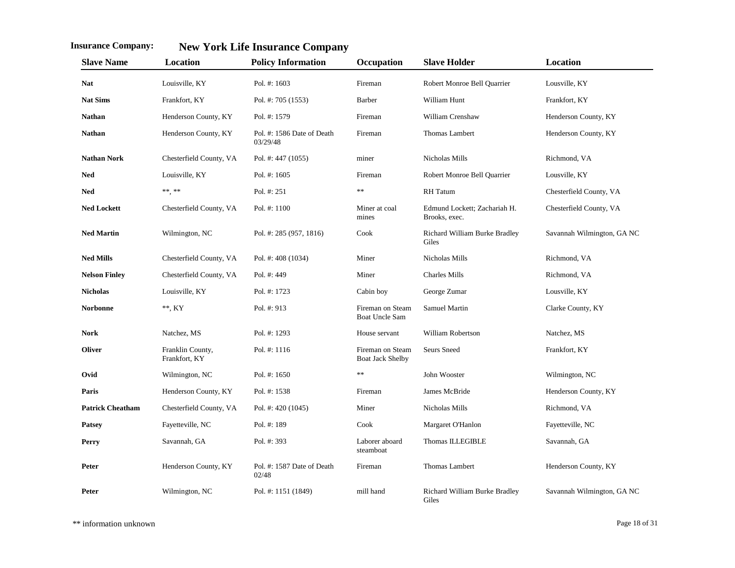| <b>Slave Name</b>       | Location                          | <b>Policy Information</b>              | Occupation                                  | <b>Slave Holder</b>                           | Location                   |
|-------------------------|-----------------------------------|----------------------------------------|---------------------------------------------|-----------------------------------------------|----------------------------|
| <b>Nat</b>              | Louisville, KY                    | Pol. #: 1603                           | Fireman                                     | Robert Monroe Bell Quarrier                   | Lousville, KY              |
| <b>Nat Sims</b>         | Frankfort, KY                     | Pol. #: 705 (1553)                     | <b>Barber</b>                               | William Hunt                                  | Frankfort, KY              |
| <b>Nathan</b>           | Henderson County, KY              | Pol. #: 1579                           | Fireman                                     | William Crenshaw                              | Henderson County, KY       |
| <b>Nathan</b>           | Henderson County, KY              | Pol. #: 1586 Date of Death<br>03/29/48 | Fireman                                     | Thomas Lambert                                | Henderson County, KY       |
| <b>Nathan Nork</b>      | Chesterfield County, VA           | Pol. #: 447 (1055)                     | miner                                       | Nicholas Mills                                | Richmond, VA               |
| <b>Ned</b>              | Louisville, KY                    | Pol. #: 1605                           | Fireman                                     | Robert Monroe Bell Quarrier                   | Lousville, KY              |
| <b>Ned</b>              | **.**                             | Pol. #: 251                            | $\ast$                                      | <b>RH</b> Tatum                               | Chesterfield County, VA    |
| <b>Ned Lockett</b>      | Chesterfield County, VA           | Pol. $#: 1100$                         | Miner at coal<br>mines                      | Edmund Lockett; Zachariah H.<br>Brooks, exec. | Chesterfield County, VA    |
| <b>Ned Martin</b>       | Wilmington, NC                    | Pol. #: 285 (957, 1816)                | Cook                                        | Richard William Burke Bradley<br>Giles        | Savannah Wilmington, GA NC |
| <b>Ned Mills</b>        | Chesterfield County, VA           | Pol. #: $408(1034)$                    | Miner                                       | Nicholas Mills                                | Richmond, VA               |
| <b>Nelson Finley</b>    | Chesterfield County, VA           | Pol. #: 449                            | Miner                                       | <b>Charles Mills</b>                          | Richmond, VA               |
| <b>Nicholas</b>         | Louisville, KY                    | Pol. #: 1723                           | Cabin boy                                   | George Zumar                                  | Lousville, KY              |
| <b>Norbonne</b>         | $**$ , KY                         | Pol. #: 913                            | Fireman on Steam<br><b>Boat Uncle Sam</b>   | <b>Samuel Martin</b>                          | Clarke County, KY          |
| <b>Nork</b>             | Natchez, MS                       | Pol. #: 1293                           | House servant                               | William Robertson                             | Natchez, MS                |
| <b>Oliver</b>           | Franklin County,<br>Frankfort, KY | Pol. #: 1116                           | Fireman on Steam<br><b>Boat Jack Shelby</b> | <b>Seurs Sneed</b>                            | Frankfort, KY              |
| Ovid                    | Wilmington, NC                    | Pol. #: 1650                           | **                                          | John Wooster                                  | Wilmington, NC             |
| Paris                   | Henderson County, KY              | Pol. #: 1538                           | Fireman                                     | James McBride                                 | Henderson County, KY       |
| <b>Patrick Cheatham</b> | Chesterfield County, VA           | Pol. #: $420(1045)$                    | Miner                                       | Nicholas Mills                                | Richmond, VA               |
| <b>Patsey</b>           | Fayetteville, NC                  | Pol. #: 189                            | Cook                                        | Margaret O'Hanlon                             | Fayetteville, NC           |
| Perry                   | Savannah, GA                      | Pol. #: 393                            | Laborer aboard<br>steamboat                 | <b>Thomas ILLEGIBLE</b>                       | Savannah, GA               |
| Peter                   | Henderson County, KY              | Pol. #: 1587 Date of Death<br>02/48    | Fireman                                     | Thomas Lambert                                | Henderson County, KY       |
| Peter                   | Wilmington, NC                    | Pol. #: 1151 (1849)                    | mill hand                                   | Richard William Burke Bradley<br>Giles        | Savannah Wilmington, GA NC |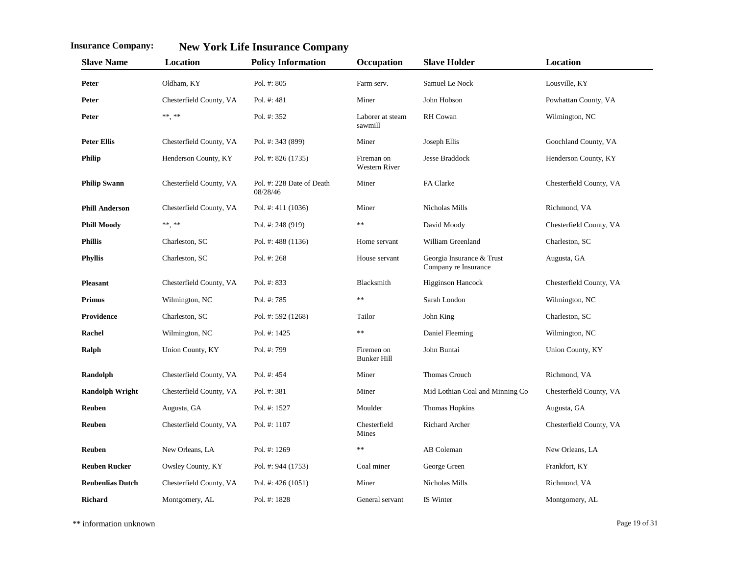| <b>Slave Name</b>       | Location                | <b>Policy Information</b>             | Occupation                         | <b>Slave Holder</b>                               | Location                |
|-------------------------|-------------------------|---------------------------------------|------------------------------------|---------------------------------------------------|-------------------------|
| Peter                   | Oldham, KY              | Pol. #: 805                           | Farm serv.                         | Samuel Le Nock                                    | Lousville, KY           |
| Peter                   | Chesterfield County, VA | Pol. #: 481                           | Miner                              | John Hobson                                       | Powhattan County, VA    |
| Peter                   | $***$ , **              | Pol. #: 352                           | Laborer at steam<br>sawmill        | RH Cowan                                          | Wilmington, NC          |
| <b>Peter Ellis</b>      | Chesterfield County, VA | Pol. #: 343 (899)                     | Miner                              | Joseph Ellis                                      | Goochland County, VA    |
| <b>Philip</b>           | Henderson County, KY    | Pol. #: 826 (1735)                    | Fireman on<br><b>Western River</b> | <b>Jesse Braddock</b>                             | Henderson County, KY    |
| <b>Philip Swann</b>     | Chesterfield County, VA | Pol. #: 228 Date of Death<br>08/28/46 | Miner                              | FA Clarke                                         | Chesterfield County, VA |
| <b>Phill Anderson</b>   | Chesterfield County, VA | Pol. #: $411(1036)$                   | Miner                              | Nicholas Mills                                    | Richmond, VA            |
| <b>Phill Moody</b>      | **, **                  | Pol. #: 248 (919)                     | **                                 | David Moody                                       | Chesterfield County, VA |
| <b>Phillis</b>          | Charleston, SC          | Pol. #: 488 (1136)                    | Home servant                       | William Greenland                                 | Charleston, SC          |
| <b>Phyllis</b>          | Charleston, SC          | Pol. #: 268                           | House servant                      | Georgia Insurance & Trust<br>Company re Insurance | Augusta, GA             |
| <b>Pleasant</b>         | Chesterfield County, VA | Pol. #: 833                           | Blacksmith                         | <b>Higginson Hancock</b>                          | Chesterfield County, VA |
| <b>Primus</b>           | Wilmington, NC          | Pol. #: 785                           | **                                 | Sarah London                                      | Wilmington, NC          |
| Providence              | Charleston, SC          | Pol. #: 592 (1268)                    | Tailor                             | John King                                         | Charleston, SC          |
| Rachel                  | Wilmington, NC          | Pol. #: 1425                          | **                                 | Daniel Fleeming                                   | Wilmington, NC          |
| Ralph                   | Union County, KY        | Pol. #: 799                           | Firemen on<br><b>Bunker Hill</b>   | John Buntai                                       | Union County, KY        |
| Randolph                | Chesterfield County, VA | Pol. $#: 454$                         | Miner                              | Thomas Crouch                                     | Richmond, VA            |
| <b>Randolph Wright</b>  | Chesterfield County, VA | Pol. #: 381                           | Miner                              | Mid Lothian Coal and Minning Co                   | Chesterfield County, VA |
| Reuben                  | Augusta, GA             | Pol. #: 1527                          | Moulder                            | Thomas Hopkins                                    | Augusta, GA             |
| Reuben                  | Chesterfield County, VA | Pol. #: 1107                          | Chesterfield<br>Mines              | Richard Archer                                    | Chesterfield County, VA |
| <b>Reuben</b>           | New Orleans, LA         | Pol. #: 1269                          | **                                 | AB Coleman                                        | New Orleans, LA         |
| <b>Reuben Rucker</b>    | Owsley County, KY       | Pol. #: 944 (1753)                    | Coal miner                         | George Green                                      | Frankfort, KY           |
| <b>Reubenlias Dutch</b> | Chesterfield County, VA | Pol. #: $426(1051)$                   | Miner                              | Nicholas Mills                                    | Richmond, VA            |
| Richard                 | Montgomery, AL          | Pol. #: 1828                          | General servant                    | IS Winter                                         | Montgomery, AL          |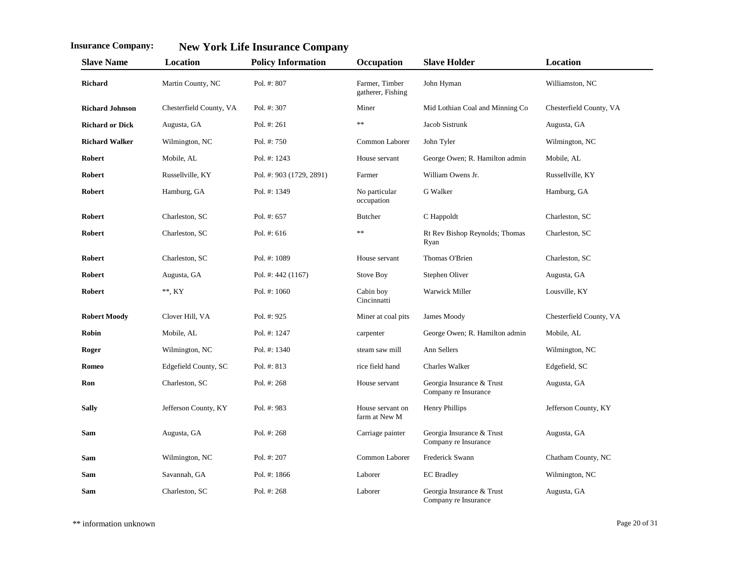| <b>Slave Name</b>      | Location                | <b>Policy Information</b> | Occupation                          | <b>Slave Holder</b>                               | Location                |
|------------------------|-------------------------|---------------------------|-------------------------------------|---------------------------------------------------|-------------------------|
| Richard                | Martin County, NC       | Pol. #: 807               | Farmer, Timber<br>gatherer, Fishing | John Hyman                                        | Williamston, NC         |
| <b>Richard Johnson</b> | Chesterfield County, VA | Pol. $#: 307$             | Miner                               | Mid Lothian Coal and Minning Co                   | Chesterfield County, VA |
| <b>Richard or Dick</b> | Augusta, GA             | Pol. $#: 261$             | **                                  | Jacob Sistrunk                                    | Augusta, GA             |
| <b>Richard Walker</b>  | Wilmington, NC          | Pol. #: 750               | Common Laborer                      | John Tyler                                        | Wilmington, NC          |
| <b>Robert</b>          | Mobile, AL              | Pol. #: 1243              | House servant                       | George Owen; R. Hamilton admin                    | Mobile, AL              |
| Robert                 | Russellville, KY        | Pol. #: 903 (1729, 2891)  | Farmer                              | William Owens Jr.                                 | Russellville, KY        |
| Robert                 | Hamburg, GA             | Pol. #: 1349              | No particular<br>occupation         | G Walker                                          | Hamburg, GA             |
| Robert                 | Charleston, SC          | Pol. #: 657               | Butcher                             | C Happoldt                                        | Charleston, SC          |
| <b>Robert</b>          | Charleston, SC          | Pol. #: $616$             | $**$                                | Rt Rev Bishop Reynolds; Thomas<br>Ryan            | Charleston, SC          |
| Robert                 | Charleston, SC          | Pol. #: 1089              | House servant                       | Thomas O'Brien                                    | Charleston, SC          |
| <b>Robert</b>          | Augusta, GA             | Pol. #: 442 (1167)        | Stove Boy                           | Stephen Oliver                                    | Augusta, GA             |
| Robert                 | $**$ , KY               | Pol. $#: 1060$            | Cabin boy<br>Cincinnatti            | Warwick Miller                                    | Lousville, KY           |
| <b>Robert Moody</b>    | Clover Hill, VA         | Pol. #: 925               | Miner at coal pits                  | James Moody                                       | Chesterfield County, VA |
| Robin                  | Mobile, AL              | Pol. #: 1247              | carpenter                           | George Owen; R. Hamilton admin                    | Mobile, AL              |
| Roger                  | Wilmington, NC          | Pol. #: 1340              | steam saw mill                      | Ann Sellers                                       | Wilmington, NC          |
| Romeo                  | Edgefield County, SC    | Pol. $\#: 813$            | rice field hand                     | Charles Walker                                    | Edgefield, SC           |
| Ron                    | Charleston, SC          | Pol. #: 268               | House servant                       | Georgia Insurance & Trust<br>Company re Insurance | Augusta, GA             |
| <b>Sally</b>           | Jefferson County, KY    | Pol. #: 983               | House servant on<br>farm at New M   | <b>Henry Phillips</b>                             | Jefferson County, KY    |
| Sam                    | Augusta, GA             | Pol. #: 268               | Carriage painter                    | Georgia Insurance & Trust<br>Company re Insurance | Augusta, GA             |
| Sam                    | Wilmington, NC          | Pol. #: 207               | Common Laborer                      | Frederick Swann                                   | Chatham County, NC      |
| Sam                    | Savannah, GA            | Pol. #: 1866              | Laborer                             | <b>EC</b> Bradley                                 | Wilmington, NC          |
| Sam                    | Charleston, SC          | Pol. #: $268$             | Laborer                             | Georgia Insurance & Trust<br>Company re Insurance | Augusta, GA             |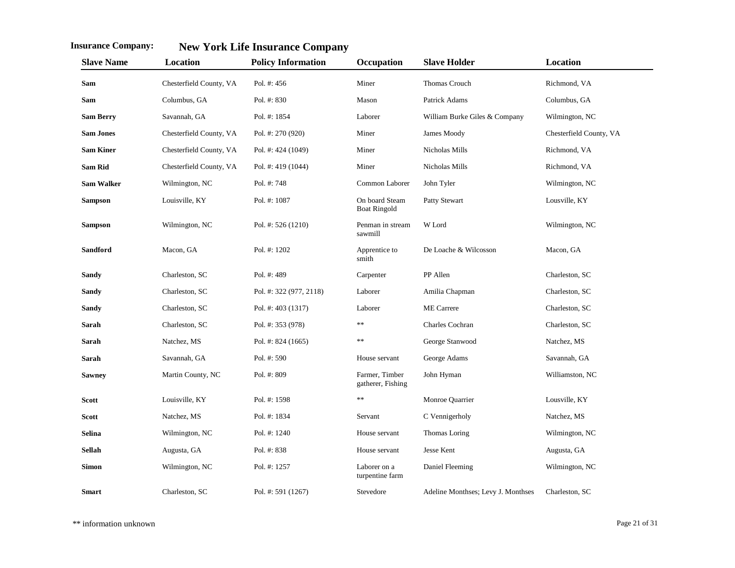| <b>Slave Name</b> | Location                | <b>Policy Information</b> | Occupation                            | <b>Slave Holder</b>                | Location                |
|-------------------|-------------------------|---------------------------|---------------------------------------|------------------------------------|-------------------------|
| Sam               | Chesterfield County, VA | Pol. #: 456               | Miner                                 | <b>Thomas Crouch</b>               | Richmond, VA            |
| Sam               | Columbus, GA            | Pol. #: 830               | Mason                                 | Patrick Adams                      | Columbus, GA            |
| <b>Sam Berry</b>  | Savannah, GA            | Pol. #: 1854              | Laborer                               | William Burke Giles & Company      | Wilmington, NC          |
| <b>Sam Jones</b>  | Chesterfield County, VA | Pol. #: $270(920)$        | Miner                                 | James Moody                        | Chesterfield County, VA |
| <b>Sam Kiner</b>  | Chesterfield County, VA | Pol. #: 424 (1049)        | Miner                                 | Nicholas Mills                     | Richmond, VA            |
| <b>Sam Rid</b>    | Chesterfield County, VA | Pol. #: $419(1044)$       | Miner                                 | Nicholas Mills                     | Richmond, VA            |
| <b>Sam Walker</b> | Wilmington, NC          | Pol. #: 748               | Common Laborer                        | John Tyler                         | Wilmington, NC          |
| <b>Sampson</b>    | Louisville, KY          | Pol. #: 1087              | On board Steam<br><b>Boat Ringold</b> | Patty Stewart                      | Lousville, KY           |
| <b>Sampson</b>    | Wilmington, NC          | Pol. #: 526 (1210)        | Penman in stream<br>sawmill           | W Lord                             | Wilmington, NC          |
| <b>Sandford</b>   | Macon, GA               | Pol. #: 1202              | Apprentice to<br>smith                | De Loache & Wilcosson              | Macon, GA               |
| Sandy             | Charleston, SC          | Pol. #: 489               | Carpenter                             | PP Allen                           | Charleston, SC          |
| <b>Sandy</b>      | Charleston, SC          | Pol. #: 322 (977, 2118)   | Laborer                               | Amilia Chapman                     | Charleston, SC          |
| Sandy             | Charleston, SC          | Pol. #: 403 (1317)        | Laborer                               | <b>ME</b> Carrere                  | Charleston, SC          |
| Sarah             | Charleston, SC          | Pol. #: 353 (978)         | $\ast$                                | Charles Cochran                    | Charleston, SC          |
| Sarah             | Natchez, MS             | Pol. #: $824(1665)$       | **                                    | George Stanwood                    | Natchez, MS             |
| Sarah             | Savannah, GA            | Pol. #: 590               | House servant                         | George Adams                       | Savannah, GA            |
| <b>Sawney</b>     | Martin County, NC       | Pol. #: 809               | Farmer, Timber<br>gatherer, Fishing   | John Hyman                         | Williamston, NC         |
| <b>Scott</b>      | Louisville, KY          | Pol. #: 1598              | **                                    | Monroe Quarrier                    | Lousville, KY           |
| <b>Scott</b>      | Natchez, MS             | Pol. #: 1834              | Servant                               | C Vennigerholy                     | Natchez, MS             |
| <b>Selina</b>     | Wilmington, NC          | Pol. #: 1240              | House servant                         | Thomas Loring                      | Wilmington, NC          |
| <b>Sellah</b>     | Augusta, GA             | Pol. #: 838               | House servant                         | Jesse Kent                         | Augusta, GA             |
| <b>Simon</b>      | Wilmington, NC          | Pol. #: 1257              | Laborer on a<br>turpentine farm       | Daniel Fleeming                    | Wilmington, NC          |
| <b>Smart</b>      | Charleston, SC          | Pol. #: 591 (1267)        | Stevedore                             | Adeline Monthses; Levy J. Monthses | Charleston, SC          |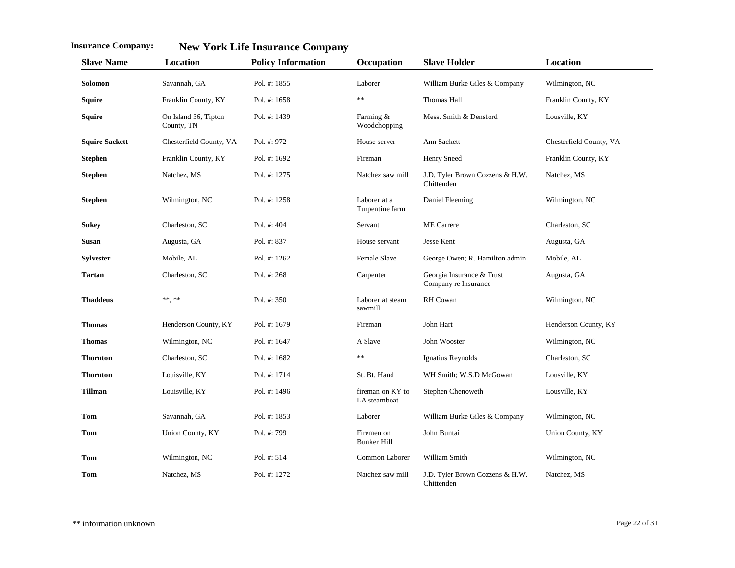| <b>Slave Name</b>     | Location                           | <b>Policy Information</b> | Occupation                       | <b>Slave Holder</b>                               | Location                |
|-----------------------|------------------------------------|---------------------------|----------------------------------|---------------------------------------------------|-------------------------|
| Solomon               | Savannah, GA                       | Pol. #: 1855              | Laborer                          | William Burke Giles & Company                     | Wilmington, NC          |
| Squire                | Franklin County, KY                | Pol. #: 1658              | $\ast$                           | Thomas Hall                                       | Franklin County, KY     |
| Squire                | On Island 36, Tipton<br>County, TN | Pol. #: 1439              | Farming &<br>Woodchopping        | Mess. Smith & Densford                            | Lousville, KY           |
| <b>Squire Sackett</b> | Chesterfield County, VA            | Pol. #: 972               | House server                     | Ann Sackett                                       | Chesterfield County, VA |
| <b>Stephen</b>        | Franklin County, KY                | Pol. #: 1692              | Fireman                          | Henry Sneed                                       | Franklin County, KY     |
| <b>Stephen</b>        | Natchez, MS                        | Pol. #: 1275              | Natchez saw mill                 | J.D. Tyler Brown Cozzens & H.W.<br>Chittenden     | Natchez, MS             |
| <b>Stephen</b>        | Wilmington, NC                     | Pol. #: 1258              | Laborer at a<br>Turpentine farm  | Daniel Fleeming                                   | Wilmington, NC          |
| <b>Sukey</b>          | Charleston, SC                     | Pol. #: 404               | Servant                          | <b>ME</b> Carrere                                 | Charleston, SC          |
| <b>Susan</b>          | Augusta, GA                        | Pol. #: 837               | House servant                    | Jesse Kent                                        | Augusta, GA             |
| <b>Sylvester</b>      | Mobile, AL                         | Pol. #: 1262              | <b>Female Slave</b>              | George Owen; R. Hamilton admin                    | Mobile, AL              |
| <b>Tartan</b>         | Charleston, SC                     | Pol. #: 268               | Carpenter                        | Georgia Insurance & Trust<br>Company re Insurance | Augusta, GA             |
| <b>Thaddeus</b>       | ** **                              | Pol. #: 350               | Laborer at steam<br>sawmill      | <b>RH</b> Cowan                                   | Wilmington, NC          |
| <b>Thomas</b>         | Henderson County, KY               | Pol. #: 1679              | Fireman                          | John Hart                                         | Henderson County, KY    |
| <b>Thomas</b>         | Wilmington, NC                     | Pol. #: 1647              | A Slave                          | John Wooster                                      | Wilmington, NC          |
| <b>Thornton</b>       | Charleston, SC                     | Pol. #: 1682              | $\ast$                           | Ignatius Reynolds                                 | Charleston, SC          |
| <b>Thornton</b>       | Louisville, KY                     | Pol. #: 1714              | St. Bt. Hand                     | WH Smith; W.S.D McGowan                           | Lousville, KY           |
| <b>Tillman</b>        | Louisville, KY                     | Pol. #: 1496              | fireman on KY to<br>LA steamboat | Stephen Chenoweth                                 | Lousville, KY           |
| <b>Tom</b>            | Savannah, GA                       | Pol. #: 1853              | Laborer                          | William Burke Giles & Company                     | Wilmington, NC          |
| <b>Tom</b>            | Union County, KY                   | Pol. #: 799               | Firemen on<br><b>Bunker Hill</b> | John Buntai                                       | Union County, KY        |
| <b>Tom</b>            | Wilmington, NC                     | Pol. #: 514               | Common Laborer                   | William Smith                                     | Wilmington, NC          |
| Tom                   | Natchez, MS                        | Pol. #: 1272              | Natchez saw mill                 | J.D. Tyler Brown Cozzens & H.W.<br>Chittenden     | Natchez, MS             |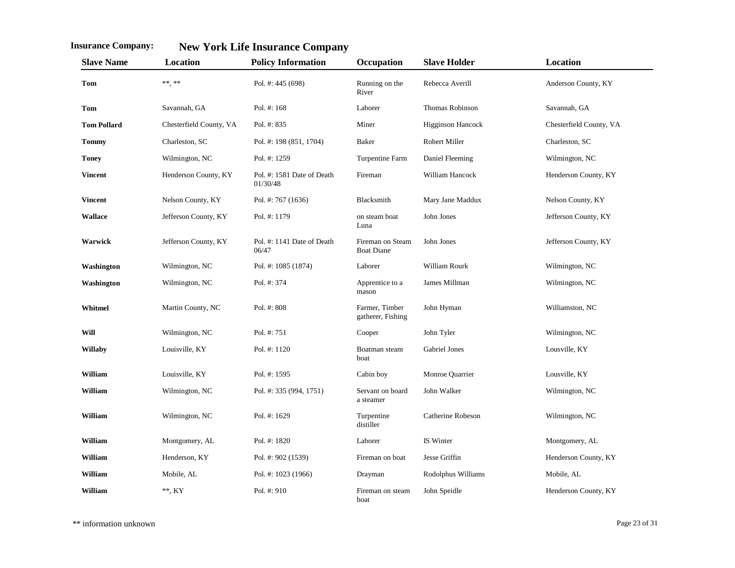| <b>Slave Name</b>  | Location                | <b>Policy Information</b>              | Occupation                            | <b>Slave Holder</b>      | Location                |
|--------------------|-------------------------|----------------------------------------|---------------------------------------|--------------------------|-------------------------|
| Tom                | **, **                  | Pol. #: 445 (698)                      | Running on the<br>River               | Rebecca Averill          | Anderson County, KY     |
| Tom                | Savannah, GA            | Pol. #: 168                            | Laborer                               | Thomas Robinson          | Savannah, GA            |
| <b>Tom Pollard</b> | Chesterfield County, VA | Pol. #: 835                            | Miner                                 | <b>Higginson Hancock</b> | Chesterfield County, VA |
| <b>Tommy</b>       | Charleston, SC          | Pol. #: 198 (851, 1704)                | <b>Baker</b>                          | Robert Miller            | Charleston, SC          |
| <b>Toney</b>       | Wilmington, NC          | Pol. #: 1259                           | Turpentine Farm                       | Daniel Fleeming          | Wilmington, NC          |
| <b>Vincent</b>     | Henderson County, KY    | Pol. #: 1581 Date of Death<br>01/30/48 | Fireman                               | William Hancock          | Henderson County, KY    |
| <b>Vincent</b>     | Nelson County, KY       | Pol. #: 767 (1636)                     | Blacksmith                            | Mary Jane Maddux         | Nelson County, KY       |
| <b>Wallace</b>     | Jefferson County, KY    | Pol. #: 1179                           | on steam boat<br>Luna                 | John Jones               | Jefferson County, KY    |
| Warwick            | Jefferson County, KY    | Pol. #: 1141 Date of Death<br>06/47    | Fireman on Steam<br><b>Boat Diane</b> | John Jones               | Jefferson County, KY    |
| Washington         | Wilmington, NC          | Pol. #: 1085 (1874)                    | Laborer                               | William Rourk            | Wilmington, NC          |
| Washington         | Wilmington, NC          | Pol. #: 374                            | Apprentice to a<br>mason              | James Millman            | Wilmington, NC          |
| Whitmel            | Martin County, NC       | Pol. #: 808                            | Farmer, Timber<br>gatherer, Fishing   | John Hyman               | Williamston, NC         |
| Will               | Wilmington, NC          | Pol. #: 751                            | Cooper                                | John Tyler               | Wilmington, NC          |
| <b>Willaby</b>     | Louisville, KY          | Pol. #: 1120                           | Boatman steam<br>boat                 | Gabriel Jones            | Lousville, KY           |
| William            | Louisville, KY          | Pol. #: 1595                           | Cabin boy                             | Monroe Quarrier          | Lousville, KY           |
| William            | Wilmington, NC          | Pol. #: 335 (994, 1751)                | Servant on board<br>a steamer         | John Walker              | Wilmington, NC          |
| William            | Wilmington, NC          | Pol. #: 1629                           | Turpentine<br>distiller               | Catherine Robeson        | Wilmington, NC          |
| William            | Montgomery, AL          | Pol. #: 1820                           | Laborer                               | IS Winter                | Montgomery, AL          |
| William            | Henderson, KY           | Pol. #: 902 (1539)                     | Fireman on boat                       | Jesse Griffin            | Henderson County, KY    |
| William            | Mobile, AL              | Pol. #: 1023 (1966)                    | Drayman                               | Rodolphus Williams       | Mobile, AL              |
| William            | **, KY                  | Pol. $#: 910$                          | Fireman on steam<br>boat              | John Speidle             | Henderson County, KY    |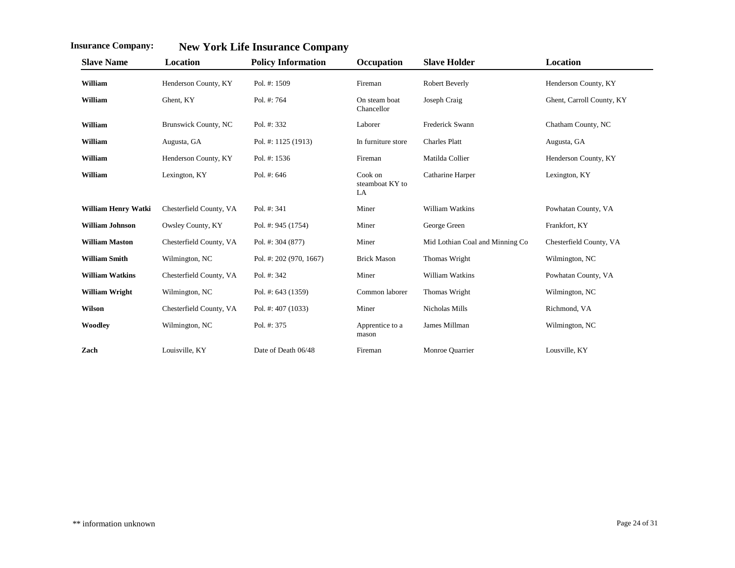| <b>Slave Name</b>      | Location                    | <b>Policy Information</b> | Occupation                       | <b>Slave Holder</b>             | Location                  |
|------------------------|-----------------------------|---------------------------|----------------------------------|---------------------------------|---------------------------|
| William                | Henderson County, KY        | Pol. #: 1509              | Fireman                          | Robert Beverly                  | Henderson County, KY      |
| William                | Ghent, KY                   | Pol. #: 764               | On steam boat<br>Chancellor      | Joseph Craig                    | Ghent, Carroll County, KY |
| William                | <b>Brunswick County, NC</b> | Pol. #: 332               | Laborer                          | Frederick Swann                 | Chatham County, NC        |
| William                | Augusta, GA                 | Pol. #: 1125 (1913)       | In furniture store               | <b>Charles Platt</b>            | Augusta, GA               |
| William                | Henderson County, KY        | Pol. #: 1536              | Fireman                          | Matilda Collier                 | Henderson County, KY      |
| William                | Lexington, KY               | Pol. #: 646               | Cook on<br>steamboat KY to<br>LA | Catharine Harper                | Lexington, KY             |
| William Henry Watki    | Chesterfield County, VA     | Pol. #: 341               | Miner                            | William Watkins                 | Powhatan County, VA       |
| <b>William Johnson</b> | Owsley County, KY           | Pol. #: 945 (1754)        | Miner                            | George Green                    | Frankfort, KY             |
| <b>William Maston</b>  | Chesterfield County, VA     | Pol. #: 304 (877)         | Miner                            | Mid Lothian Coal and Minning Co | Chesterfield County, VA   |
| <b>William Smith</b>   | Wilmington, NC              | Pol. #: 202 (970, 1667)   | <b>Brick Mason</b>               | Thomas Wright                   | Wilmington, NC            |
| <b>William Watkins</b> | Chesterfield County, VA     | Pol. #: 342               | Miner                            | William Watkins                 | Powhatan County, VA       |
| <b>William Wright</b>  | Wilmington, NC              | Pol. #: 643 (1359)        | Common laborer                   | Thomas Wright                   | Wilmington, NC            |
| Wilson                 | Chesterfield County, VA     | Pol. #: 407 (1033)        | Miner                            | Nicholas Mills                  | Richmond, VA              |
| Woodley                | Wilmington, NC              | Pol. #: 375               | Apprentice to a<br>mason         | James Millman                   | Wilmington, NC            |
| Zach                   | Louisville, KY              | Date of Death 06/48       | Fireman                          | Monroe Quarrier                 | Lousville, KY             |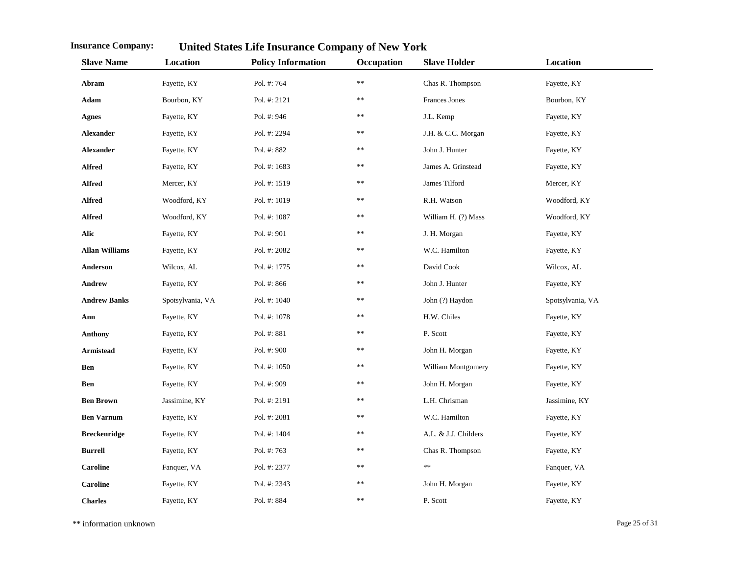| <b>Slave Name</b>     | Location         | <b>Policy Information</b> | Occupation    | <b>Slave Holder</b>  | Location         |
|-----------------------|------------------|---------------------------|---------------|----------------------|------------------|
| Abram                 | Fayette, KY      | Pol. #: 764               | $\ast\ast$    | Chas R. Thompson     | Fayette, KY      |
| Adam                  | Bourbon, KY      | Pol. #: 2121              | $\ast$        | Frances Jones        | Bourbon, KY      |
| <b>Agnes</b>          | Fayette, KY      | Pol. #: 946               | **            | J.L. Kemp            | Fayette, KY      |
| <b>Alexander</b>      | Fayette, KY      | Pol. #: 2294              | **            | J.H. & C.C. Morgan   | Fayette, KY      |
| <b>Alexander</b>      | Fayette, KY      | Pol. #: 882               | **            | John J. Hunter       | Fayette, KY      |
| <b>Alfred</b>         | Fayette, KY      | Pol. #: 1683              | **            | James A. Grinstead   | Fayette, KY      |
| <b>Alfred</b>         | Mercer, KY       | Pol. #: 1519              | **            | James Tilford        | Mercer, KY       |
| <b>Alfred</b>         | Woodford, KY     | Pol. #: 1019              | **            | R.H. Watson          | Woodford, KY     |
| <b>Alfred</b>         | Woodford, KY     | Pol. #: 1087              | **            | William H. (?) Mass  | Woodford, KY     |
| Alic                  | Fayette, KY      | Pol. #: 901               | $**$          | J. H. Morgan         | Fayette, KY      |
| <b>Allan Williams</b> | Fayette, KY      | Pol. #: 2082              | **            | W.C. Hamilton        | Fayette, KY      |
| Anderson              | Wilcox, AL       | Pol. #: 1775              | **            | David Cook           | Wilcox, AL       |
| Andrew                | Fayette, KY      | Pol. #: 866               | **            | John J. Hunter       | Fayette, KY      |
| <b>Andrew Banks</b>   | Spotsylvania, VA | Pol. #: 1040              | **            | John (?) Haydon      | Spotsylvania, VA |
| Ann                   | Fayette, KY      | Pol. #: 1078              | **            | H.W. Chiles          | Fayette, KY      |
| Anthony               | Fayette, KY      | Pol. #: 881               | $**$          | P. Scott             | Fayette, KY      |
| <b>Armistead</b>      | Fayette, KY      | Pol. #: 900               | **            | John H. Morgan       | Fayette, KY      |
| Ben                   | Fayette, KY      | Pol. #: 1050              | $\ast\ast$    | William Montgomery   | Fayette, KY      |
| Ben                   | Fayette, KY      | Pol. #: 909               | **            | John H. Morgan       | Fayette, KY      |
| <b>Ben Brown</b>      | Jassimine, KY    | Pol. #: 2191              | $\ast$        | L.H. Chrisman        | Jassimine, KY    |
| <b>Ben Varnum</b>     | Fayette, KY      | Pol. #: 2081              | $\ast$        | W.C. Hamilton        | Fayette, KY      |
| <b>Breckenridge</b>   | Fayette, KY      | Pol. #: 1404              | $\ast$ $\ast$ | A.L. & J.J. Childers | Fayette, KY      |
| <b>Burrell</b>        | Fayette, KY      | Pol. #: 763               | $\ast$        | Chas R. Thompson     | Fayette, KY      |
| <b>Caroline</b>       | Fanquer, VA      | Pol. #: 2377              | $\ast$        | $\ast\ast$           | Fanquer, VA      |
| <b>Caroline</b>       | Fayette, KY      | Pol. #: 2343              | $\ast$        | John H. Morgan       | Fayette, KY      |
| <b>Charles</b>        | Fayette, KY      | Pol. #: 884               | $\ast$        | P. Scott             | Fayette, KY      |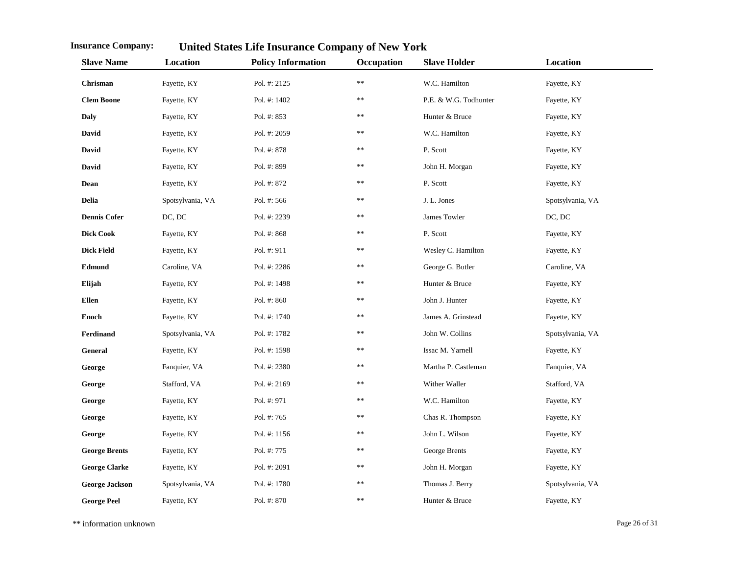| <b>Slave Name</b>     | Location         | <b>Policy Information</b> | Occupation | <b>Slave Holder</b>   | Location         |
|-----------------------|------------------|---------------------------|------------|-----------------------|------------------|
| Chrisman              | Fayette, KY      | Pol. #: 2125              | $\ast$     | W.C. Hamilton         | Fayette, KY      |
| <b>Clem Boone</b>     | Fayette, KY      | Pol. #: 1402              | **         | P.E. & W.G. Todhunter | Fayette, KY      |
| Daly                  | Fayette, KY      | Pol. #: 853               | **         | Hunter & Bruce        | Fayette, KY      |
| David                 | Fayette, KY      | Pol. #: 2059              | **         | W.C. Hamilton         | Fayette, KY      |
| David                 | Fayette, KY      | Pol. #: 878               | **         | P. Scott              | Fayette, KY      |
| David                 | Fayette, KY      | Pol. #: 899               | **         | John H. Morgan        | Fayette, KY      |
| Dean                  | Fayette, KY      | Pol. #: 872               | **         | P. Scott              | Fayette, KY      |
| Delia                 | Spotsylvania, VA | Pol. #: 566               | **         | J. L. Jones           | Spotsylvania, VA |
| <b>Dennis Cofer</b>   | DC, DC           | Pol. #: 2239              | **         | James Towler          | DC, DC           |
| <b>Dick Cook</b>      | Fayette, KY      | Pol. #: 868               | **         | P. Scott              | Fayette, KY      |
| <b>Dick Field</b>     | Fayette, KY      | Pol. #: 911               | **         | Wesley C. Hamilton    | Fayette, KY      |
| Edmund                | Caroline, VA     | Pol. #: 2286              | **         | George G. Butler      | Caroline, VA     |
| Elijah                | Fayette, KY      | Pol. #: 1498              | **         | Hunter & Bruce        | Fayette, KY      |
| <b>Ellen</b>          | Fayette, KY      | Pol. #: 860               | **         | John J. Hunter        | Fayette, KY      |
| <b>Enoch</b>          | Fayette, KY      | Pol. #: 1740              | **         | James A. Grinstead    | Fayette, KY      |
| Ferdinand             | Spotsylvania, VA | Pol. #: 1782              | **         | John W. Collins       | Spotsylvania, VA |
| General               | Fayette, KY      | Pol. #: 1598              | **         | Issac M. Yarnell      | Fayette, KY      |
| George                | Fanquier, VA     | Pol. #: 2380              | **         | Martha P. Castleman   | Fanquier, VA     |
| George                | Stafford, VA     | Pol. #: 2169              | **         | Wither Waller         | Stafford, VA     |
| George                | Fayette, KY      | Pol. #: 971               | **         | W.C. Hamilton         | Fayette, KY      |
| George                | Fayette, KY      | Pol. #: 765               | **         | Chas R. Thompson      | Fayette, KY      |
| George                | Fayette, KY      | Pol. #: 1156              | **         | John L. Wilson        | Fayette, KY      |
| <b>George Brents</b>  | Fayette, KY      | Pol. #: 775               | **         | George Brents         | Fayette, KY      |
| <b>George Clarke</b>  | Fayette, KY      | Pol. #: 2091              | **         | John H. Morgan        | Fayette, KY      |
| <b>George Jackson</b> | Spotsylvania, VA | Pol. #: 1780              | $**$       | Thomas J. Berry       | Spotsylvania, VA |
| <b>George Peel</b>    | Fayette, KY      | Pol. #: 870               | **         | Hunter & Bruce        | Fayette, KY      |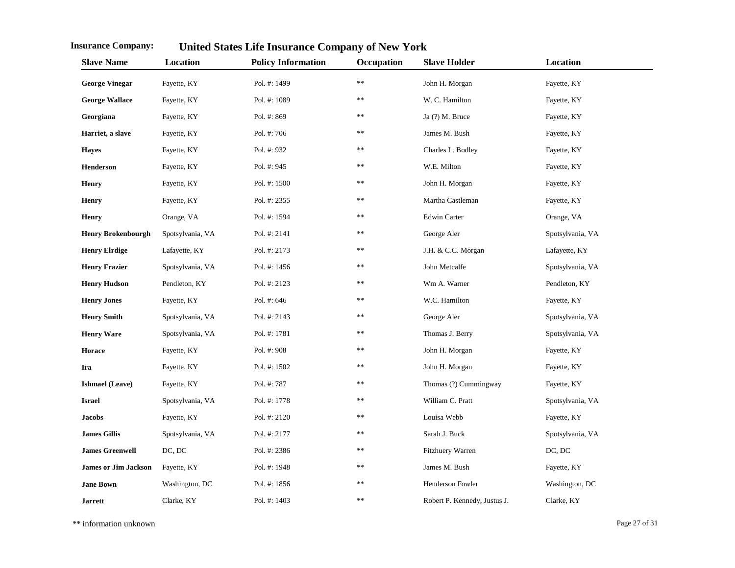| <b>Slave Name</b>           | Location         | <b>Policy Information</b> | Occupation    | <b>Slave Holder</b>          | Location         |
|-----------------------------|------------------|---------------------------|---------------|------------------------------|------------------|
| <b>George Vinegar</b>       | Fayette, KY      | Pol. #: 1499              | $**$          | John H. Morgan               | Fayette, KY      |
| <b>George Wallace</b>       | Fayette, KY      | Pol. #: 1089              | $\ast$        | W. C. Hamilton               | Fayette, KY      |
| Georgiana                   | Fayette, KY      | Pol. #: 869               | **            | Ja (?) M. Bruce              | Fayette, KY      |
| Harriet, a slave            | Fayette, KY      | Pol. #: 706               | **            | James M. Bush                | Fayette, KY      |
| <b>Hayes</b>                | Fayette, KY      | Pol. #: 932               | **            | Charles L. Bodley            | Fayette, KY      |
| <b>Henderson</b>            | Fayette, KY      | Pol. #: 945               | $\ast$ $\ast$ | W.E. Milton                  | Fayette, KY      |
| <b>Henry</b>                | Fayette, KY      | Pol. #: 1500              | **            | John H. Morgan               | Fayette, KY      |
| <b>Henry</b>                | Fayette, KY      | Pol. #: 2355              | **            | Martha Castleman             | Fayette, KY      |
| <b>Henry</b>                | Orange, VA       | Pol. #: 1594              | **            | <b>Edwin Carter</b>          | Orange, VA       |
| <b>Henry Brokenbourgh</b>   | Spotsylvania, VA | Pol. #: 2141              | $\ast$        | George Aler                  | Spotsylvania, VA |
| <b>Henry Elrdige</b>        | Lafayette, KY    | Pol. #: 2173              | **            | J.H. & C.C. Morgan           | Lafayette, KY    |
| <b>Henry Frazier</b>        | Spotsylvania, VA | Pol. #: 1456              | **            | John Metcalfe                | Spotsylvania, VA |
| <b>Henry Hudson</b>         | Pendleton, KY    | Pol. #: 2123              | **            | Wm A. Warner                 | Pendleton, KY    |
| <b>Henry Jones</b>          | Fayette, KY      | Pol. #: 646               | $\ast$ $\ast$ | W.C. Hamilton                | Fayette, KY      |
| <b>Henry Smith</b>          | Spotsylvania, VA | Pol. #: 2143              | **            | George Aler                  | Spotsylvania, VA |
| <b>Henry Ware</b>           | Spotsylvania, VA | Pol. #: 1781              | **            | Thomas J. Berry              | Spotsylvania, VA |
| Horace                      | Fayette, KY      | Pol. #: 908               | **            | John H. Morgan               | Fayette, KY      |
| Ira                         | Fayette, KY      | Pol. #: 1502              | **            | John H. Morgan               | Fayette, KY      |
| <b>Ishmael</b> (Leave)      | Fayette, KY      | Pol. #: 787               | **            | Thomas (?) Cummingway        | Fayette, KY      |
| <b>Israel</b>               | Spotsylvania, VA | Pol. #: 1778              | **            | William C. Pratt             | Spotsylvania, VA |
| <b>Jacobs</b>               | Fayette, KY      | Pol. #: 2120              | **            | Louisa Webb                  | Fayette, KY      |
| <b>James Gillis</b>         | Spotsylvania, VA | Pol. #: 2177              | $\ast$ $\ast$ | Sarah J. Buck                | Spotsylvania, VA |
| <b>James Greenwell</b>      | DC, DC           | Pol. #: 2386              | **            | Fitzhuery Warren             | DC, DC           |
| <b>James or Jim Jackson</b> | Fayette, KY      | Pol. #: 1948              | **            | James M. Bush                | Fayette, KY      |
| <b>Jane Bown</b>            | Washington, DC   | Pol. #: 1856              | **            | Henderson Fowler             | Washington, DC   |
| <b>Jarrett</b>              | Clarke, KY       | Pol. #: 1403              | $\ast$        | Robert P. Kennedy, Justus J. | Clarke, KY       |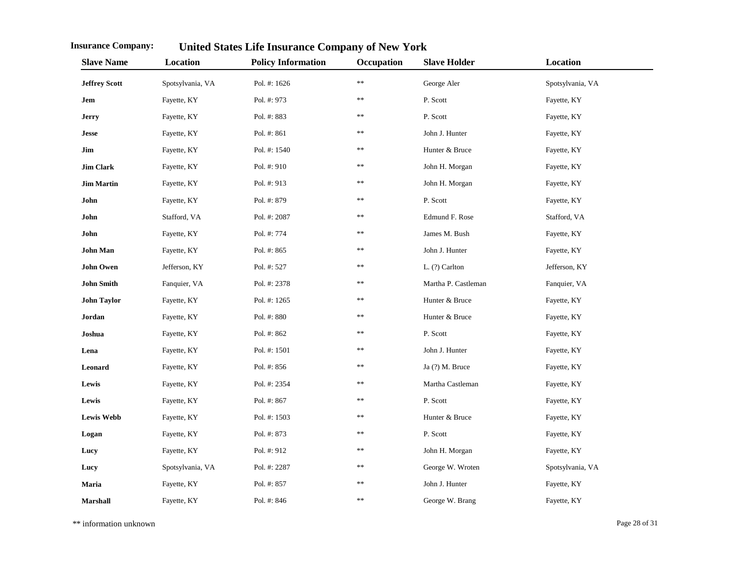| <b>Slave Name</b>    | Location         | <b>Policy Information</b> | Occupation | <b>Slave Holder</b> | Location         |
|----------------------|------------------|---------------------------|------------|---------------------|------------------|
| <b>Jeffrey Scott</b> | Spotsylvania, VA | Pol. #: 1626              | $**$       | George Aler         | Spotsylvania, VA |
| Jem                  | Fayette, KY      | Pol. #: 973               | **         | P. Scott            | Fayette, KY      |
| <b>Jerry</b>         | Fayette, KY      | Pol. #: 883               | $**$       | P. Scott            | Fayette, KY      |
| <b>Jesse</b>         | Fayette, KY      | Pol. #: 861               | **         | John J. Hunter      | Fayette, KY      |
| Jim                  | Fayette, KY      | Pol. #: 1540              | **         | Hunter & Bruce      | Fayette, KY      |
| <b>Jim Clark</b>     | Fayette, KY      | Pol. #: 910               | **         | John H. Morgan      | Fayette, KY      |
| <b>Jim Martin</b>    | Fayette, KY      | Pol. #: 913               | **         | John H. Morgan      | Fayette, KY      |
| John                 | Fayette, KY      | Pol. #: 879               | **         | P. Scott            | Fayette, KY      |
| John                 | Stafford, VA     | Pol. #: 2087              | **         | Edmund F. Rose      | Stafford, VA     |
| John                 | Fayette, KY      | Pol. #: 774               | **         | James M. Bush       | Fayette, KY      |
| <b>John Man</b>      | Fayette, KY      | Pol. #: 865               | **         | John J. Hunter      | Fayette, KY      |
| <b>John Owen</b>     | Jefferson, KY    | Pol. #: 527               | **         | $L.$ (?) Carlton    | Jefferson, KY    |
| <b>John Smith</b>    | Fanquier, VA     | Pol. #: 2378              | **         | Martha P. Castleman | Fanquier, VA     |
| <b>John Taylor</b>   | Fayette, KY      | Pol. #: 1265              | **         | Hunter & Bruce      | Fayette, KY      |
| Jordan               | Fayette, KY      | Pol. #: 880               | **         | Hunter & Bruce      | Fayette, KY      |
| Joshua               | Fayette, KY      | Pol. #: 862               | **         | P. Scott            | Fayette, KY      |
| Lena                 | Fayette, KY      | Pol. #: 1501              | **         | John J. Hunter      | Fayette, KY      |
| Leonard              | Fayette, KY      | Pol. #: 856               | **         | Ja (?) M. Bruce     | Fayette, KY      |
| Lewis                | Fayette, KY      | Pol. #: 2354              | **         | Martha Castleman    | Fayette, KY      |
| Lewis                | Fayette, KY      | Pol. #: 867               | **         | P. Scott            | Fayette, KY      |
| <b>Lewis Webb</b>    | Fayette, KY      | Pol. #: 1503              | **         | Hunter & Bruce      | Fayette, KY      |
| Logan                | Fayette, KY      | Pol. #: 873               | **         | P. Scott            | Fayette, KY      |
| Lucy                 | Fayette, KY      | Pol. #: 912               | **         | John H. Morgan      | Fayette, KY      |
| Lucy                 | Spotsylvania, VA | Pol. #: 2287              | **         | George W. Wroten    | Spotsylvania, VA |
| Maria                | Fayette, KY      | Pol. #: 857               | **         | John J. Hunter      | Fayette, KY      |
| <b>Marshall</b>      | Fayette, KY      | Pol. #: 846               | **         | George W. Brang     | Fayette, KY      |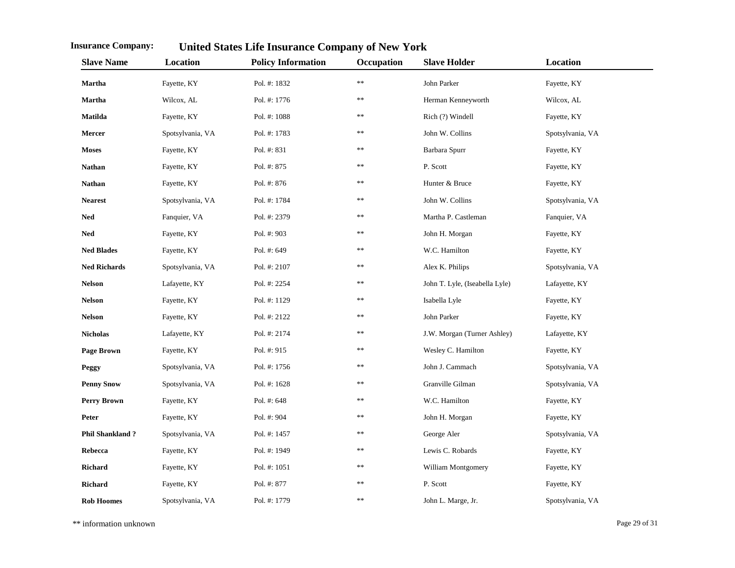| <b>Slave Name</b>      | Location         | <b>Policy Information</b> | Occupation | <b>Slave Holder</b>            | Location         |
|------------------------|------------------|---------------------------|------------|--------------------------------|------------------|
| <b>Martha</b>          | Fayette, KY      | Pol. #: 1832              | $\ast\ast$ | John Parker                    | Fayette, KY      |
| <b>Martha</b>          | Wilcox, AL       | Pol. #: 1776              | **         | Herman Kenneyworth             | Wilcox, AL       |
| <b>Matilda</b>         | Fayette, KY      | Pol. #: 1088              | **         | Rich (?) Windell               | Fayette, KY      |
| Mercer                 | Spotsylvania, VA | Pol. #: 1783              | **         | John W. Collins                | Spotsylvania, VA |
| <b>Moses</b>           | Fayette, KY      | Pol. #: 831               | **         | Barbara Spurr                  | Fayette, KY      |
| <b>Nathan</b>          | Fayette, KY      | Pol. #: 875               | **         | P. Scott                       | Fayette, KY      |
| <b>Nathan</b>          | Fayette, KY      | Pol. #: 876               | **         | Hunter & Bruce                 | Fayette, KY      |
| <b>Nearest</b>         | Spotsylvania, VA | Pol. #: 1784              | **         | John W. Collins                | Spotsylvania, VA |
| <b>Ned</b>             | Fanquier, VA     | Pol. #: 2379              | **         | Martha P. Castleman            | Fanquier, VA     |
| Ned                    | Fayette, KY      | Pol. #: 903               | **         | John H. Morgan                 | Fayette, KY      |
| <b>Ned Blades</b>      | Fayette, KY      | Pol. #: 649               | **         | W.C. Hamilton                  | Fayette, KY      |
| <b>Ned Richards</b>    | Spotsylvania, VA | Pol. #: 2107              | **         | Alex K. Philips                | Spotsylvania, VA |
| <b>Nelson</b>          | Lafayette, KY    | Pol. #: 2254              | **         | John T. Lyle, (Iseabella Lyle) | Lafayette, KY    |
| <b>Nelson</b>          | Fayette, KY      | Pol. #: 1129              | **         | Isabella Lyle                  | Fayette, KY      |
| <b>Nelson</b>          | Fayette, KY      | Pol. #: 2122              | **         | John Parker                    | Fayette, KY      |
| <b>Nicholas</b>        | Lafayette, KY    | Pol. #: 2174              | **         | J.W. Morgan (Turner Ashley)    | Lafayette, KY    |
| <b>Page Brown</b>      | Fayette, KY      | Pol. #: 915               | **         | Wesley C. Hamilton             | Fayette, KY      |
| Peggy                  | Spotsylvania, VA | Pol. #: 1756              | **         | John J. Cammach                | Spotsylvania, VA |
| <b>Penny Snow</b>      | Spotsylvania, VA | Pol. #: 1628              | **         | Granville Gilman               | Spotsylvania, VA |
| Perry Brown            | Fayette, KY      | Pol. #: 648               | **         | W.C. Hamilton                  | Fayette, KY      |
| Peter                  | Fayette, KY      | Pol. #: 904               | **         | John H. Morgan                 | Fayette, KY      |
| <b>Phil Shankland?</b> | Spotsylvania, VA | Pol. #: 1457              | **         | George Aler                    | Spotsylvania, VA |
| Rebecca                | Fayette, KY      | Pol. #: 1949              | **         | Lewis C. Robards               | Fayette, KY      |
| <b>Richard</b>         | Fayette, KY      | Pol. #: 1051              | **         | William Montgomery             | Fayette, KY      |
| <b>Richard</b>         | Fayette, KY      | Pol. #: 877               | **         | P. Scott                       | Fayette, KY      |
| <b>Rob Hoomes</b>      | Spotsylvania, VA | Pol. #: 1779              | **         | John L. Marge, Jr.             | Spotsylvania, VA |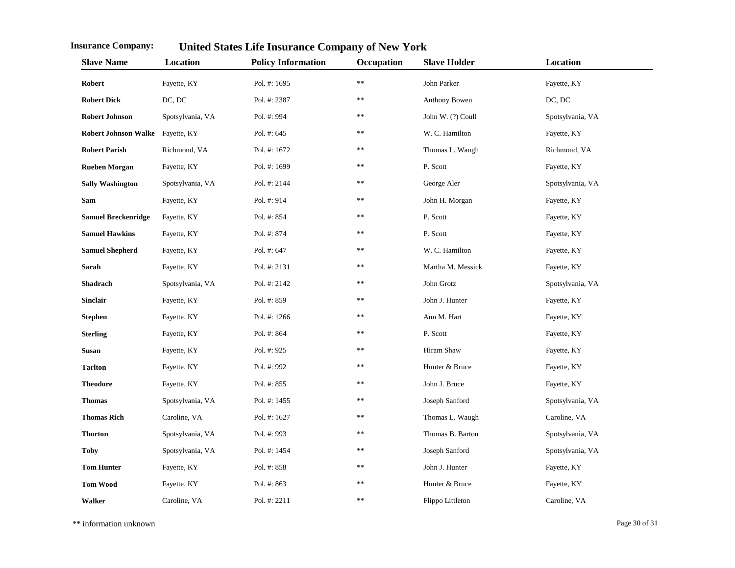| <b>Slave Name</b>                | Location         | <b>Policy Information</b> | Occupation    | <b>Slave Holder</b> | Location         |
|----------------------------------|------------------|---------------------------|---------------|---------------------|------------------|
| Robert                           | Fayette, KY      | Pol. #: 1695              | $\ast$ $\ast$ | John Parker         | Fayette, KY      |
| <b>Robert Dick</b>               | DC, DC           | Pol. #: 2387              | $\ast$ $\ast$ | Anthony Bowen       | DC, DC           |
| <b>Robert Johnson</b>            | Spotsylvania, VA | Pol. #: 994               | $**$          | John W. (?) Coull   | Spotsylvania, VA |
| Robert Johnson Walke Fayette, KY |                  | Pol. #: 645               | $\ast$ $\ast$ | W. C. Hamilton      | Fayette, KY      |
| <b>Robert Parish</b>             | Richmond, VA     | Pol. #: 1672              | $\ast$        | Thomas L. Waugh     | Richmond, VA     |
| <b>Rueben Morgan</b>             | Fayette, KY      | Pol. #: 1699              | $\ast$ $\ast$ | P. Scott            | Fayette, KY      |
| <b>Sally Washington</b>          | Spotsylvania, VA | Pol. #: 2144              | **            | George Aler         | Spotsylvania, VA |
| Sam                              | Fayette, KY      | Pol. #: 914               | $**$          | John H. Morgan      | Fayette, KY      |
| <b>Samuel Breckenridge</b>       | Fayette, KY      | Pol. #: 854               | $**$          | P. Scott            | Fayette, KY      |
| <b>Samuel Hawkins</b>            | Fayette, KY      | Pol. #: 874               | $**$          | P. Scott            | Fayette, KY      |
| <b>Samuel Shepherd</b>           | Fayette, KY      | Pol. #: 647               | **            | W. C. Hamilton      | Fayette, KY      |
| Sarah                            | Fayette, KY      | Pol. #: 2131              | **            | Martha M. Messick   | Fayette, KY      |
| Shadrach                         | Spotsylvania, VA | Pol. #: 2142              | **            | John Grotz          | Spotsylvania, VA |
| <b>Sinclair</b>                  | Fayette, KY      | Pol. #: 859               | **            | John J. Hunter      | Fayette, KY      |
| <b>Stephen</b>                   | Fayette, KY      | Pol. #: 1266              | **            | Ann M. Hart         | Fayette, KY      |
| <b>Sterling</b>                  | Fayette, KY      | Pol. #: 864               | **            | P. Scott            | Fayette, KY      |
| Susan                            | Fayette, KY      | Pol. #: 925               | **            | Hiram Shaw          | Fayette, KY      |
| <b>Tarlton</b>                   | Fayette, KY      | Pol. #: 992               | $\ast$        | Hunter & Bruce      | Fayette, KY      |
| <b>Theodore</b>                  | Fayette, KY      | Pol. #: 855               | $\ast$        | John J. Bruce       | Fayette, KY      |
| <b>Thomas</b>                    | Spotsylvania, VA | Pol. #: 1455              | $\ast$        | Joseph Sanford      | Spotsylvania, VA |
| <b>Thomas Rich</b>               | Caroline, VA     | Pol. #: 1627              | $\ast$        | Thomas L. Waugh     | Caroline, VA     |
| <b>Thorton</b>                   | Spotsylvania, VA | Pol. #: 993               | $\ast$        | Thomas B. Barton    | Spotsylvania, VA |
| <b>Toby</b>                      | Spotsylvania, VA | Pol. #: 1454              | **            | Joseph Sanford      | Spotsylvania, VA |
| <b>Tom Hunter</b>                | Fayette, KY      | Pol. #: 858               | **            | John J. Hunter      | Fayette, KY      |
| <b>Tom Wood</b>                  | Fayette, KY      | Pol. #: 863               | $\ast$        | Hunter & Bruce      | Fayette, KY      |
| <b>Walker</b>                    | Caroline, VA     | Pol. #: 2211              | $\ast$        | Flippo Littleton    | Caroline, VA     |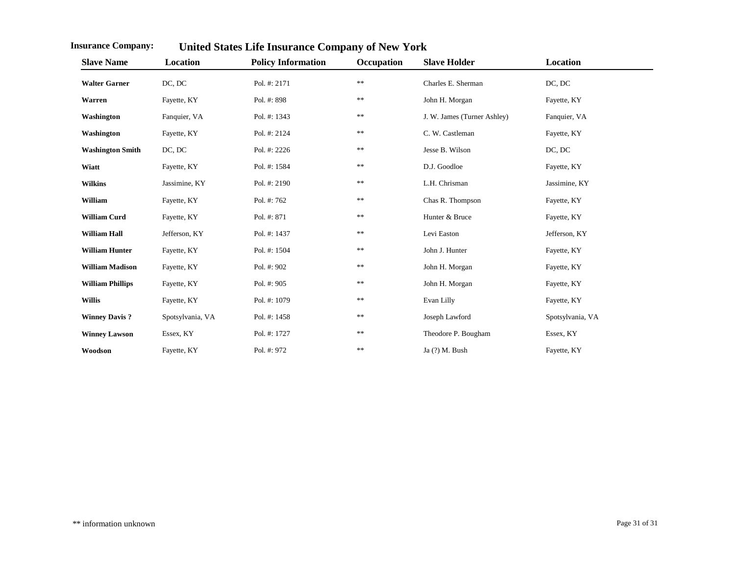| <b>Slave Name</b>       | Location         | <b>Policy Information</b> | Occupation | <b>Slave Holder</b>         | Location         |
|-------------------------|------------------|---------------------------|------------|-----------------------------|------------------|
| <b>Walter Garner</b>    | DC, DC           | Pol. #: 2171              | $\ast\ast$ | Charles E. Sherman          | DC, DC           |
| Warren                  | Fayette, KY      | Pol. #: 898               | **         | John H. Morgan              | Fayette, KY      |
| Washington              | Fanquier, VA     | Pol. #: 1343              | $\ast\ast$ | J. W. James (Turner Ashley) | Fanquier, VA     |
| Washington              | Fayette, KY      | Pol. #: 2124              | $\ast$     | C. W. Castleman             | Fayette, KY      |
| <b>Washington Smith</b> | DC, DC           | Pol. #: 2226              | $\ast$     | Jesse B. Wilson             | DC, DC           |
| Wiatt                   | Fayette, KY      | Pol. #: 1584              | **         | D.J. Goodloe                | Fayette, KY      |
| <b>Wilkins</b>          | Jassimine, KY    | Pol. #: 2190              | $\ast$     | L.H. Chrisman               | Jassimine, KY    |
| William                 | Fayette, KY      | Pol. #: 762               | **         | Chas R. Thompson            | Fayette, KY      |
| <b>William Curd</b>     | Fayette, KY      | Pol. #: 871               | **         | Hunter & Bruce              | Fayette, KY      |
| <b>William Hall</b>     | Jefferson, KY    | Pol. #: 1437              | **         | Levi Easton                 | Jefferson, KY    |
| <b>William Hunter</b>   | Fayette, KY      | Pol. #: 1504              | **         | John J. Hunter              | Fayette, KY      |
| <b>William Madison</b>  | Fayette, KY      | Pol. #: 902               | **         | John H. Morgan              | Fayette, KY      |
| <b>William Phillips</b> | Fayette, KY      | Pol. #: 905               | $\ast\ast$ | John H. Morgan              | Fayette, KY      |
| <b>Willis</b>           | Fayette, KY      | Pol. #: 1079              | $\ast\ast$ | Evan Lilly                  | Fayette, KY      |
| <b>Winney Davis?</b>    | Spotsylvania, VA | Pol. #: 1458              | $\ast\ast$ | Joseph Lawford              | Spotsylvania, VA |
| <b>Winney Lawson</b>    | Essex, KY        | Pol. #: 1727              | **         | Theodore P. Bougham         | Essex, KY        |
| Woodson                 | Fayette, KY      | Pol. #: 972               | **         | Ja (?) M. Bush              | Fayette, KY      |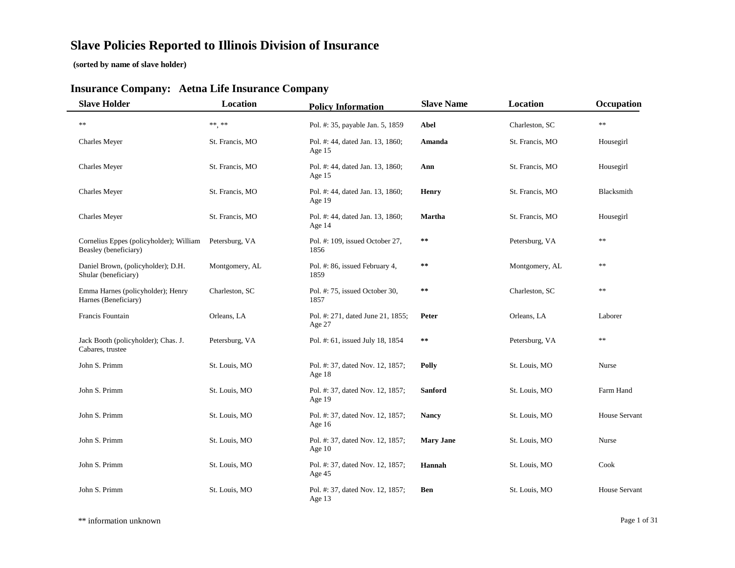## **Slave Policies Reported to Illinois Division of Insurance**

**(sorted by name of slave holder)**

#### **Insurance Com pan y: Aetna Life Insurance Com pan y**

| <b>Slave Holder</b>                                              | <b>Location</b> | <b>Policy Information</b>                    | <b>Slave Name</b> | Location        | Occupation           |
|------------------------------------------------------------------|-----------------|----------------------------------------------|-------------------|-----------------|----------------------|
| $\ast$ $\ast$                                                    | $***$ **        | Pol. #: 35, payable Jan. 5, 1859             | Abel              | Charleston, SC  | $\ast$               |
| Charles Meyer                                                    | St. Francis, MO | Pol. #: 44, dated Jan. 13, 1860;<br>Age $15$ | Amanda            | St. Francis, MO | Housegirl            |
| Charles Meyer                                                    | St. Francis, MO | Pol. #: 44, dated Jan. 13, 1860;<br>Age $15$ | Ann               | St. Francis, MO | Housegirl            |
| Charles Meyer                                                    | St. Francis, MO | Pol. #: 44, dated Jan. 13, 1860;<br>Age $19$ | <b>Henry</b>      | St. Francis, MO | Blacksmith           |
| Charles Meyer                                                    | St. Francis, MO | Pol. #: 44, dated Jan. 13, 1860;<br>Age 14   | <b>Martha</b>     | St. Francis, MO | Housegirl            |
| Cornelius Eppes (policyholder); William<br>Beasley (beneficiary) | Petersburg, VA  | Pol. #: 109, issued October 27,<br>1856      | $\pm$ $\pm$       | Petersburg, VA  | $\ast$ $\ast$        |
| Daniel Brown, (policyholder); D.H.<br>Shular (beneficiary)       | Montgomery, AL  | Pol. #: 86, issued February 4,<br>1859       | $\pm$ $\pm$       | Montgomery, AL  | $\ast$ $\ast$        |
| Emma Harnes (policyholder); Henry<br>Harnes (Beneficiary)        | Charleston, SC  | Pol. #: 75, issued October 30,<br>1857       | $\ast$ $\ast$     | Charleston, SC  | $\ast$ $\ast$        |
| Francis Fountain                                                 | Orleans, LA     | Pol. #: 271, dated June 21, 1855;<br>Age 27  | Peter             | Orleans, LA     | Laborer              |
| Jack Booth (policyholder); Chas. J.<br>Cabares, trustee          | Petersburg, VA  | Pol. #: 61, issued July 18, 1854             | $\pm$ $\pm$       | Petersburg, VA  | $\ast$ $\ast$        |
| John S. Primm                                                    | St. Louis, MO   | Pol. #: 37, dated Nov. 12, 1857;<br>Age 18   | Polly             | St. Louis, MO   | Nurse                |
| John S. Primm                                                    | St. Louis, MO   | Pol. #: 37, dated Nov. 12, 1857;<br>Age 19   | <b>Sanford</b>    | St. Louis, MO   | Farm Hand            |
| John S. Primm                                                    | St. Louis, MO   | Pol. #: 37, dated Nov. 12, 1857;<br>Age 16   | <b>Nancy</b>      | St. Louis, MO   | House Servant        |
| John S. Primm                                                    | St. Louis, MO   | Pol. #: 37, dated Nov. 12, 1857;<br>Age $10$ | <b>Mary Jane</b>  | St. Louis, MO   | Nurse                |
| John S. Primm                                                    | St. Louis, MO   | Pol. #: 37, dated Nov. 12, 1857;<br>Age 45   | Hannah            | St. Louis, MO   | Cook                 |
| John S. Primm                                                    | St. Louis, MO   | Pol. #: 37, dated Nov. 12, 1857;<br>Age 13   | Ben               | St. Louis, MO   | <b>House Servant</b> |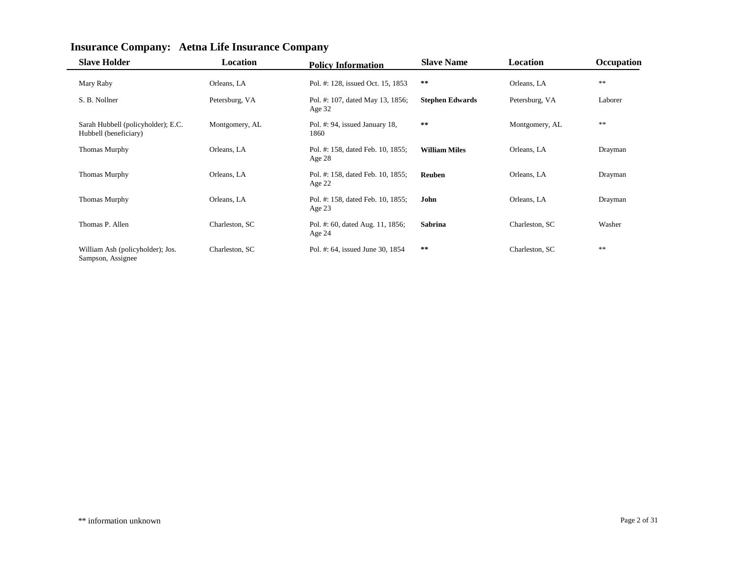| <b>Slave Holder</b>                                         | <b>Location</b> | <b>Policy Information</b>                     | <b>Slave Name</b>      | Location       | Occupation |
|-------------------------------------------------------------|-----------------|-----------------------------------------------|------------------------|----------------|------------|
| Mary Raby                                                   | Orleans, LA     | Pol. #: 128, issued Oct. 15, 1853             | $\star$ $\star$        | Orleans, LA    | $\ast$     |
| S. B. Nollner                                               | Petersburg, VA  | Pol. #: 107, dated May 13, 1856;<br>Age $32$  | <b>Stephen Edwards</b> | Petersburg, VA | Laborer    |
| Sarah Hubbell (policyholder); E.C.<br>Hubbell (beneficiary) | Montgomery, AL  | Pol. #: 94, issued January 18,<br>1860        | $* *$                  | Montgomery, AL | **         |
| <b>Thomas Murphy</b>                                        | Orleans, LA     | Pol. #: 158, dated Feb. 10, 1855;<br>Age 28   | <b>William Miles</b>   | Orleans, LA    | Drayman    |
| <b>Thomas Murphy</b>                                        | Orleans, LA     | Pol. #: 158, dated Feb. 10, 1855;<br>Age $22$ | Reuben                 | Orleans, LA    | Drayman    |
| <b>Thomas Murphy</b>                                        | Orleans, LA     | Pol. #: 158, dated Feb. 10, 1855;<br>Age 23   | John                   | Orleans, LA    | Drayman    |
| Thomas P. Allen                                             | Charleston, SC  | Pol. #: 60, dated Aug. 11, 1856;<br>Age 24    | Sabrina                | Charleston, SC | Washer     |
| William Ash (policyholder); Jos.<br>Sampson, Assignee       | Charleston, SC  | Pol. #: 64, issued June 30, 1854              | $\pm\, \pm$            | Charleston, SC | $\ast$     |

## **Insurance Company: Aetna Life Insurance Company**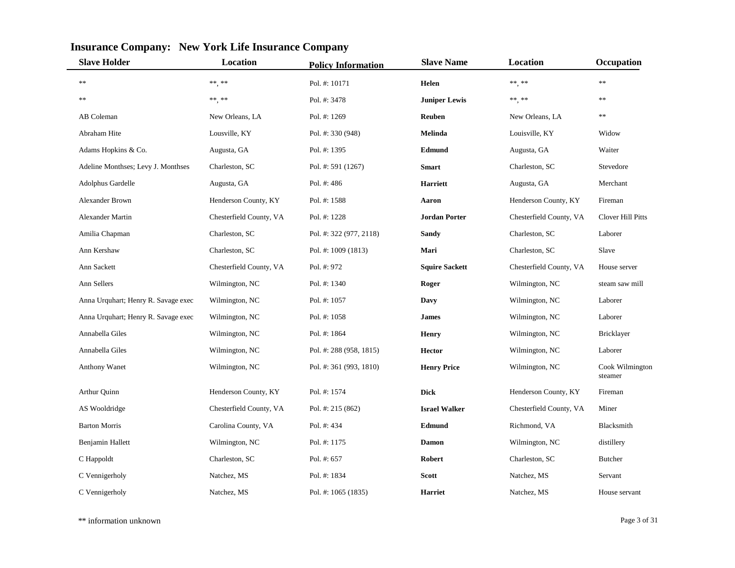| <b>Slave Holder</b>                 | <b>Location</b>         | <b>Policy Information</b> | <b>Slave Name</b>     | Location                | Occupation                 |
|-------------------------------------|-------------------------|---------------------------|-----------------------|-------------------------|----------------------------|
| $\ast$ $\ast$                       | $***$ , $***$           | Pol. #: 10171             | Helen                 | ** **                   | **                         |
| $\ast$ $\ast$                       | $***$ **                | Pol. #: 3478              | <b>Juniper Lewis</b>  | $\ast\ast\ast\ast\ast$  | $**$                       |
| AB Coleman                          | New Orleans, LA         | Pol. #: 1269              | <b>Reuben</b>         | New Orleans, LA         | **                         |
| Abraham Hite                        | Lousville, KY           | Pol. #: 330 (948)         | Melinda               | Louisville, KY          | Widow                      |
| Adams Hopkins & Co.                 | Augusta, GA             | Pol. #: 1395              | Edmund                | Augusta, GA             | Waiter                     |
| Adeline Monthses; Levy J. Monthses  | Charleston, SC          | Pol. #: 591 (1267)        | <b>Smart</b>          | Charleston, SC          | Stevedore                  |
| Adolphus Gardelle                   | Augusta, GA             | Pol. #: 486               | <b>Harriett</b>       | Augusta, GA             | Merchant                   |
| <b>Alexander Brown</b>              | Henderson County, KY    | Pol. #: 1588              | Aaron                 | Henderson County, KY    | Fireman                    |
| <b>Alexander Martin</b>             | Chesterfield County, VA | Pol. #: 1228              | <b>Jordan Porter</b>  | Chesterfield County, VA | Clover Hill Pitts          |
| Amilia Chapman                      | Charleston, SC          | Pol. #: 322 (977, 2118)   | <b>Sandy</b>          | Charleston, SC          | Laborer                    |
| Ann Kershaw                         | Charleston, SC          | Pol. #: 1009 (1813)       | Mari                  | Charleston, SC          | Slave                      |
| Ann Sackett                         | Chesterfield County, VA | Pol. #: 972               | <b>Squire Sackett</b> | Chesterfield County, VA | House server               |
| Ann Sellers                         | Wilmington, NC          | Pol. #: 1340              | Roger                 | Wilmington, NC          | steam saw mill             |
| Anna Urquhart; Henry R. Savage exec | Wilmington, NC          | Pol. #: 1057              | Davy                  | Wilmington, NC          | Laborer                    |
| Anna Urquhart; Henry R. Savage exec | Wilmington, NC          | Pol. #: 1058              | <b>James</b>          | Wilmington, NC          | Laborer                    |
| Annabella Giles                     | Wilmington, NC          | Pol. #: 1864              | <b>Henry</b>          | Wilmington, NC          | Bricklayer                 |
| Annabella Giles                     | Wilmington, NC          | Pol. #: 288 (958, 1815)   | <b>Hector</b>         | Wilmington, NC          | Laborer                    |
| <b>Anthony Wanet</b>                | Wilmington, NC          | Pol. #: 361 (993, 1810)   | <b>Henry Price</b>    | Wilmington, NC          | Cook Wilmington<br>steamer |
| Arthur Quinn                        | Henderson County, KY    | Pol. #: 1574              | <b>Dick</b>           | Henderson County, KY    | Fireman                    |
| AS Wooldridge                       | Chesterfield County, VA | Pol. #: 215 (862)         | <b>Israel Walker</b>  | Chesterfield County, VA | Miner                      |
| <b>Barton Morris</b>                | Carolina County, VA     | Pol. #: 434               | Edmund                | Richmond, VA            | Blacksmith                 |
| Benjamin Hallett                    | Wilmington, NC          | Pol. #: 1175              | <b>Damon</b>          | Wilmington, NC          | distillery                 |
| C Happoldt                          | Charleston, SC          | Pol. #: 657               | Robert                | Charleston, SC          | <b>Butcher</b>             |
| C Vennigerholy                      | Natchez, MS             | Pol. #: 1834              | <b>Scott</b>          | Natchez, MS             | Servant                    |
| C Vennigerholy                      | Natchez, MS             | Pol. #: 1065 (1835)       | <b>Harriet</b>        | Natchez, MS             | House servant              |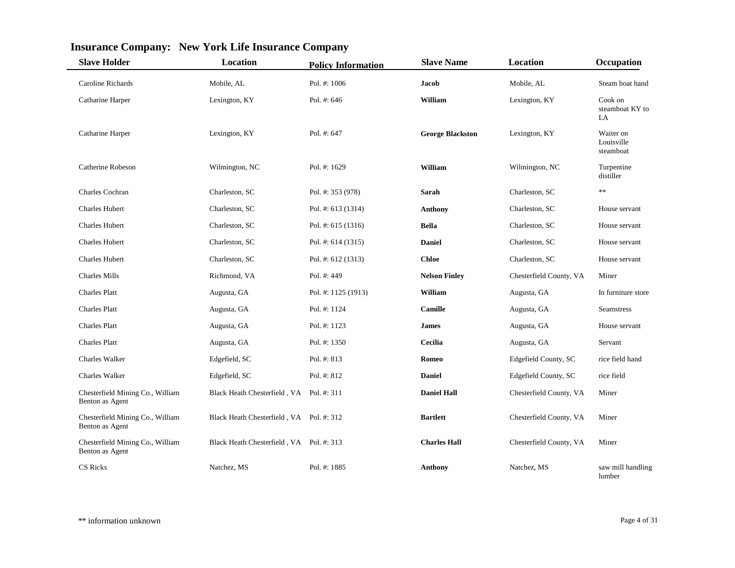| <b>Slave Holder</b>                                 | <b>Location</b>                          | <b>Policy Information</b> | <b>Slave Name</b>       | Location                | Occupation                           |
|-----------------------------------------------------|------------------------------------------|---------------------------|-------------------------|-------------------------|--------------------------------------|
| Caroline Richards                                   | Mobile, AL                               | Pol. #: 1006              | <b>Jacob</b>            | Mobile, AL              | Steam boat hand                      |
| Catharine Harper                                    | Lexington, KY                            | Pol. #: 646               | William                 | Lexington, KY           | Cook on<br>steamboat KY to<br>LA     |
| Catharine Harper                                    | Lexington, KY                            | Pol. #: 647               | <b>George Blackston</b> | Lexington, KY           | Waiter on<br>Louisville<br>steamboat |
| Catherine Robeson                                   | Wilmington, NC                           | Pol. #: 1629              | William                 | Wilmington, NC          | Turpentine<br>distiller              |
| Charles Cochran                                     | Charleston, SC                           | Pol. #: 353 (978)         | Sarah                   | Charleston, SC          | **                                   |
| <b>Charles Hubert</b>                               | Charleston, SC                           | Pol. #: $613(1314)$       | <b>Anthony</b>          | Charleston, SC          | House servant                        |
| <b>Charles Hubert</b>                               | Charleston, SC                           | Pol. #: $615(1316)$       | <b>Bella</b>            | Charleston, SC          | House servant                        |
| <b>Charles Hubert</b>                               | Charleston, SC                           | Pol. #: 614 (1315)        | <b>Daniel</b>           | Charleston, SC          | House servant                        |
| <b>Charles Hubert</b>                               | Charleston, SC                           | Pol. #: $612(1313)$       | <b>Chloe</b>            | Charleston, SC          | House servant                        |
| <b>Charles Mills</b>                                | Richmond, VA                             | Pol. #: 449               | <b>Nelson Finley</b>    | Chesterfield County, VA | Miner                                |
| <b>Charles Platt</b>                                | Augusta, GA                              | Pol. #: 1125 (1913)       | William                 | Augusta, GA             | In furniture store                   |
| <b>Charles Platt</b>                                | Augusta, GA                              | Pol. #: 1124              | <b>Camille</b>          | Augusta, GA             | <b>Seamstress</b>                    |
| <b>Charles Platt</b>                                | Augusta, GA                              | Pol. #: 1123              | <b>James</b>            | Augusta, GA             | House servant                        |
| <b>Charles Platt</b>                                | Augusta, GA                              | Pol. #: 1350              | Cecilia                 | Augusta, GA             | Servant                              |
| Charles Walker                                      | Edgefield, SC                            | Pol. #: 813               | Romeo                   | Edgefield County, SC    | rice field hand                      |
| <b>Charles Walker</b>                               | Edgefield, SC                            | Pol. #: 812               | <b>Daniel</b>           | Edgefield County, SC    | rice field                           |
| Chesterfield Mining Co., William<br>Benton as Agent | Black Heath Chesterfield, VA Pol. #: 311 |                           | <b>Daniel Hall</b>      | Chesterfield County, VA | Miner                                |
| Chesterfield Mining Co., William<br>Benton as Agent | Black Heath Chesterfield, VA Pol. #: 312 |                           | <b>Bartlett</b>         | Chesterfield County, VA | Miner                                |
| Chesterfield Mining Co., William<br>Benton as Agent | Black Heath Chesterfield, VA Pol. #: 313 |                           | <b>Charles Hall</b>     | Chesterfield County, VA | Miner                                |
| CS Ricks                                            | Natchez, MS                              | Pol. #: 1885              | <b>Anthony</b>          | Natchez, MS             | saw mill handling<br>lumber          |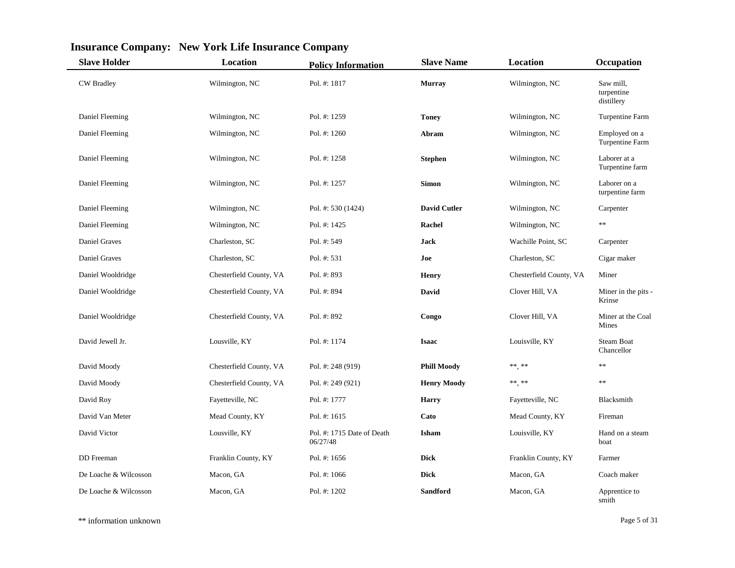| <b>Slave Holder</b>   | <b>Location</b>         | <b>Policy Information</b>              | <b>Slave Name</b>   | Location                | Occupation                            |
|-----------------------|-------------------------|----------------------------------------|---------------------|-------------------------|---------------------------------------|
| <b>CW</b> Bradley     | Wilmington, NC          | Pol. #: 1817                           | <b>Murray</b>       | Wilmington, NC          | Saw mill.<br>turpentine<br>distillery |
| Daniel Fleeming       | Wilmington, NC          | Pol. #: 1259                           | <b>Toney</b>        | Wilmington, NC          | Turpentine Farm                       |
| Daniel Fleeming       | Wilmington, NC          | Pol. #: 1260                           | Abram               | Wilmington, NC          | Employed on a<br>Turpentine Farm      |
| Daniel Fleeming       | Wilmington, NC          | Pol. #: 1258                           | <b>Stephen</b>      | Wilmington, NC          | Laborer at a<br>Turpentine farm       |
| Daniel Fleeming       | Wilmington, NC          | Pol. #: 1257                           | <b>Simon</b>        | Wilmington, NC          | Laborer on a<br>turpentine farm       |
| Daniel Fleeming       | Wilmington, NC          | Pol. #: 530 (1424)                     | <b>David Cutler</b> | Wilmington, NC          | Carpenter                             |
| Daniel Fleeming       | Wilmington, NC          | Pol. #: 1425                           | <b>Rachel</b>       | Wilmington, NC          | $\ast$                                |
| Daniel Graves         | Charleston, SC          | Pol. #: 549                            | Jack                | Wachille Point, SC      | Carpenter                             |
| Daniel Graves         | Charleston, SC          | Pol. #: 531                            | Joe                 | Charleston, SC          | Cigar maker                           |
| Daniel Wooldridge     | Chesterfield County, VA | Pol. #: 893                            | <b>Henry</b>        | Chesterfield County, VA | Miner                                 |
| Daniel Wooldridge     | Chesterfield County, VA | Pol. #: 894                            | David               | Clover Hill, VA         | Miner in the pits -<br>Krinse         |
| Daniel Wooldridge     | Chesterfield County, VA | Pol. #: 892                            | Congo               | Clover Hill, VA         | Miner at the Coal<br>Mines            |
| David Jewell Jr.      | Lousville, KY           | Pol. #: 1174                           | <b>Isaac</b>        | Louisville, KY          | <b>Steam Boat</b><br>Chancellor       |
| David Moody           | Chesterfield County, VA | Pol. #: 248 (919)                      | <b>Phill Moody</b>  | $***$ , **              | $**$                                  |
| David Moody           | Chesterfield County, VA | Pol. #: 249 (921)                      | <b>Henry Moody</b>  | $***$ **                | $**$                                  |
| David Roy             | Fayetteville, NC        | Pol. #: 1777                           | <b>Harry</b>        | Fayetteville, NC        | Blacksmith                            |
| David Van Meter       | Mead County, KY         | Pol. #: 1615                           | Cato                | Mead County, KY         | Fireman                               |
| David Victor          | Lousville, KY           | Pol. #: 1715 Date of Death<br>06/27/48 | Isham               | Louisville, KY          | Hand on a steam<br>boat               |
| DD Freeman            | Franklin County, KY     | Pol. #: 1656                           | <b>Dick</b>         | Franklin County, KY     | Farmer                                |
| De Loache & Wilcosson | Macon, GA               | Pol. #: 1066                           | <b>Dick</b>         | Macon, GA               | Coach maker                           |
| De Loache & Wilcosson | Macon, GA               | Pol. #: 1202                           | Sandford            | Macon, GA               | Apprentice to<br>smith                |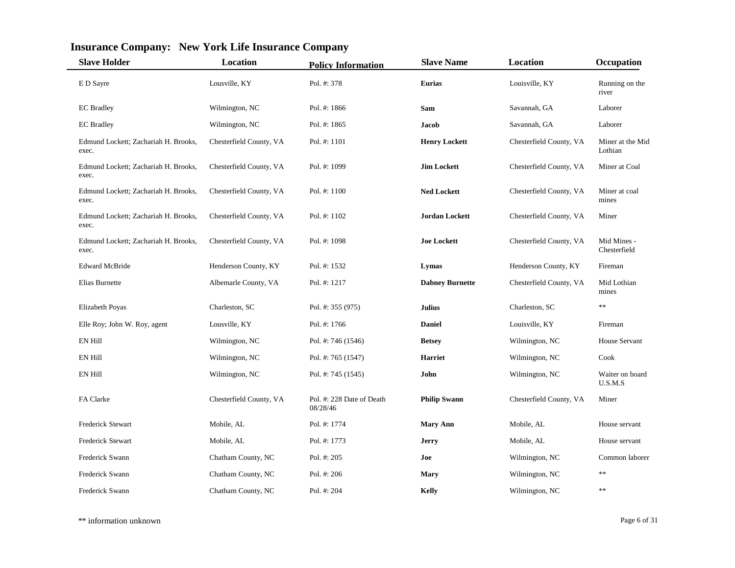| <b>Slave Holder</b>                           | Location                | <b>Policy Information</b>             | <b>Slave Name</b>      | Location                | Occupation                  |
|-----------------------------------------------|-------------------------|---------------------------------------|------------------------|-------------------------|-----------------------------|
| E D Sayre                                     | Lousville, KY           | Pol. #: 378                           | <b>Eurias</b>          | Louisville, KY          | Running on the<br>river     |
| <b>EC</b> Bradley                             | Wilmington, NC          | Pol. #: 1866                          | Sam                    | Savannah, GA            | Laborer                     |
| <b>EC</b> Bradley                             | Wilmington, NC          | Pol. #: 1865                          | Jacob                  | Savannah, GA            | Laborer                     |
| Edmund Lockett; Zachariah H. Brooks,<br>exec. | Chesterfield County, VA | Pol. #: 1101                          | <b>Henry Lockett</b>   | Chesterfield County, VA | Miner at the Mid<br>Lothian |
| Edmund Lockett; Zachariah H. Brooks,<br>exec. | Chesterfield County, VA | Pol. #: 1099                          | <b>Jim Lockett</b>     | Chesterfield County, VA | Miner at Coal               |
| Edmund Lockett; Zachariah H. Brooks,<br>exec. | Chesterfield County, VA | Pol. $\#: 1100$                       | <b>Ned Lockett</b>     | Chesterfield County, VA | Miner at coal<br>mines      |
| Edmund Lockett; Zachariah H. Brooks,<br>exec. | Chesterfield County, VA | Pol. #: $1102$                        | Jordan Lockett         | Chesterfield County, VA | Miner                       |
| Edmund Lockett; Zachariah H. Brooks,<br>exec. | Chesterfield County, VA | Pol. $\#$ : 1098                      | <b>Joe Lockett</b>     | Chesterfield County, VA | Mid Mines -<br>Chesterfield |
| <b>Edward McBride</b>                         | Henderson County, KY    | Pol. #: 1532                          | Lymas                  | Henderson County, KY    | Fireman                     |
| Elias Burnette                                | Albemarle County, VA    | Pol. #: 1217                          | <b>Dabney Burnette</b> | Chesterfield County, VA | Mid Lothian<br>mines        |
| Elizabeth Poyas                               | Charleston, SC          | Pol. #: 355 (975)                     | <b>Julius</b>          | Charleston, SC          | $**$                        |
| Elle Roy; John W. Roy, agent                  | Lousville, KY           | Pol. #: 1766                          | <b>Daniel</b>          | Louisville, KY          | Fireman                     |
| EN Hill                                       | Wilmington, NC          | Pol. #: 746 (1546)                    | <b>Betsey</b>          | Wilmington, NC          | <b>House Servant</b>        |
| <b>EN Hill</b>                                | Wilmington, NC          | Pol. #: 765 (1547)                    | <b>Harriet</b>         | Wilmington, NC          | Cook                        |
| <b>EN Hill</b>                                | Wilmington, NC          | Pol. #: 745 (1545)                    | John                   | Wilmington, NC          | Waiter on board<br>U.S.M.S  |
| FA Clarke                                     | Chesterfield County, VA | Pol. #: 228 Date of Death<br>08/28/46 | <b>Philip Swann</b>    | Chesterfield County, VA | Miner                       |
| <b>Frederick Stewart</b>                      | Mobile, AL              | Pol. #: 1774                          | <b>Mary Ann</b>        | Mobile, AL              | House servant               |
| <b>Frederick Stewart</b>                      | Mobile, AL              | Pol. #: 1773                          | <b>Jerry</b>           | Mobile, AL              | House servant               |
| <b>Frederick Swann</b>                        | Chatham County, NC      | Pol. #: 205                           | Joe                    | Wilmington, NC          | Common laborer              |
| Frederick Swann                               | Chatham County, NC      | Pol. #: 206                           | <b>Mary</b>            | Wilmington, NC          | **                          |
| <b>Frederick Swann</b>                        | Chatham County, NC      | Pol. #: 204                           | Kelly                  | Wilmington, NC          | **                          |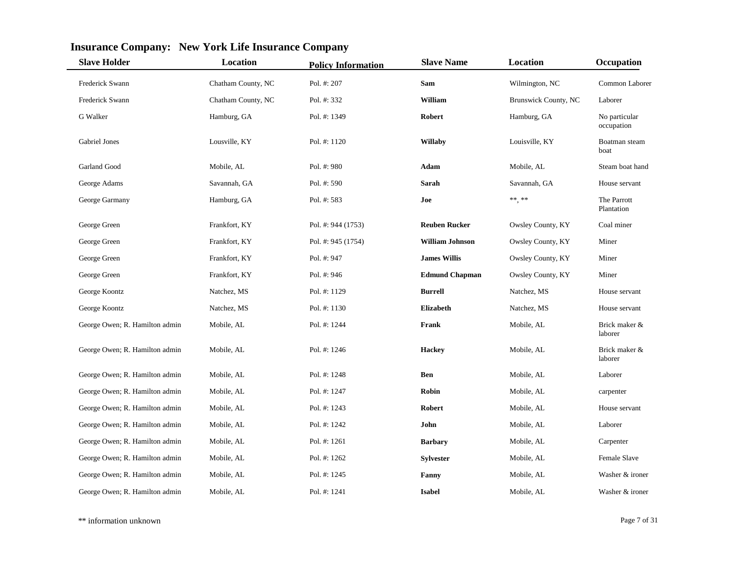| <b>Slave Holder</b>            | <b>Location</b>    | <b>Policy Information</b> | <b>Slave Name</b>      | Location                    | Occupation                  |
|--------------------------------|--------------------|---------------------------|------------------------|-----------------------------|-----------------------------|
| Frederick Swann                | Chatham County, NC | Pol. #: 207               | Sam                    | Wilmington, NC              | Common Laborer              |
| Frederick Swann                | Chatham County, NC | Pol. #: 332               | William                | <b>Brunswick County, NC</b> | Laborer                     |
| G Walker                       | Hamburg, GA        | Pol. #: 1349              | <b>Robert</b>          | Hamburg, GA                 | No particular<br>occupation |
| Gabriel Jones                  | Lousville, KY      | Pol. #: 1120              | Willaby                | Louisville, KY              | Boatman steam<br>boat       |
| Garland Good                   | Mobile, AL         | Pol. #: 980               | Adam                   | Mobile, AL                  | Steam boat hand             |
| George Adams                   | Savannah, GA       | Pol. #: 590               | Sarah                  | Savannah, GA                | House servant               |
| George Garmany                 | Hamburg, GA        | Pol. #: 583               | Joe                    | $\ast\ast,\ast\ast$         | The Parrott<br>Plantation   |
| George Green                   | Frankfort, KY      | Pol. #: 944 (1753)        | <b>Reuben Rucker</b>   | Owsley County, KY           | Coal miner                  |
| George Green                   | Frankfort, KY      | Pol. #: 945 (1754)        | <b>William Johnson</b> | Owsley County, KY           | Miner                       |
| George Green                   | Frankfort, KY      | Pol. #: 947               | <b>James Willis</b>    | Owsley County, KY           | Miner                       |
| George Green                   | Frankfort, KY      | Pol. #: 946               | <b>Edmund Chapman</b>  | Owsley County, KY           | Miner                       |
| George Koontz                  | Natchez, MS        | Pol. #: 1129              | <b>Burrell</b>         | Natchez, MS                 | House servant               |
| George Koontz                  | Natchez, MS        | Pol. #: 1130              | <b>Elizabeth</b>       | Natchez, MS                 | House servant               |
| George Owen; R. Hamilton admin | Mobile, AL         | Pol. #: 1244              | Frank                  | Mobile, AL                  | Brick maker &<br>laborer    |
| George Owen; R. Hamilton admin | Mobile, AL         | Pol. #: 1246              | <b>Hackey</b>          | Mobile, AL                  | Brick maker &<br>laborer    |
| George Owen; R. Hamilton admin | Mobile, AL         | Pol. #: 1248              | <b>Ben</b>             | Mobile, AL                  | Laborer                     |
| George Owen; R. Hamilton admin | Mobile, AL         | Pol. #: 1247              | <b>Robin</b>           | Mobile, AL                  | carpenter                   |
| George Owen; R. Hamilton admin | Mobile, AL         | Pol. $\#$ : 1243          | <b>Robert</b>          | Mobile, AL                  | House servant               |
| George Owen; R. Hamilton admin | Mobile, AL         | Pol. #: 1242              | John                   | Mobile, AL                  | Laborer                     |
| George Owen; R. Hamilton admin | Mobile, AL         | Pol. #: 1261              | <b>Barbary</b>         | Mobile, AL                  | Carpenter                   |
| George Owen; R. Hamilton admin | Mobile, AL         | Pol. #: 1262              | <b>Sylvester</b>       | Mobile, AL                  | Female Slave                |
| George Owen; R. Hamilton admin | Mobile, AL         | Pol. #: 1245              | Fanny                  | Mobile, AL                  | Washer & ironer             |
| George Owen; R. Hamilton admin | Mobile, AL         | Pol. #: 1241              | <b>Isabel</b>          | Mobile, AL                  | Washer & ironer             |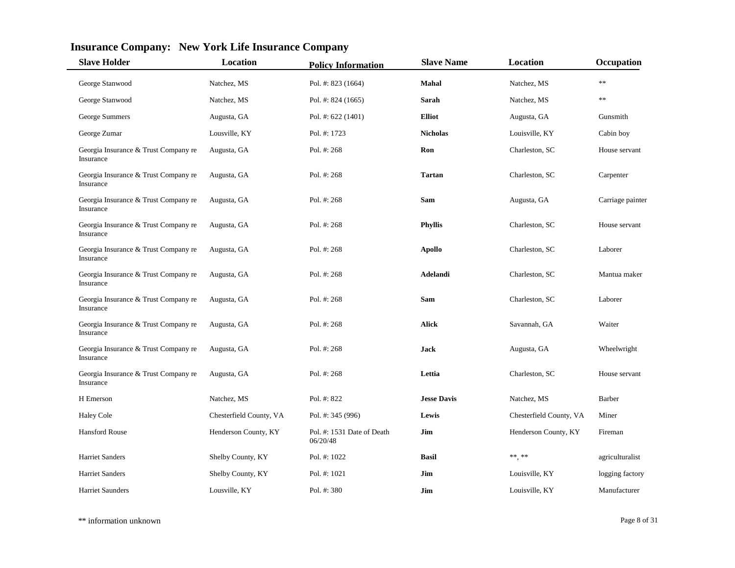| <b>Slave Holder</b>                               | <b>Location</b>         | <b>Policy Information</b>              | <b>Slave Name</b>  | Location                | Occupation       |
|---------------------------------------------------|-------------------------|----------------------------------------|--------------------|-------------------------|------------------|
| George Stanwood                                   | Natchez, MS             | Pol. #: 823 (1664)                     | Mahal              | Natchez, MS             | $\ast$           |
| George Stanwood                                   | Natchez, MS             | Pol. #: 824 (1665)                     | Sarah              | Natchez, MS             | **               |
| George Summers                                    | Augusta, GA             | Pol. #: 622 (1401)                     | <b>Elliot</b>      | Augusta, GA             | Gunsmith         |
| George Zumar                                      | Lousville, KY           | Pol. #: 1723                           | <b>Nicholas</b>    | Louisville, KY          | Cabin boy        |
| Georgia Insurance & Trust Company re<br>Insurance | Augusta, GA             | Pol. #: 268                            | Ron                | Charleston, SC          | House servant    |
| Georgia Insurance & Trust Company re<br>Insurance | Augusta, GA             | Pol. #: 268                            | <b>Tartan</b>      | Charleston, SC          | Carpenter        |
| Georgia Insurance & Trust Company re<br>Insurance | Augusta, GA             | Pol. #: 268                            | Sam                | Augusta, GA             | Carriage painter |
| Georgia Insurance & Trust Company re<br>Insurance | Augusta, GA             | Pol. #: 268                            | <b>Phyllis</b>     | Charleston, SC          | House servant    |
| Georgia Insurance & Trust Company re<br>Insurance | Augusta, GA             | Pol. #: 268                            | <b>Apollo</b>      | Charleston, SC          | Laborer          |
| Georgia Insurance & Trust Company re<br>Insurance | Augusta, GA             | Pol. #: 268                            | Adelandi           | Charleston, SC          | Mantua maker     |
| Georgia Insurance & Trust Company re<br>Insurance | Augusta, GA             | Pol. #: 268                            | Sam                | Charleston, SC          | Laborer          |
| Georgia Insurance & Trust Company re<br>Insurance | Augusta, GA             | Pol. #: 268                            | <b>Alick</b>       | Savannah, GA            | Waiter           |
| Georgia Insurance & Trust Company re<br>Insurance | Augusta, GA             | Pol. #: 268                            | <b>Jack</b>        | Augusta, GA             | Wheelwright      |
| Georgia Insurance & Trust Company re<br>Insurance | Augusta, GA             | Pol. #: 268                            | Lettia             | Charleston, SC          | House servant    |
| H Emerson                                         | Natchez, MS             | Pol. #: 822                            | <b>Jesse Davis</b> | Natchez, MS             | <b>Barber</b>    |
| <b>Haley Cole</b>                                 | Chesterfield County, VA | Pol. #: 345 (996)                      | Lewis              | Chesterfield County, VA | Miner            |
| Hansford Rouse                                    | Henderson County, KY    | Pol. #: 1531 Date of Death<br>06/20/48 | Jim                | Henderson County, KY    | Fireman          |
| <b>Harriet Sanders</b>                            | Shelby County, KY       | Pol. #: 1022                           | <b>Basil</b>       | $\ast\ast,\ast\ast$     | agriculturalist  |
| <b>Harriet Sanders</b>                            | Shelby County, KY       | Pol. #: 1021                           | Jim                | Louisville, KY          | logging factory  |
| <b>Harriet Saunders</b>                           | Lousville, KY           | Pol. #: 380                            | Jim                | Louisville, KY          | Manufacturer     |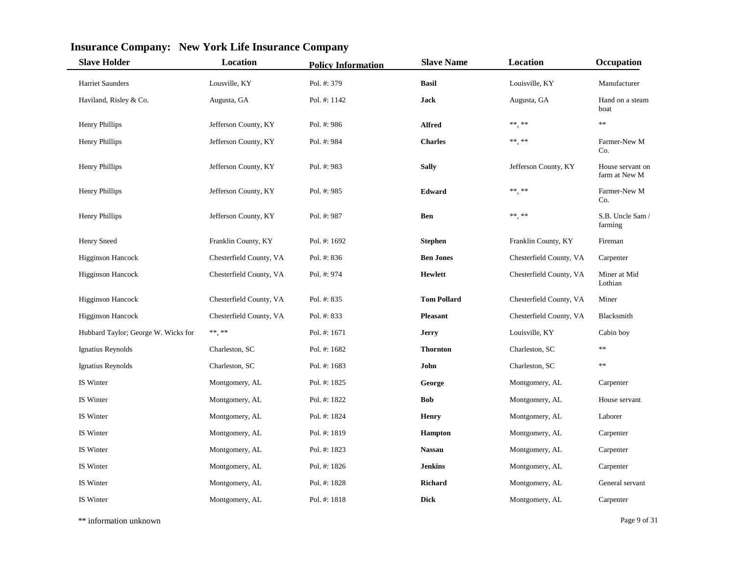| <b>Slave Holder</b>                 | Location                | <b>Policy Information</b> | <b>Slave Name</b>  | Location                | Occupation                        |
|-------------------------------------|-------------------------|---------------------------|--------------------|-------------------------|-----------------------------------|
| <b>Harriet Saunders</b>             | Lousville, KY           | Pol. #: 379               | <b>Basil</b>       | Louisville, KY          | Manufacturer                      |
| Haviland, Risley & Co.              | Augusta, GA             | Pol. #: 1142              | Jack               | Augusta, GA             | Hand on a steam<br>boat           |
| Henry Phillips                      | Jefferson County, KY    | Pol. #: 986               | <b>Alfred</b>      | $***$ **                | $**$                              |
| Henry Phillips                      | Jefferson County, KY    | Pol. #: 984               | <b>Charles</b>     | $***$ **                | Farmer-New M<br>Co.               |
| Henry Phillips                      | Jefferson County, KY    | Pol. #: 983               | <b>Sally</b>       | Jefferson County, KY    | House servant on<br>farm at New M |
| Henry Phillips                      | Jefferson County, KY    | Pol. #: 985               | Edward             | $***$ **                | Farmer-New M<br>Co.               |
| Henry Phillips                      | Jefferson County, KY    | Pol. #: 987               | <b>Ben</b>         | $***$ **                | S.B. Uncle Sam /<br>farming       |
| <b>Henry Sneed</b>                  | Franklin County, KY     | Pol. #: 1692              | <b>Stephen</b>     | Franklin County, KY     | Fireman                           |
| <b>Higginson Hancock</b>            | Chesterfield County, VA | Pol. #: 836               | <b>Ben Jones</b>   | Chesterfield County, VA | Carpenter                         |
| <b>Higginson Hancock</b>            | Chesterfield County, VA | Pol. #: 974               | <b>Hewlett</b>     | Chesterfield County, VA | Miner at Mid<br>Lothian           |
| <b>Higginson Hancock</b>            | Chesterfield County, VA | Pol. #: 835               | <b>Tom Pollard</b> | Chesterfield County, VA | Miner                             |
| <b>Higginson Hancock</b>            | Chesterfield County, VA | Pol. #: 833               | <b>Pleasant</b>    | Chesterfield County, VA | Blacksmith                        |
| Hubbard Taylor; George W. Wicks for | $\ast\ast,\,\ast\ast$   | Pol. #: 1671              | Jerry              | Louisville, KY          | Cabin boy                         |
| Ignatius Reynolds                   | Charleston, SC          | Pol. #: 1682              | <b>Thornton</b>    | Charleston, SC          | **                                |
| Ignatius Reynolds                   | Charleston, SC          | Pol. #: 1683              | John               | Charleston, SC          | $**$                              |
| IS Winter                           | Montgomery, AL          | Pol. #: 1825              | George             | Montgomery, AL          | Carpenter                         |
| IS Winter                           | Montgomery, AL          | Pol. #: 1822              | <b>Bob</b>         | Montgomery, AL          | House servant                     |
| IS Winter                           | Montgomery, AL          | Pol. #: 1824              | <b>Henry</b>       | Montgomery, AL          | Laborer                           |
| IS Winter                           | Montgomery, AL          | Pol. #: 1819              | <b>Hampton</b>     | Montgomery, AL          | Carpenter                         |
| IS Winter                           | Montgomery, AL          | Pol. #: 1823              | <b>Nassau</b>      | Montgomery, AL          | Carpenter                         |
| IS Winter                           | Montgomery, AL          | Pol. #: 1826              | <b>Jenkins</b>     | Montgomery, AL          | Carpenter                         |
| IS Winter                           | Montgomery, AL          | Pol. #: 1828              | Richard            | Montgomery, AL          | General servant                   |
| IS Winter                           | Montgomery, AL          | Pol. #: 1818              | <b>Dick</b>        | Montgomery, AL          | Carpenter                         |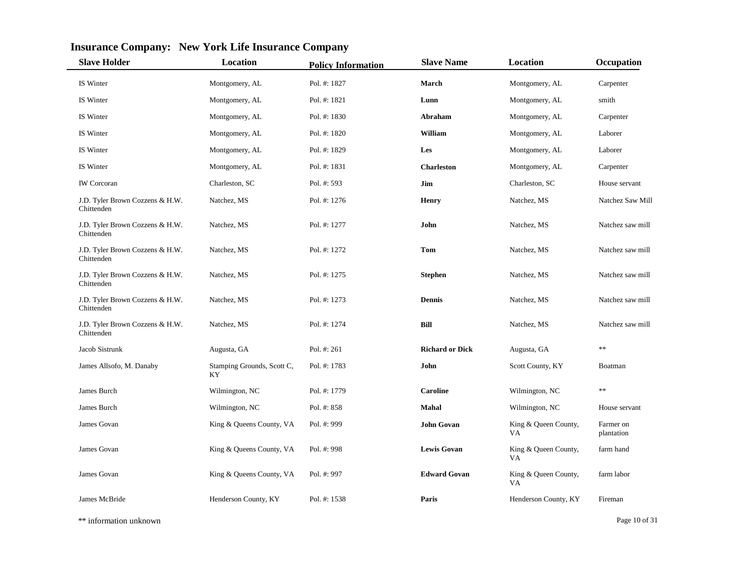| <b>Slave Holder</b>                           | Location                          | <b>Policy Information</b> | <b>Slave Name</b>      | Location                    | Occupation              |
|-----------------------------------------------|-----------------------------------|---------------------------|------------------------|-----------------------------|-------------------------|
| IS Winter                                     | Montgomery, AL                    | Pol. #: 1827              | March                  | Montgomery, AL              | Carpenter               |
| IS Winter                                     | Montgomery, AL                    | Pol. #: 1821              | Lunn                   | Montgomery, AL              | smith                   |
| IS Winter                                     | Montgomery, AL                    | Pol. #: 1830              | Abraham                | Montgomery, AL              | Carpenter               |
| IS Winter                                     | Montgomery, AL                    | Pol. #: 1820              | William                | Montgomery, AL              | Laborer                 |
| IS Winter                                     | Montgomery, AL                    | Pol. #: 1829              | Les                    | Montgomery, AL              | Laborer                 |
| IS Winter                                     | Montgomery, AL                    | Pol. #: 1831              | <b>Charleston</b>      | Montgomery, AL              | Carpenter               |
| <b>IW</b> Corcoran                            | Charleston, SC                    | Pol. #: 593               | Jim                    | Charleston, SC              | House servant           |
| J.D. Tyler Brown Cozzens & H.W.<br>Chittenden | Natchez, MS                       | Pol. #: 1276              | <b>Henry</b>           | Natchez, MS                 | Natchez Saw Mill        |
| J.D. Tyler Brown Cozzens & H.W.<br>Chittenden | Natchez, MS                       | Pol. #: 1277              | John                   | Natchez, MS                 | Natchez saw mill        |
| J.D. Tyler Brown Cozzens & H.W.<br>Chittenden | Natchez, MS                       | Pol. #: 1272              | Tom                    | Natchez, MS                 | Natchez saw mill        |
| J.D. Tyler Brown Cozzens & H.W.<br>Chittenden | Natchez, MS                       | Pol. #: 1275              | <b>Stephen</b>         | Natchez, MS                 | Natchez saw mill        |
| J.D. Tyler Brown Cozzens & H.W.<br>Chittenden | Natchez, MS                       | Pol. #: 1273              | <b>Dennis</b>          | Natchez, MS                 | Natchez saw mill        |
| J.D. Tyler Brown Cozzens & H.W.<br>Chittenden | Natchez, MS                       | Pol. #: 1274              | <b>Bill</b>            | Natchez, MS                 | Natchez saw mill        |
| Jacob Sistrunk                                | Augusta, GA                       | Pol. #: 261               | <b>Richard or Dick</b> | Augusta, GA                 | $**$                    |
| James Allsofo, M. Danaby                      | Stamping Grounds, Scott C,<br>KY. | Pol. #: 1783              | John                   | Scott County, KY            | Boatman                 |
| James Burch                                   | Wilmington, NC                    | Pol. #: 1779              | <b>Caroline</b>        | Wilmington, NC              | **                      |
| James Burch                                   | Wilmington, NC                    | Pol. #: 858               | Mahal                  | Wilmington, NC              | House servant           |
| James Govan                                   | King & Queens County, VA          | Pol. #: 999               | <b>John Govan</b>      | King & Queen County,<br>VA. | Farmer on<br>plantation |
| James Govan                                   | King & Queens County, VA          | Pol. #: 998               | <b>Lewis Govan</b>     | King & Queen County,<br>VA  | farm hand               |
| James Govan                                   | King & Queens County, VA          | Pol. #: 997               | <b>Edward Govan</b>    | King & Queen County,<br>VA  | farm labor              |
| James McBride                                 | Henderson County, KY              | Pol. #: 1538              | Paris                  | Henderson County, KY        | Fireman                 |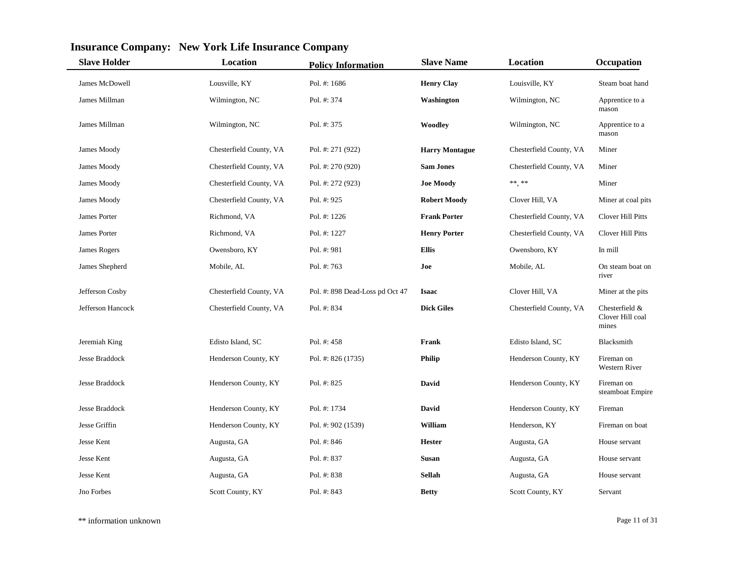| <b>Slave Holder</b>   | <b>Location</b>         | <b>Policy Information</b>       | <b>Slave Name</b>     | Location                | Occupation                                  |
|-----------------------|-------------------------|---------------------------------|-----------------------|-------------------------|---------------------------------------------|
| James McDowell        | Lousville, KY           | Pol. #: 1686                    | <b>Henry Clay</b>     | Louisville, KY          | Steam boat hand                             |
| James Millman         | Wilmington, NC          | Pol. #: 374                     | Washington            | Wilmington, NC          | Apprentice to a<br>mason                    |
| James Millman         | Wilmington, NC          | Pol. #: 375                     | Woodley               | Wilmington, NC          | Apprentice to a<br>mason                    |
| James Moody           | Chesterfield County, VA | Pol. #: 271 (922)               | <b>Harry Montague</b> | Chesterfield County, VA | Miner                                       |
| James Moody           | Chesterfield County, VA | Pol. #: 270 (920)               | <b>Sam Jones</b>      | Chesterfield County, VA | Miner                                       |
| James Moody           | Chesterfield County, VA | Pol. #: 272 (923)               | <b>Joe Moody</b>      | $***$ **                | Miner                                       |
| James Moody           | Chesterfield County, VA | Pol. #: 925                     | <b>Robert Moody</b>   | Clover Hill, VA         | Miner at coal pits                          |
| James Porter          | Richmond, VA            | Pol. #: 1226                    | <b>Frank Porter</b>   | Chesterfield County, VA | Clover Hill Pitts                           |
| James Porter          | Richmond, VA            | Pol. #: 1227                    | <b>Henry Porter</b>   | Chesterfield County, VA | Clover Hill Pitts                           |
| James Rogers          | Owensboro, KY           | Pol. #: 981                     | <b>Ellis</b>          | Owensboro, KY           | In mill                                     |
| James Shepherd        | Mobile, AL              | Pol. #: 763                     | Joe                   | Mobile, AL              | On steam boat on<br>river                   |
| Jefferson Cosby       | Chesterfield County, VA | Pol. #: 898 Dead-Loss pd Oct 47 | <b>Isaac</b>          | Clover Hill, VA         | Miner at the pits                           |
| Jefferson Hancock     | Chesterfield County, VA | Pol. #: 834                     | <b>Dick Giles</b>     | Chesterfield County, VA | Chesterfield &<br>Clover Hill coal<br>mines |
| Jeremiah King         | Edisto Island, SC       | Pol. #: 458                     | Frank                 | Edisto Island, SC       | Blacksmith                                  |
| Jesse Braddock        | Henderson County, KY    | Pol. #: 826 (1735)              | <b>Philip</b>         | Henderson County, KY    | Fireman on<br>Western River                 |
| <b>Jesse Braddock</b> | Henderson County, KY    | Pol. #: 825                     | David                 | Henderson County, KY    | Fireman on<br>steamboat Empire              |
| <b>Jesse Braddock</b> | Henderson County, KY    | Pol. #: 1734                    | <b>David</b>          | Henderson County, KY    | Fireman                                     |
| Jesse Griffin         | Henderson County, KY    | Pol. #: 902 (1539)              | William               | Henderson, KY           | Fireman on boat                             |
| Jesse Kent            | Augusta, GA             | Pol. #: 846                     | <b>Hester</b>         | Augusta, GA             | House servant                               |
| Jesse Kent            | Augusta, GA             | Pol. #: 837                     | <b>Susan</b>          | Augusta, GA             | House servant                               |
| Jesse Kent            | Augusta, GA             | Pol. #: 838                     | <b>Sellah</b>         | Augusta, GA             | House servant                               |
| Jno Forbes            | Scott County, KY        | Pol. #: 843                     | <b>Betty</b>          | Scott County, KY        | Servant                                     |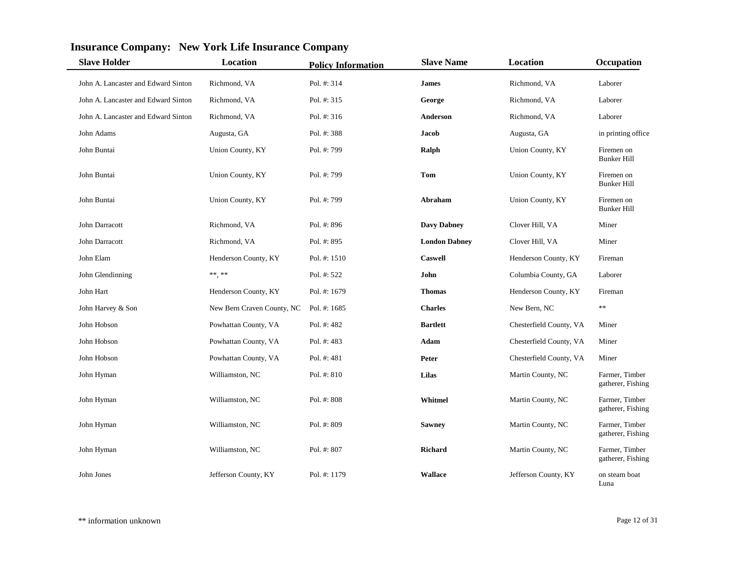| <b>Slave Holder</b>                 | Location                   | <b>Policy Information</b> | <b>Slave Name</b>    | Location                | Occupation                          |
|-------------------------------------|----------------------------|---------------------------|----------------------|-------------------------|-------------------------------------|
| John A. Lancaster and Edward Sinton | Richmond, VA               | Pol. #: 314               | <b>James</b>         | Richmond, VA            | Laborer                             |
| John A. Lancaster and Edward Sinton | Richmond, VA               | Pol. #: 315               | George               | Richmond, VA            | Laborer                             |
| John A. Lancaster and Edward Sinton | Richmond, VA               | Pol. $#: 316$             | Anderson             | Richmond, VA            | Laborer                             |
| John Adams                          | Augusta, GA                | Pol. #: 388               | Jacob                | Augusta, GA             | in printing office                  |
| John Buntai                         | Union County, KY           | Pol. #: 799               | Ralph                | Union County, KY        | Firemen on<br><b>Bunker Hill</b>    |
| John Buntai                         | Union County, KY           | Pol. #: 799               | Tom                  | Union County, KY        | Firemen on<br><b>Bunker Hill</b>    |
| John Buntai                         | Union County, KY           | Pol. #: 799               | Abraham              | Union County, KY        | Firemen on<br><b>Bunker Hill</b>    |
| John Darracott                      | Richmond, VA               | Pol. #: 896               | <b>Davy Dabney</b>   | Clover Hill, VA         | Miner                               |
| John Darracott                      | Richmond, VA               | Pol. #: 895               | <b>London Dabney</b> | Clover Hill, VA         | Miner                               |
| John Elam                           | Henderson County, KY       | Pol. #: 1510              | <b>Caswell</b>       | Henderson County, KY    | Fireman                             |
| John Glendinning                    | $\ast\ast\ast\ast$         | Pol. #: 522               | John                 | Columbia County, GA     | Laborer                             |
| John Hart                           | Henderson County, KY       | Pol. #: 1679              | <b>Thomas</b>        | Henderson County, KY    | Fireman                             |
| John Harvey & Son                   | New Bern Craven County, NC | Pol. #: 1685              | <b>Charles</b>       | New Bern, NC            | $\ast$                              |
| John Hobson                         | Powhattan County, VA       | Pol. #: 482               | <b>Bartlett</b>      | Chesterfield County, VA | Miner                               |
| John Hobson                         | Powhattan County, VA       | Pol. #: 483               | Adam                 | Chesterfield County, VA | Miner                               |
| John Hobson                         | Powhattan County, VA       | Pol. $#: 481$             | Peter                | Chesterfield County, VA | Miner                               |
| John Hyman                          | Williamston, NC            | Pol. #: 810               | Lilas                | Martin County, NC       | Farmer, Timber<br>gatherer, Fishing |
| John Hyman                          | Williamston, NC            | Pol. #: 808               | Whitmel              | Martin County, NC       | Farmer, Timber<br>gatherer, Fishing |
| John Hyman                          | Williamston, NC            | Pol. #: 809               | <b>Sawney</b>        | Martin County, NC       | Farmer, Timber<br>gatherer, Fishing |
| John Hyman                          | Williamston, NC            | Pol. #: 807               | Richard              | Martin County, NC       | Farmer, Timber<br>gatherer, Fishing |
| John Jones                          | Jefferson County, KY       | Pol. #: 1179              | <b>Wallace</b>       | Jefferson County, KY    | on steam boat<br>Luna               |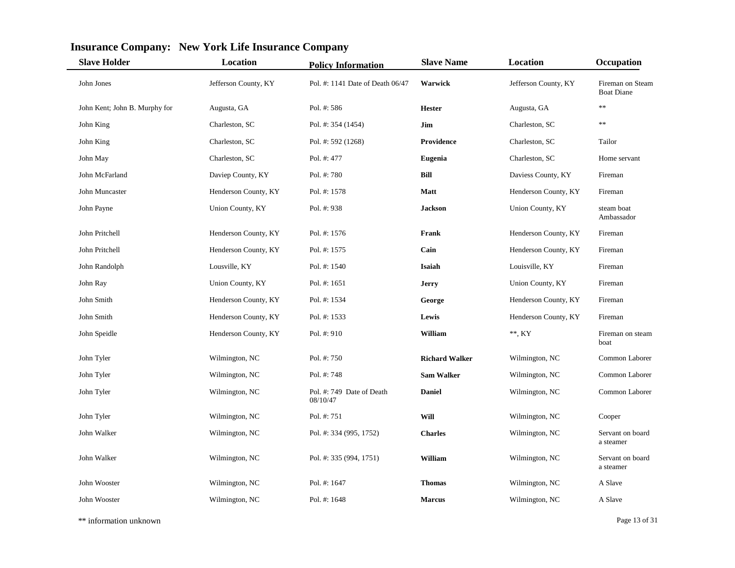| <b>Slave Holder</b>           | <b>Location</b>      | <b>Policy Information</b>             | <b>Slave Name</b>     | Location             | Occupation                            |
|-------------------------------|----------------------|---------------------------------------|-----------------------|----------------------|---------------------------------------|
| John Jones                    | Jefferson County, KY | Pol. #: 1141 Date of Death 06/47      | Warwick               | Jefferson County, KY | Fireman on Steam<br><b>Boat Diane</b> |
| John Kent; John B. Murphy for | Augusta, GA          | Pol. #: 586                           | <b>Hester</b>         | Augusta, GA          | $**$                                  |
| John King                     | Charleston, SC       | Pol. #: 354 (1454)                    | Jim                   | Charleston, SC       | $\ast$                                |
| John King                     | Charleston, SC       | Pol. #: 592 (1268)                    | <b>Providence</b>     | Charleston, SC       | Tailor                                |
| John May                      | Charleston, SC       | Pol. #: 477                           | <b>Eugenia</b>        | Charleston, SC       | Home servant                          |
| John McFarland                | Daviep County, KY    | Pol. #: 780                           | Bill                  | Daviess County, KY   | Fireman                               |
| John Muncaster                | Henderson County, KY | Pol. #: 1578                          | <b>Matt</b>           | Henderson County, KY | Fireman                               |
| John Payne                    | Union County, KY     | Pol. #: 938                           | <b>Jackson</b>        | Union County, KY     | steam boat<br>Ambassador              |
| John Pritchell                | Henderson County, KY | Pol. #: 1576                          | Frank                 | Henderson County, KY | Fireman                               |
| John Pritchell                | Henderson County, KY | Pol. #: 1575                          | Cain                  | Henderson County, KY | Fireman                               |
| John Randolph                 | Lousville, KY        | Pol. $\#: 1540$                       | Isaiah                | Louisville, KY       | Fireman                               |
| John Ray                      | Union County, KY     | Pol. #: 1651                          | Jerry                 | Union County, KY     | Fireman                               |
| John Smith                    | Henderson County, KY | Pol. #: 1534                          | George                | Henderson County, KY | Fireman                               |
| John Smith                    | Henderson County, KY | Pol. #: 1533                          | Lewis                 | Henderson County, KY | Fireman                               |
| John Speidle                  | Henderson County, KY | Pol. $#: 910$                         | William               | $**$ , KY            | Fireman on steam<br>boat              |
| John Tyler                    | Wilmington, NC       | Pol. #: 750                           | <b>Richard Walker</b> | Wilmington, NC       | Common Laborer                        |
| John Tyler                    | Wilmington, NC       | Pol. #: 748                           | <b>Sam Walker</b>     | Wilmington, NC       | Common Laborer                        |
| John Tyler                    | Wilmington, NC       | Pol. #: 749 Date of Death<br>08/10/47 | <b>Daniel</b>         | Wilmington, NC       | Common Laborer                        |
| John Tyler                    | Wilmington, NC       | Pol. #: 751                           | Will                  | Wilmington, NC       | Cooper                                |
| John Walker                   | Wilmington, NC       | Pol. #: 334 (995, 1752)               | <b>Charles</b>        | Wilmington, NC       | Servant on board<br>a steamer         |
| John Walker                   | Wilmington, NC       | Pol. #: 335 (994, 1751)               | William               | Wilmington, NC       | Servant on board<br>a steamer         |
| John Wooster                  | Wilmington, NC       | Pol. #: 1647                          | <b>Thomas</b>         | Wilmington, NC       | A Slave                               |
| John Wooster                  | Wilmington, NC       | Pol. #: 1648                          | <b>Marcus</b>         | Wilmington, NC       | A Slave                               |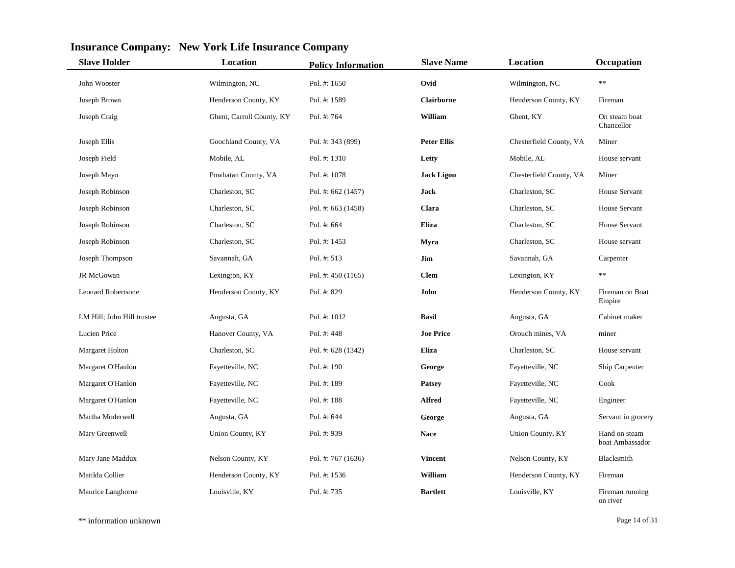| <b>Slave Holder</b>        | Location                  | <b>Policy Information</b> | <b>Slave Name</b>  | Location                | Occupation                       |
|----------------------------|---------------------------|---------------------------|--------------------|-------------------------|----------------------------------|
| John Wooster               | Wilmington, NC            | Pol. #: 1650              | Ovid               | Wilmington, NC          | $\ast$                           |
| Joseph Brown               | Henderson County, KY      | Pol. #: 1589              | <b>Clairborne</b>  | Henderson County, KY    | Fireman                          |
| Joseph Craig               | Ghent, Carroll County, KY | Pol. #: 764               | William            | Ghent, KY               | On steam boat<br>Chancellor      |
| Joseph Ellis               | Goochland County, VA      | Pol. #: 343 (899)         | <b>Peter Ellis</b> | Chesterfield County, VA | Miner                            |
| Joseph Field               | Mobile, AL                | Pol. #: 1310              | Letty              | Mobile, AL              | House servant                    |
| Joseph Mayo                | Powhatan County, VA       | Pol. #: 1078              | <b>Jack Ligou</b>  | Chesterfield County, VA | Miner                            |
| Joseph Robinson            | Charleston, SC            | Pol. #: 662 (1457)        | Jack               | Charleston, SC          | <b>House Servant</b>             |
| Joseph Robinson            | Charleston, SC            | Pol. #: 663 (1458)        | Clara              | Charleston, SC          | House Servant                    |
| Joseph Robinson            | Charleston, SC            | Pol. #: 664               | <b>Eliza</b>       | Charleston, SC          | House Servant                    |
| Joseph Robinson            | Charleston, SC            | Pol. #: 1453              | Myra               | Charleston, SC          | House servant                    |
| Joseph Thompson            | Savannah, GA              | Pol. $\#: 513$            | Jim                | Savannah, GA            | Carpenter                        |
| JR McGowan                 | Lexington, KY             | Pol. #: $450(1165)$       | <b>Clem</b>        | Lexington, KY           | $\ast\ast$                       |
| <b>Leonard Robertsone</b>  | Henderson County, KY      | Pol. #: 829               | John               | Henderson County, KY    | Fireman on Boat<br>Empire        |
| LM Hill; John Hill trustee | Augusta, GA               | Pol. #: 1012              | <b>Basil</b>       | Augusta, GA             | Cabinet maker                    |
| Lucien Price               | Hanover County, VA        | Pol. #: $448$             | <b>Joe Price</b>   | Orouch mines, VA        | miner                            |
| <b>Margaret Holton</b>     | Charleston, SC            | Pol. #: 628 (1342)        | Eliza              | Charleston, SC          | House servant                    |
| Margaret O'Hanlon          | Fayetteville, NC          | Pol. $#: 190$             | George             | Fayetteville, NC        | Ship Carpenter                   |
| Margaret O'Hanlon          | Fayetteville, NC          | Pol. #: 189               | <b>Patsey</b>      | Fayetteville, NC        | Cook                             |
| Margaret O'Hanlon          | Fayetteville, NC          | Pol. #: 188               | <b>Alfred</b>      | Fayetteville, NC        | Engineer                         |
| Martha Moderwell           | Augusta, GA               | Pol. #: 644               | George             | Augusta, GA             | Servant in grocery               |
| Mary Greenwell             | Union County, KY          | Pol. #: 939               | <b>Nace</b>        | Union County, KY        | Hand on steam<br>boat Ambassador |
| Mary Jane Maddux           | Nelson County, KY         | Pol. #: 767 (1636)        | <b>Vincent</b>     | Nelson County, KY       | Blacksmith                       |
| Matilda Collier            | Henderson County, KY      | Pol. #: 1536              | William            | Henderson County, KY    | Fireman                          |
| Maurice Langhorne          | Louisville, KY            | Pol. #: 735               | <b>Bartlett</b>    | Louisville, KY          | Fireman running<br>on river      |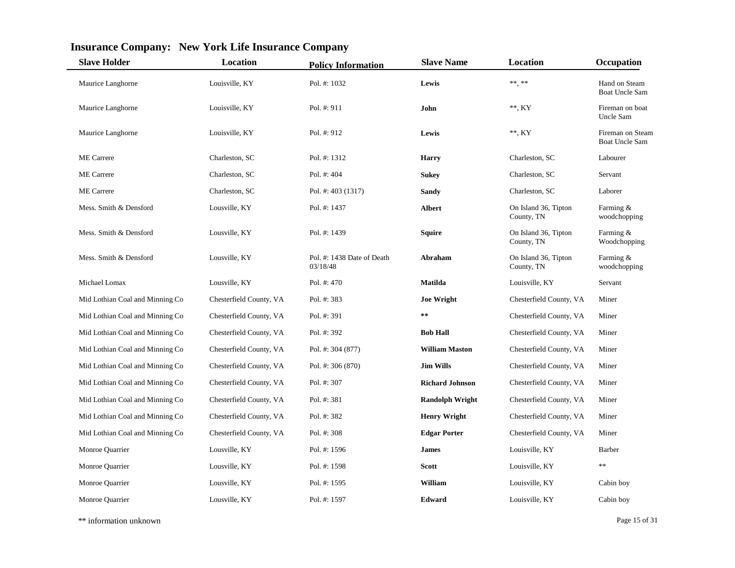| <b>Slave Holder</b>             | Location                | <b>Policy Information</b>              | <b>Slave Name</b>      | Location                           | Occupation                                |
|---------------------------------|-------------------------|----------------------------------------|------------------------|------------------------------------|-------------------------------------------|
| Maurice Langhorne               | Louisville, KY          | Pol. #: 1032                           | Lewis                  | $\ast\ast\ast\ast$                 | Hand on Steam<br><b>Boat Uncle Sam</b>    |
| Maurice Langhorne               | Louisville, KY          | Pol. #: 911                            | John                   | $**$ , KY                          | Fireman on boat<br>Uncle Sam              |
| Maurice Langhorne               | Louisville, KY          | Pol. #: 912                            | Lewis                  | $**$ , KY                          | Fireman on Steam<br><b>Boat Uncle Sam</b> |
| <b>ME</b> Carrere               | Charleston, SC          | Pol. #: 1312                           | <b>Harry</b>           | Charleston, SC                     | Labourer                                  |
| <b>ME</b> Carrere               | Charleston, SC          | Pol. #: 404                            | <b>Sukey</b>           | Charleston, SC                     | Servant                                   |
| <b>ME</b> Carrere               | Charleston, SC          | Pol. #: 403 (1317)                     | Sandy                  | Charleston, SC                     | Laborer                                   |
| Mess. Smith & Densford          | Lousville, KY           | Pol. #: 1437                           | <b>Albert</b>          | On Island 36, Tipton<br>County, TN | Farming &<br>woodchopping                 |
| Mess. Smith & Densford          | Lousville, KY           | Pol. #: 1439                           | Squire                 | On Island 36, Tipton<br>County, TN | Farming &<br>Woodchopping                 |
| Mess. Smith & Densford          | Lousville, KY           | Pol. #: 1438 Date of Death<br>03/18/48 | Abraham                | On Island 36, Tipton<br>County, TN | Farming &<br>woodchopping                 |
| Michael Lomax                   | Lousville, KY           | Pol. #: 470                            | <b>Matilda</b>         | Louisville, KY                     | Servant                                   |
| Mid Lothian Coal and Minning Co | Chesterfield County, VA | Pol. #: 383                            | <b>Joe Wright</b>      | Chesterfield County, VA            | Miner                                     |
| Mid Lothian Coal and Minning Co | Chesterfield County, VA | Pol. #: 391                            | $\pm$ $\pm$            | Chesterfield County, VA            | Miner                                     |
| Mid Lothian Coal and Minning Co | Chesterfield County, VA | Pol. #: 392                            | <b>Bob Hall</b>        | Chesterfield County, VA            | Miner                                     |
| Mid Lothian Coal and Minning Co | Chesterfield County, VA | Pol. #: 304 (877)                      | <b>William Maston</b>  | Chesterfield County, VA            | Miner                                     |
| Mid Lothian Coal and Minning Co | Chesterfield County, VA | Pol. #: 306 (870)                      | <b>Jim Wills</b>       | Chesterfield County, VA            | Miner                                     |
| Mid Lothian Coal and Minning Co | Chesterfield County, VA | Pol. #: 307                            | <b>Richard Johnson</b> | Chesterfield County, VA            | Miner                                     |
| Mid Lothian Coal and Minning Co | Chesterfield County, VA | Pol. #: 381                            | <b>Randolph Wright</b> | Chesterfield County, VA            | Miner                                     |
| Mid Lothian Coal and Minning Co | Chesterfield County, VA | Pol. #: 382                            | <b>Henry Wright</b>    | Chesterfield County, VA            | Miner                                     |
| Mid Lothian Coal and Minning Co | Chesterfield County, VA | Pol. #: 308                            | <b>Edgar Porter</b>    | Chesterfield County, VA            | Miner                                     |
| Monroe Quarrier                 | Lousville, KY           | Pol. #: 1596                           | <b>James</b>           | Louisville, KY                     | Barber                                    |
| Monroe Quarrier                 | Lousville, KY           | Pol. #: 1598                           | <b>Scott</b>           | Louisville, KY                     | $\ast\ast$                                |
| Monroe Quarrier                 | Lousville, KY           | Pol. #: 1595                           | William                | Louisville, KY                     | Cabin boy                                 |
| Monroe Quarrier                 | Lousville, KY           | Pol. #: 1597                           | <b>Edward</b>          | Louisville, KY                     | Cabin boy                                 |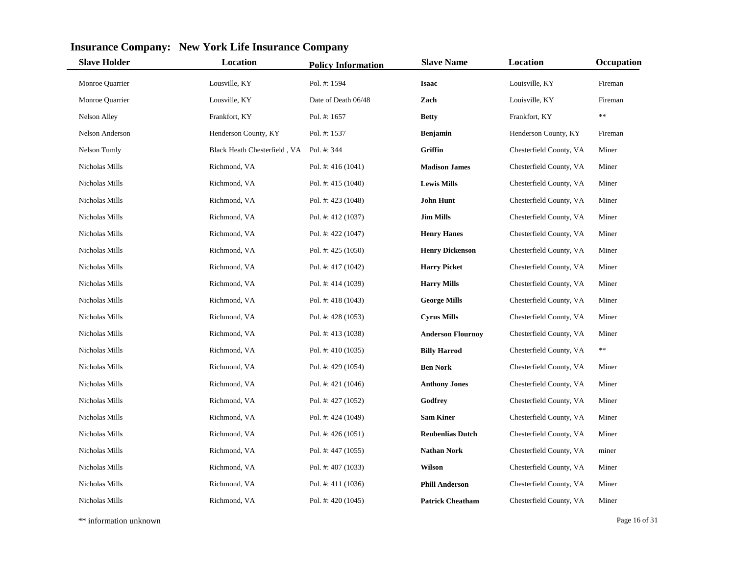| <b>Slave Holder</b> | <b>Location</b>              | <b>Policy Information</b> | <b>Slave Name</b>        | Location                | Occupation |
|---------------------|------------------------------|---------------------------|--------------------------|-------------------------|------------|
| Monroe Quarrier     | Lousville, KY                | Pol. #: 1594              | <b>Isaac</b>             | Louisville, KY          | Fireman    |
| Monroe Quarrier     | Lousville, KY                | Date of Death 06/48       | Zach                     | Louisville, KY          | Fireman    |
| Nelson Alley        | Frankfort, KY                | Pol. #: 1657              | <b>Betty</b>             | Frankfort, KY           | $\ast\ast$ |
| Nelson Anderson     | Henderson County, KY         | Pol. #: 1537              | <b>Benjamin</b>          | Henderson County, KY    | Fireman    |
| Nelson Tumly        | Black Heath Chesterfield, VA | Pol. #: 344               | Griffin                  | Chesterfield County, VA | Miner      |
| Nicholas Mills      | Richmond, VA                 | Pol. #: 416 (1041)        | <b>Madison James</b>     | Chesterfield County, VA | Miner      |
| Nicholas Mills      | Richmond, VA                 | Pol. #: 415 (1040)        | <b>Lewis Mills</b>       | Chesterfield County, VA | Miner      |
| Nicholas Mills      | Richmond, VA                 | Pol. #: 423 (1048)        | <b>John Hunt</b>         | Chesterfield County, VA | Miner      |
| Nicholas Mills      | Richmond, VA                 | Pol. #: 412 (1037)        | <b>Jim Mills</b>         | Chesterfield County, VA | Miner      |
| Nicholas Mills      | Richmond, VA                 | Pol. #: 422 (1047)        | <b>Henry Hanes</b>       | Chesterfield County, VA | Miner      |
| Nicholas Mills      | Richmond, VA                 | Pol. #: 425 (1050)        | <b>Henry Dickenson</b>   | Chesterfield County, VA | Miner      |
| Nicholas Mills      | Richmond, VA                 | Pol. #: $417(1042)$       | <b>Harry Picket</b>      | Chesterfield County, VA | Miner      |
| Nicholas Mills      | Richmond, VA                 | Pol. #: 414 (1039)        | <b>Harry Mills</b>       | Chesterfield County, VA | Miner      |
| Nicholas Mills      | Richmond, VA                 | Pol. #: $418(1043)$       | <b>George Mills</b>      | Chesterfield County, VA | Miner      |
| Nicholas Mills      | Richmond, VA                 | Pol. #: 428 (1053)        | <b>Cyrus Mills</b>       | Chesterfield County, VA | Miner      |
| Nicholas Mills      | Richmond, VA                 | Pol. #: 413 (1038)        | <b>Anderson Flournoy</b> | Chesterfield County, VA | Miner      |
| Nicholas Mills      | Richmond, VA                 | Pol. #: 410 (1035)        | <b>Billy Harrod</b>      | Chesterfield County, VA | $\ast\ast$ |
| Nicholas Mills      | Richmond, VA                 | Pol. #: 429 (1054)        | <b>Ben Nork</b>          | Chesterfield County, VA | Miner      |
| Nicholas Mills      | Richmond, VA                 | Pol. #: $421(1046)$       | <b>Anthony Jones</b>     | Chesterfield County, VA | Miner      |
| Nicholas Mills      | Richmond, VA                 | Pol. #: $427(1052)$       | Godfrey                  | Chesterfield County, VA | Miner      |
| Nicholas Mills      | Richmond, VA                 | Pol. #: 424 (1049)        | <b>Sam Kiner</b>         | Chesterfield County, VA | Miner      |
| Nicholas Mills      | Richmond, VA                 | Pol. #: $426(1051)$       | <b>Reubenlias Dutch</b>  | Chesterfield County, VA | Miner      |
| Nicholas Mills      | Richmond, VA                 | Pol. #: 447 (1055)        | <b>Nathan Nork</b>       | Chesterfield County, VA | miner      |
| Nicholas Mills      | Richmond, VA                 | Pol. #: 407 (1033)        | <b>Wilson</b>            | Chesterfield County, VA | Miner      |
| Nicholas Mills      | Richmond, VA                 | Pol. #: $411(1036)$       | <b>Phill Anderson</b>    | Chesterfield County, VA | Miner      |
| Nicholas Mills      | Richmond, VA                 | Pol. #: $420(1045)$       | <b>Patrick Cheatham</b>  | Chesterfield County, VA | Miner      |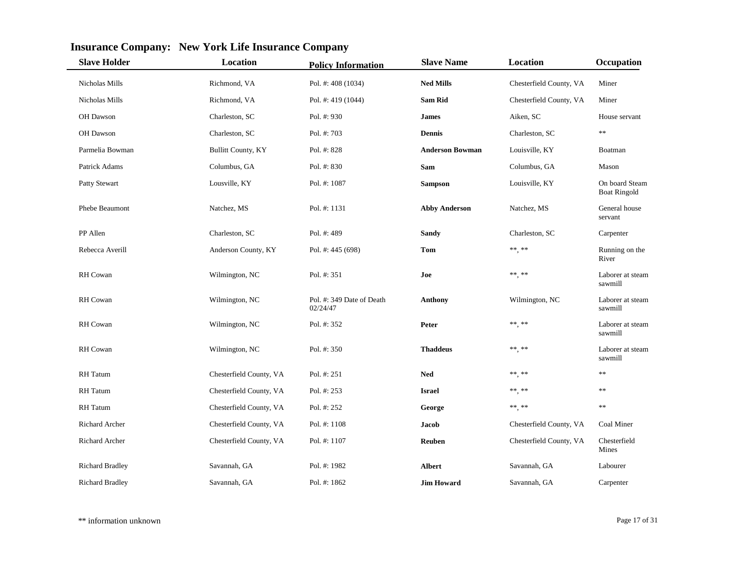| <b>Slave Holder</b>    | Location                  | <b>Policy Information</b>             | <b>Slave Name</b>      | Location                                                       | Occupation                            |
|------------------------|---------------------------|---------------------------------------|------------------------|----------------------------------------------------------------|---------------------------------------|
| Nicholas Mills         | Richmond, VA              | Pol. #: 408 (1034)                    | <b>Ned Mills</b>       | Chesterfield County, VA                                        | Miner                                 |
| Nicholas Mills         | Richmond, VA              | Pol. #: 419 (1044)                    | <b>Sam Rid</b>         | Chesterfield County, VA                                        | Miner                                 |
| OH Dawson              | Charleston, SC            | Pol. #: 930                           | <b>James</b>           | Aiken, SC                                                      | House servant                         |
| OH Dawson              | Charleston, SC            | Pol. #: 703                           | <b>Dennis</b>          | Charleston, SC                                                 | $\ast\ast$                            |
| Parmelia Bowman        | <b>Bullitt County, KY</b> | Pol. #: 828                           | <b>Anderson Bowman</b> | Louisville, KY                                                 | Boatman                               |
| Patrick Adams          | Columbus, GA              | Pol. #: 830                           | Sam                    | Columbus, GA                                                   | Mason                                 |
| Patty Stewart          | Lousville, KY             | Pol. #: 1087                          | <b>Sampson</b>         | Louisville, KY                                                 | On board Steam<br><b>Boat Ringold</b> |
| Phebe Beaumont         | Natchez, MS               | Pol. #: 1131                          | <b>Abby Anderson</b>   | Natchez, MS                                                    | General house<br>servant              |
| PP Allen               | Charleston, SC            | Pol. #: 489                           | <b>Sandy</b>           | Charleston, SC                                                 | Carpenter                             |
| Rebecca Averill        | Anderson County, KY       | Pol. #: 445 (698)                     | Tom                    | $\ast\ast\underset{\scriptscriptstyle{\bullet}}{\ast}\ast\ast$ | Running on the<br>River               |
| <b>RH</b> Cowan        | Wilmington, NC            | Pol. #: 351                           | Joe                    | $\ast\ast,\ast\ast$                                            | Laborer at steam<br>sawmill           |
| RH Cowan               | Wilmington, NC            | Pol. #: 349 Date of Death<br>02/24/47 | <b>Anthony</b>         | Wilmington, NC                                                 | Laborer at steam<br>sawmill           |
| <b>RH</b> Cowan        | Wilmington, NC            | Pol. #: 352                           | Peter                  | $\ast\ast,\,\ast\ast$                                          | Laborer at steam<br>sawmill           |
| RH Cowan               | Wilmington, NC            | Pol. #: 350                           | <b>Thaddeus</b>        | ** **                                                          | Laborer at steam<br>sawmill           |
| <b>RH</b> Tatum        | Chesterfield County, VA   | Pol. #: 251                           | <b>Ned</b>             | ** **                                                          | $\ast$ $\ast$                         |
| <b>RH</b> Tatum        | Chesterfield County, VA   | Pol. $#: 253$                         | <b>Israel</b>          | $***$ **                                                       | $\ast$                                |
| <b>RH</b> Tatum        | Chesterfield County, VA   | Pol. #: 252                           | George                 | ** **                                                          | $\ast\ast$                            |
| <b>Richard Archer</b>  | Chesterfield County, VA   | Pol. #: 1108                          | Jacob                  | Chesterfield County, VA                                        | Coal Miner                            |
| Richard Archer         | Chesterfield County, VA   | Pol. #: 1107                          | Reuben                 | Chesterfield County, VA                                        | Chesterfield<br>Mines                 |
| <b>Richard Bradley</b> | Savannah, GA              | Pol. #: 1982                          | <b>Albert</b>          | Savannah, GA                                                   | Labourer                              |
| <b>Richard Bradley</b> | Savannah, GA              | Pol. #: 1862                          | <b>Jim Howard</b>      | Savannah, GA                                                   | Carpenter                             |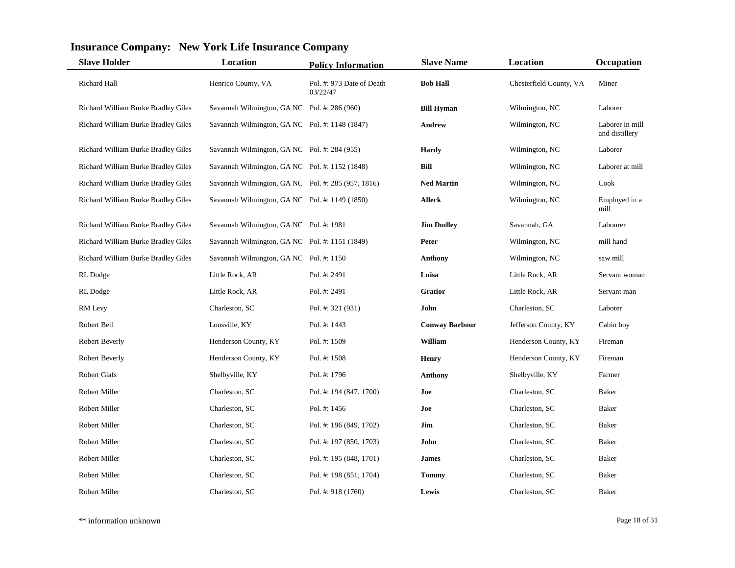| <b>Slave Holder</b>                 | Location                                           | <b>Policy Information</b>             | <b>Slave Name</b>     | Location                | Occupation                        |
|-------------------------------------|----------------------------------------------------|---------------------------------------|-----------------------|-------------------------|-----------------------------------|
| Richard Hall                        | Henrico County, VA                                 | Pol. #: 973 Date of Death<br>03/22/47 | <b>Bob Hall</b>       | Chesterfield County, VA | Miner                             |
| Richard William Burke Bradley Giles | Savannah Wilmington, GA NC Pol. #: 286 (960)       |                                       | <b>Bill Hyman</b>     | Wilmington, NC          | Laborer                           |
| Richard William Burke Bradley Giles | Savannah Wilmington, GA NC Pol. #: 1148 (1847)     |                                       | <b>Andrew</b>         | Wilmington, NC          | Laborer in mill<br>and distillery |
| Richard William Burke Bradley Giles | Savannah Wilmington, GA NC Pol. #: 284 (955)       |                                       | <b>Hardy</b>          | Wilmington, NC          | Laborer                           |
| Richard William Burke Bradley Giles | Savannah Wilmington, GA NC Pol. #: 1152 (1848)     |                                       | Bill                  | Wilmington, NC          | Laborer at mill                   |
| Richard William Burke Bradley Giles | Savannah Wilmington, GA NC Pol. #: 285 (957, 1816) |                                       | <b>Ned Martin</b>     | Wilmington, NC          | Cook                              |
| Richard William Burke Bradley Giles | Savannah Wilmington, GA NC Pol. #: 1149 (1850)     |                                       | <b>Alleck</b>         | Wilmington, NC          | Employed in a<br>mill             |
| Richard William Burke Bradley Giles | Savannah Wilmington, GA NC Pol. #: 1981            |                                       | <b>Jim Dudley</b>     | Savannah, GA            | Labourer                          |
| Richard William Burke Bradley Giles | Savannah Wilmington, GA NC Pol. #: 1151 (1849)     |                                       | Peter                 | Wilmington, NC          | mill hand                         |
| Richard William Burke Bradley Giles | Savannah Wilmington, GA NC Pol. #: 1150            |                                       | <b>Anthony</b>        | Wilmington, NC          | saw mill                          |
| RL Dodge                            | Little Rock, AR                                    | Pol. #: 2491                          | Luisa                 | Little Rock, AR         | Servant woman                     |
| RL Dodge                            | Little Rock, AR                                    | Pol. #: 2491                          | <b>Gratior</b>        | Little Rock, AR         | Servant man                       |
| RM Levy                             | Charleston, SC                                     | Pol. #: 321 (931)                     | John                  | Charleston, SC          | Laborer                           |
| Robert Bell                         | Lousville, KY                                      | Pol. #: 1443                          | <b>Conway Barbour</b> | Jefferson County, KY    | Cabin boy                         |
| Robert Beverly                      | Henderson County, KY                               | Pol. #: 1509                          | William               | Henderson County, KY    | Fireman                           |
| Robert Beverly                      | Henderson County, KY                               | Pol. #: 1508                          | <b>Henry</b>          | Henderson County, KY    | Fireman                           |
| Robert Glafs                        | Shelbyville, KY                                    | Pol. #: 1796                          | <b>Anthony</b>        | Shelbyville, KY         | Farmer                            |
| Robert Miller                       | Charleston, SC                                     | Pol. #: 194 (847, 1700)               | Joe                   | Charleston, SC          | Baker                             |
| Robert Miller                       | Charleston, SC                                     | Pol. #: $1456$                        | Joe                   | Charleston, SC          | Baker                             |
| Robert Miller                       | Charleston, SC                                     | Pol. #: 196 (849, 1702)               | Jim                   | Charleston, SC          | Baker                             |
| Robert Miller                       | Charleston, SC                                     | Pol. #: 197 (850, 1703)               | John                  | Charleston, SC          | Baker                             |
| Robert Miller                       | Charleston, SC                                     | Pol. #: 195 (848, 1701)               | <b>James</b>          | Charleston, SC          | Baker                             |
| Robert Miller                       | Charleston, SC                                     | Pol. #: 198 (851, 1704)               | Tommy                 | Charleston, SC          | Baker                             |
| Robert Miller                       | Charleston, SC                                     | Pol. #: 918 (1760)                    | Lewis                 | Charleston, SC          | Baker                             |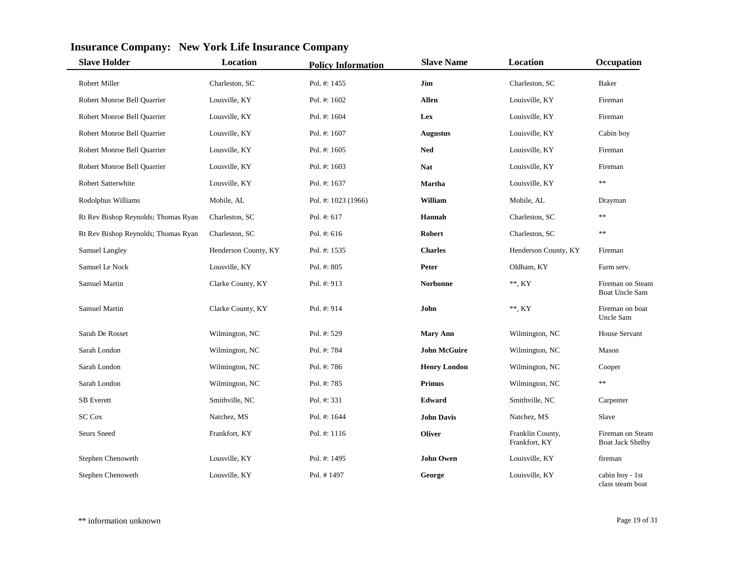| <b>Slave Holder</b>                 | Location             | <b>Policy Information</b> | <b>Slave Name</b>   | Location                          | Occupation                           |
|-------------------------------------|----------------------|---------------------------|---------------------|-----------------------------------|--------------------------------------|
| <b>Robert Miller</b>                | Charleston, SC       | Pol. #: 1455              | Jim                 | Charleston, SC                    | Baker                                |
| Robert Monroe Bell Quarrier         | Lousville, KY        | Pol. #: 1602              | <b>Allen</b>        | Louisville, KY                    | Fireman                              |
| Robert Monroe Bell Quarrier         | Lousville, KY        | Pol. #: 1604              | Lex                 | Louisville, KY                    | Fireman                              |
| Robert Monroe Bell Quarrier         | Lousville, KY        | Pol. #: 1607              | <b>Augustus</b>     | Louisville, KY                    | Cabin boy                            |
| Robert Monroe Bell Quarrier         | Lousville, KY        | Pol. #: 1605              | <b>Ned</b>          | Louisville, KY                    | Fireman                              |
| Robert Monroe Bell Quarrier         | Lousville, KY        | Pol. #: 1603              | <b>Nat</b>          | Louisville, KY                    | Fireman                              |
| Robert Satterwhite                  | Lousville, KY        | Pol. #: 1637              | <b>Martha</b>       | Louisville, KY                    | $\ast\ast$                           |
| Rodolphus Williams                  | Mobile, AL           | Pol. #: 1023 (1966)       | William             | Mobile, AL                        | Drayman                              |
| Rt Rev Bishop Reynolds; Thomas Ryan | Charleston, SC       | Pol. $#: 617$             | Hannah              | Charleston, SC                    | **                                   |
| Rt Rev Bishop Reynolds; Thomas Ryan | Charleston, SC       | Pol. #: 616               | Robert              | Charleston, SC                    | $\ast\ast$                           |
| Samuel Langley                      | Henderson County, KY | Pol. #: 1535              | <b>Charles</b>      | Henderson County, KY              | Fireman                              |
| Samuel Le Nock                      | Lousville, KY        | Pol. #: 805               | Peter               | Oldham, KY                        | Farm serv.                           |
| Samuel Martin                       | Clarke County, KY    | Pol. #: 913               | <b>Norbonne</b>     | $**$ , KY                         | Fireman on Steam<br>Boat Uncle Sam   |
| Samuel Martin                       | Clarke County, KY    | Pol. #: 914               | John                | $**$ , KY                         | Fireman on boat<br>Uncle Sam         |
| Sarah De Rosset                     | Wilmington, NC       | Pol. #: 529               | <b>Mary Ann</b>     | Wilmington, NC                    | House Servant                        |
| Sarah London                        | Wilmington, NC       | Pol. #: 784               | <b>John McGuire</b> | Wilmington, NC                    | Mason                                |
| Sarah London                        | Wilmington, NC       | Pol. #: 786               | <b>Henry London</b> | Wilmington, NC                    | Cooper                               |
| Sarah London                        | Wilmington, NC       | Pol. #: 785               | <b>Primus</b>       | Wilmington, NC                    | $\ast$                               |
| <b>SB</b> Everett                   | Smithville, NC       | Pol. #: 331               | Edward              | Smithville, NC                    | Carpenter                            |
| <b>SC Cox</b>                       | Natchez, MS          | Pol. #: 1644              | <b>John Davis</b>   | Natchez, MS                       | Slave                                |
| Seurs Sneed                         | Frankfort, KY        | Pol. #: 1116              | <b>Oliver</b>       | Franklin County,<br>Frankfort, KY | Fireman on Steam<br>Boat Jack Shelby |
| Stephen Chenoweth                   | Lousville, KY        | Pol. #: 1495              | <b>John Owen</b>    | Louisville, KY                    | fireman                              |
| Stephen Chenoweth                   | Lousville, KY        | Pol. #1497                | George              | Louisville, KY                    | cabin boy - 1st<br>class steam boat  |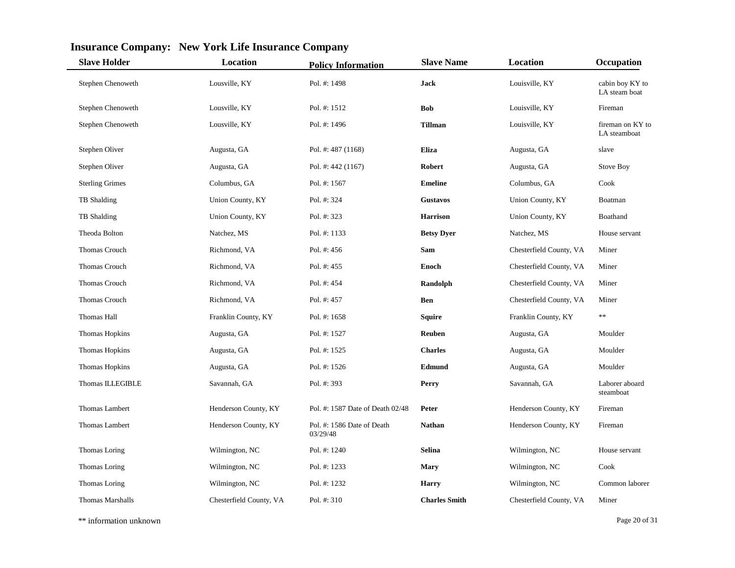| <b>Slave Holder</b>     | Location                | <b>Policy Information</b>              | <b>Slave Name</b>    | <b>Location</b>         | Occupation                       |
|-------------------------|-------------------------|----------------------------------------|----------------------|-------------------------|----------------------------------|
| Stephen Chenoweth       | Lousville, KY           | Pol. #: 1498                           | <b>Jack</b>          | Louisville, KY          | cabin boy KY to<br>LA steam boat |
| Stephen Chenoweth       | Lousville, KY           | Pol. #: 1512                           | <b>Bob</b>           | Louisville, KY          | Fireman                          |
| Stephen Chenoweth       | Lousville, KY           | Pol. #: 1496                           | <b>Tillman</b>       | Louisville, KY          | fireman on KY to<br>LA steamboat |
| Stephen Oliver          | Augusta, GA             | Pol. #: 487 (1168)                     | Eliza                | Augusta, GA             | slave                            |
| Stephen Oliver          | Augusta, GA             | Pol. #: 442 (1167)                     | <b>Robert</b>        | Augusta, GA             | <b>Stove Boy</b>                 |
| <b>Sterling Grimes</b>  | Columbus, GA            | Pol. #: 1567                           | <b>Emeline</b>       | Columbus, GA            | Cook                             |
| TB Shalding             | Union County, KY        | Pol. #: 324                            | <b>Gustavos</b>      | Union County, KY        | Boatman                          |
| TB Shalding             | Union County, KY        | Pol. #: 323                            | <b>Harrison</b>      | Union County, KY        | Boathand                         |
| Theoda Bolton           | Natchez, MS             | Pol. #: 1133                           | <b>Betsy Dyer</b>    | Natchez, MS             | House servant                    |
| Thomas Crouch           | Richmond, VA            | Pol. #: 456                            | Sam                  | Chesterfield County, VA | Miner                            |
| Thomas Crouch           | Richmond, VA            | Pol. #: 455                            | Enoch                | Chesterfield County, VA | Miner                            |
| Thomas Crouch           | Richmond, VA            | Pol. #: 454                            | Randolph             | Chesterfield County, VA | Miner                            |
| Thomas Crouch           | Richmond, VA            | Pol. #: 457                            | <b>Ben</b>           | Chesterfield County, VA | Miner                            |
| Thomas Hall             | Franklin County, KY     | Pol. #: 1658                           | <b>Squire</b>        | Franklin County, KY     | $\ast\ast$                       |
| Thomas Hopkins          | Augusta, GA             | Pol. #: 1527                           | Reuben               | Augusta, GA             | Moulder                          |
| Thomas Hopkins          | Augusta, GA             | Pol. #: 1525                           | <b>Charles</b>       | Augusta, GA             | Moulder                          |
| Thomas Hopkins          | Augusta, GA             | Pol. #: 1526                           | Edmund               | Augusta, GA             | Moulder                          |
| Thomas ILLEGIBLE        | Savannah, GA            | Pol. #: 393                            | Perry                | Savannah, GA            | Laborer aboard<br>steamboat      |
| Thomas Lambert          | Henderson County, KY    | Pol. #: 1587 Date of Death 02/48       | Peter                | Henderson County, KY    | Fireman                          |
| Thomas Lambert          | Henderson County, KY    | Pol. #: 1586 Date of Death<br>03/29/48 | <b>Nathan</b>        | Henderson County, KY    | Fireman                          |
| Thomas Loring           | Wilmington, NC          | Pol. #: 1240                           | <b>Selina</b>        | Wilmington, NC          | House servant                    |
| Thomas Loring           | Wilmington, NC          | Pol. #: 1233                           | <b>Mary</b>          | Wilmington, NC          | Cook                             |
| Thomas Loring           | Wilmington, NC          | Pol. #: 1232                           | <b>Harry</b>         | Wilmington, NC          | Common laborer                   |
| <b>Thomas Marshalls</b> | Chesterfield County, VA | Pol. #: 310                            | <b>Charles Smith</b> | Chesterfield County, VA | Miner                            |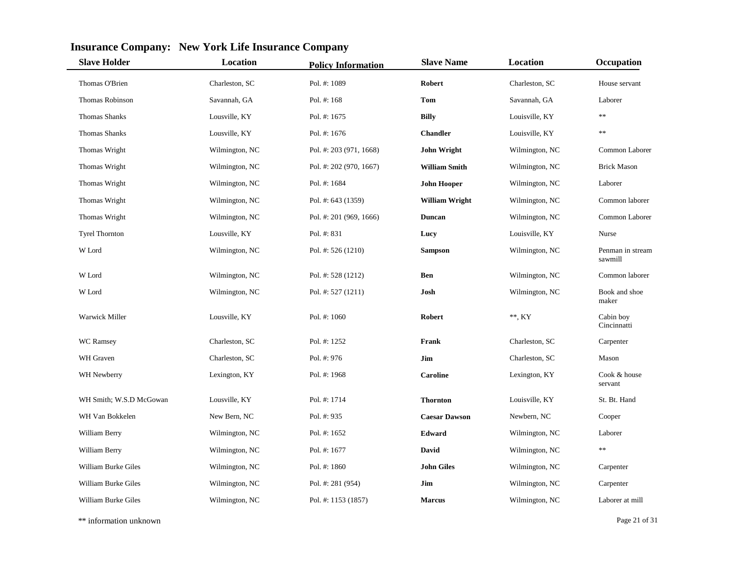| <b>Slave Holder</b>     | <b>Location</b> | <b>Policy Information</b> | <b>Slave Name</b>     | <b>Location</b> | Occupation                  |
|-------------------------|-----------------|---------------------------|-----------------------|-----------------|-----------------------------|
| Thomas O'Brien          | Charleston, SC  | Pol. #: 1089              | Robert                | Charleston, SC  | House servant               |
| Thomas Robinson         | Savannah, GA    | Pol. #: 168               | Tom                   | Savannah, GA    | Laborer                     |
| <b>Thomas Shanks</b>    | Lousville, KY   | Pol. #: 1675              | <b>Billy</b>          | Louisville, KY  | $**$                        |
| <b>Thomas Shanks</b>    | Lousville, KY   | Pol. #: 1676              | <b>Chandler</b>       | Louisville, KY  | **                          |
| Thomas Wright           | Wilmington, NC  | Pol. #: 203 (971, 1668)   | <b>John Wright</b>    | Wilmington, NC  | Common Laborer              |
| Thomas Wright           | Wilmington, NC  | Pol. #: 202 (970, 1667)   | <b>William Smith</b>  | Wilmington, NC  | <b>Brick Mason</b>          |
| Thomas Wright           | Wilmington, NC  | Pol. #: 1684              | <b>John Hooper</b>    | Wilmington, NC  | Laborer                     |
| Thomas Wright           | Wilmington, NC  | Pol. #: 643 (1359)        | <b>William Wright</b> | Wilmington, NC  | Common laborer              |
| Thomas Wright           | Wilmington, NC  | Pol. #: 201 (969, 1666)   | <b>Duncan</b>         | Wilmington, NC  | Common Laborer              |
| <b>Tyrel Thornton</b>   | Lousville, KY   | Pol. #: 831               | Lucy                  | Louisville, KY  | Nurse                       |
| W Lord                  | Wilmington, NC  | Pol. #: 526 (1210)        | <b>Sampson</b>        | Wilmington, NC  | Penman in stream<br>sawmill |
| W Lord                  | Wilmington, NC  | Pol. #: 528 (1212)        | Ben                   | Wilmington, NC  | Common laborer              |
| W Lord                  | Wilmington, NC  | Pol. #: $527(1211)$       | Josh                  | Wilmington, NC  | Book and shoe<br>maker      |
| <b>Warwick Miller</b>   | Lousville, KY   | Pol. #: 1060              | <b>Robert</b>         | $**$ , KY       | Cabin boy<br>Cincinnatti    |
| WC Ramsey               | Charleston, SC  | Pol. #: 1252              | Frank                 | Charleston, SC  | Carpenter                   |
| WH Graven               | Charleston, SC  | Pol. #: 976               | Jim                   | Charleston, SC  | Mason                       |
| WH Newberry             | Lexington, KY   | Pol. #: 1968              | <b>Caroline</b>       | Lexington, KY   | Cook & house<br>servant     |
| WH Smith; W.S.D McGowan | Lousville, KY   | Pol. #: 1714              | <b>Thornton</b>       | Louisville, KY  | St. Bt. Hand                |
| WH Van Bokkelen         | New Bern, NC    | Pol. #: 935               | <b>Caesar Dawson</b>  | Newbern, NC     | Cooper                      |
| William Berry           | Wilmington, NC  | Pol. #: 1652              | Edward                | Wilmington, NC  | Laborer                     |
| William Berry           | Wilmington, NC  | Pol. #: 1677              | David                 | Wilmington, NC  | $**$                        |
| William Burke Giles     | Wilmington, NC  | Pol. #: 1860              | <b>John Giles</b>     | Wilmington, NC  | Carpenter                   |
| William Burke Giles     | Wilmington, NC  | Pol. #: 281 (954)         | Jim                   | Wilmington, NC  | Carpenter                   |
| William Burke Giles     | Wilmington, NC  | Pol. #: 1153 (1857)       | <b>Marcus</b>         | Wilmington, NC  | Laborer at mill             |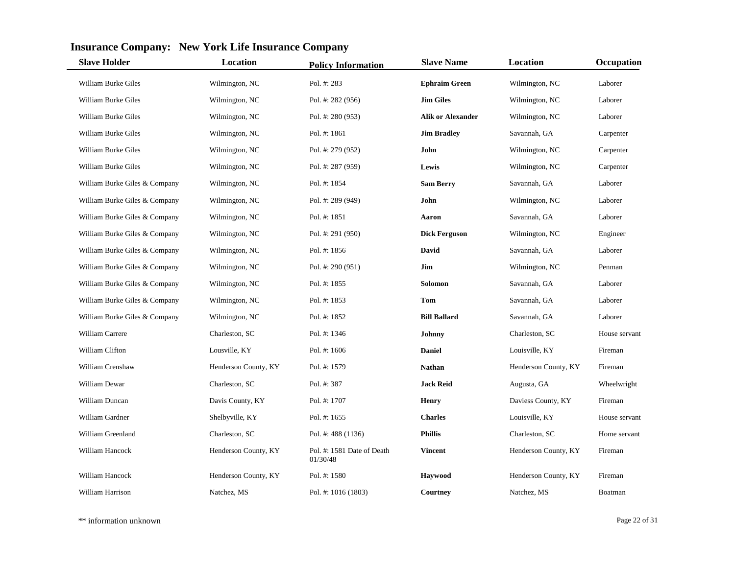| <b>Slave Holder</b>           | Location             | <b>Policy Information</b>              | <b>Slave Name</b>        | <b>Location</b>      | Occupation    |
|-------------------------------|----------------------|----------------------------------------|--------------------------|----------------------|---------------|
| William Burke Giles           | Wilmington, NC       | Pol. #: 283                            | <b>Ephraim Green</b>     | Wilmington, NC       | Laborer       |
| William Burke Giles           | Wilmington, NC       | Pol. #: 282 (956)                      | <b>Jim Giles</b>         | Wilmington, NC       | Laborer       |
| William Burke Giles           | Wilmington, NC       | Pol. #: 280 (953)                      | <b>Alik or Alexander</b> | Wilmington, NC       | Laborer       |
| William Burke Giles           | Wilmington, NC       | Pol. #: 1861                           | <b>Jim Bradley</b>       | Savannah, GA         | Carpenter     |
| William Burke Giles           | Wilmington, NC       | Pol. #: 279 (952)                      | John                     | Wilmington, NC       | Carpenter     |
| William Burke Giles           | Wilmington, NC       | Pol. #: 287 (959)                      | Lewis                    | Wilmington, NC       | Carpenter     |
| William Burke Giles & Company | Wilmington, NC       | Pol. #: 1854                           | <b>Sam Berry</b>         | Savannah, GA         | Laborer       |
| William Burke Giles & Company | Wilmington, NC       | Pol. #: 289 (949)                      | John                     | Wilmington, NC       | Laborer       |
| William Burke Giles & Company | Wilmington, NC       | Pol. #: 1851                           | Aaron                    | Savannah, GA         | Laborer       |
| William Burke Giles & Company | Wilmington, NC       | Pol. #: 291 (950)                      | <b>Dick Ferguson</b>     | Wilmington, NC       | Engineer      |
| William Burke Giles & Company | Wilmington, NC       | Pol. #: 1856                           | David                    | Savannah, GA         | Laborer       |
| William Burke Giles & Company | Wilmington, NC       | Pol. #: 290 (951)                      | Jim                      | Wilmington, NC       | Penman        |
| William Burke Giles & Company | Wilmington, NC       | Pol. #: 1855                           | <b>Solomon</b>           | Savannah, GA         | Laborer       |
| William Burke Giles & Company | Wilmington, NC       | Pol. #: 1853                           | Tom                      | Savannah, GA         | Laborer       |
| William Burke Giles & Company | Wilmington, NC       | Pol. #: 1852                           | <b>Bill Ballard</b>      | Savannah, GA         | Laborer       |
| William Carrere               | Charleston, SC       | Pol. #: 1346                           | Johnny                   | Charleston, SC       | House servant |
| William Clifton               | Lousville, KY        | Pol. #: $1606$                         | <b>Daniel</b>            | Louisville, KY       | Fireman       |
| William Crenshaw              | Henderson County, KY | Pol. #: 1579                           | <b>Nathan</b>            | Henderson County, KY | Fireman       |
| William Dewar                 | Charleston, SC       | Pol. #: 387                            | <b>Jack Reid</b>         | Augusta, GA          | Wheelwright   |
| William Duncan                | Davis County, KY     | Pol. #: 1707                           | <b>Henry</b>             | Daviess County, KY   | Fireman       |
| William Gardner               | Shelbyville, KY      | Pol. #: 1655                           | <b>Charles</b>           | Louisville, KY       | House servant |
| William Greenland             | Charleston, SC       | Pol. #: 488 (1136)                     | <b>Phillis</b>           | Charleston, SC       | Home servant  |
| William Hancock               | Henderson County, KY | Pol. #: 1581 Date of Death<br>01/30/48 | <b>Vincent</b>           | Henderson County, KY | Fireman       |
| William Hancock               | Henderson County, KY | Pol. #: 1580                           | Haywood                  | Henderson County, KY | Fireman       |
| William Harrison              | Natchez, MS          | Pol. #: 1016 (1803)                    | Courtney                 | Natchez, MS          | Boatman       |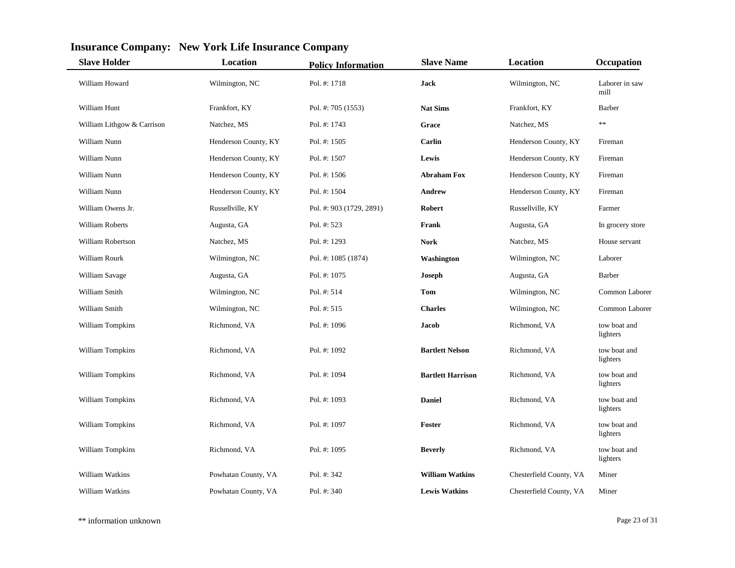| <b>Slave Holder</b>        | <b>Location</b>      | <b>Policy Information</b> | <b>Slave Name</b>        | <b>Location</b>         | Occupation               |
|----------------------------|----------------------|---------------------------|--------------------------|-------------------------|--------------------------|
| William Howard             | Wilmington, NC       | Pol. #: 1718              | Jack                     | Wilmington, NC          | Laborer in saw<br>mill   |
| William Hunt               | Frankfort, KY        | Pol. #: 705 (1553)        | <b>Nat Sims</b>          | Frankfort, KY           | Barber                   |
| William Lithgow & Carrison | Natchez, MS          | Pol. #: 1743              | Grace                    | Natchez, MS             | $\ast$                   |
| William Nunn               | Henderson County, KY | Pol. #: 1505              | Carlin                   | Henderson County, KY    | Fireman                  |
| William Nunn               | Henderson County, KY | Pol. #: 1507              | Lewis                    | Henderson County, KY    | Fireman                  |
| William Nunn               | Henderson County, KY | Pol. #: 1506              | <b>Abraham Fox</b>       | Henderson County, KY    | Fireman                  |
| William Nunn               | Henderson County, KY | Pol. #: 1504              | <b>Andrew</b>            | Henderson County, KY    | Fireman                  |
| William Owens Jr.          | Russellville, KY     | Pol. #: 903 (1729, 2891)  | <b>Robert</b>            | Russellville, KY        | Farmer                   |
| William Roberts            | Augusta, GA          | Pol. #: 523               | Frank                    | Augusta, GA             | In grocery store         |
| William Robertson          | Natchez, MS          | Pol. #: 1293              | Nork                     | Natchez, MS             | House servant            |
| William Rourk              | Wilmington, NC       | Pol. #: 1085 (1874)       | Washington               | Wilmington, NC          | Laborer                  |
| William Savage             | Augusta, GA          | Pol. #: 1075              | Joseph                   | Augusta, GA             | <b>Barber</b>            |
| William Smith              | Wilmington, NC       | Pol. #: 514               | Tom                      | Wilmington, NC          | Common Laborer           |
| William Smith              | Wilmington, NC       | Pol. #: 515               | <b>Charles</b>           | Wilmington, NC          | Common Laborer           |
| William Tompkins           | Richmond, VA         | Pol. #: 1096              | Jacob                    | Richmond, VA            | tow boat and<br>lighters |
| William Tompkins           | Richmond, VA         | Pol. #: 1092              | <b>Bartlett Nelson</b>   | Richmond, VA            | tow boat and<br>lighters |
| William Tompkins           | Richmond, VA         | Pol. #: 1094              | <b>Bartlett Harrison</b> | Richmond, VA            | tow boat and<br>lighters |
| William Tompkins           | Richmond, VA         | Pol. #: 1093              | <b>Daniel</b>            | Richmond, VA            | tow boat and<br>lighters |
| William Tompkins           | Richmond, VA         | Pol. #: 1097              | Foster                   | Richmond, VA            | tow boat and<br>lighters |
| William Tompkins           | Richmond, VA         | Pol. #: 1095              | <b>Beverly</b>           | Richmond, VA            | tow boat and<br>lighters |
| William Watkins            | Powhatan County, VA  | Pol. #: 342               | <b>William Watkins</b>   | Chesterfield County, VA | Miner                    |
| William Watkins            | Powhatan County, VA  | Pol. #: 340               | <b>Lewis Watkins</b>     | Chesterfield County, VA | Miner                    |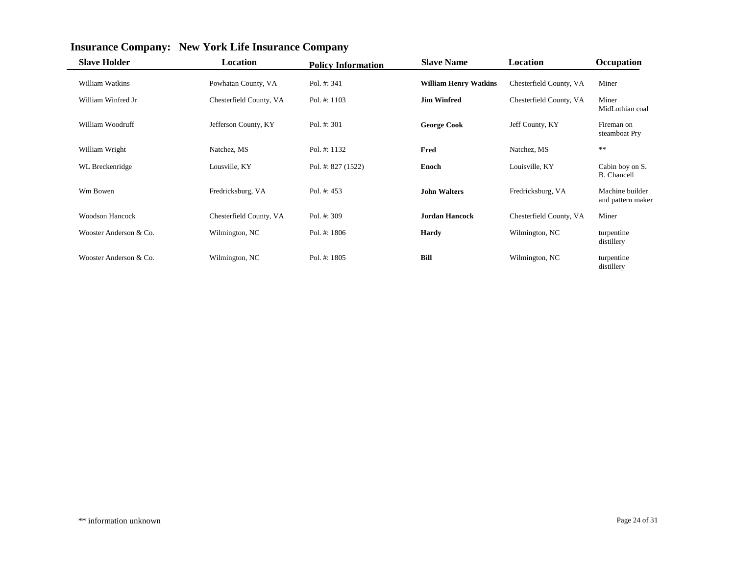| <b>Slave Holder</b>    | <b>Location</b>         | <b>Policy Information</b> | <b>Slave Name</b>            | Location                | Occupation                            |
|------------------------|-------------------------|---------------------------|------------------------------|-------------------------|---------------------------------------|
| William Watkins        | Powhatan County, VA     | Pol. $#: 341$             | <b>William Henry Watkins</b> | Chesterfield County, VA | Miner                                 |
| William Winfred Jr     | Chesterfield County, VA | Pol. #: 1103              | <b>Jim Winfred</b>           | Chesterfield County, VA | Miner<br>MidLothian coal              |
| William Woodruff       | Jefferson County, KY    | Pol. #: 301               | <b>George Cook</b>           | Jeff County, KY         | Fireman on<br>steamboat Pry           |
| William Wright         | Natchez, MS             | Pol. #: 1132              | Fred                         | Natchez, MS             | $**$                                  |
| WL Breckenridge        | Lousville, KY           | Pol. #: $827(1522)$       | <b>Enoch</b>                 | Louisville, KY          | Cabin boy on S.<br><b>B.</b> Chancell |
| Wm Bowen               | Fredricksburg, VA       | Pol. $#: 453$             | <b>John Walters</b>          | Fredricksburg, VA       | Machine builder<br>and pattern maker  |
| <b>Woodson Hancock</b> | Chesterfield County, VA | Pol. #: 309               | <b>Jordan Hancock</b>        | Chesterfield County, VA | Miner                                 |
| Wooster Anderson & Co. | Wilmington, NC          | Pol. $\#: 1806$           | <b>Hardy</b>                 | Wilmington, NC          | turpentine<br>distillery              |
| Wooster Anderson & Co. | Wilmington, NC          | Pol. #: 1805              | Bill                         | Wilmington, NC          | turpentine<br>distillery              |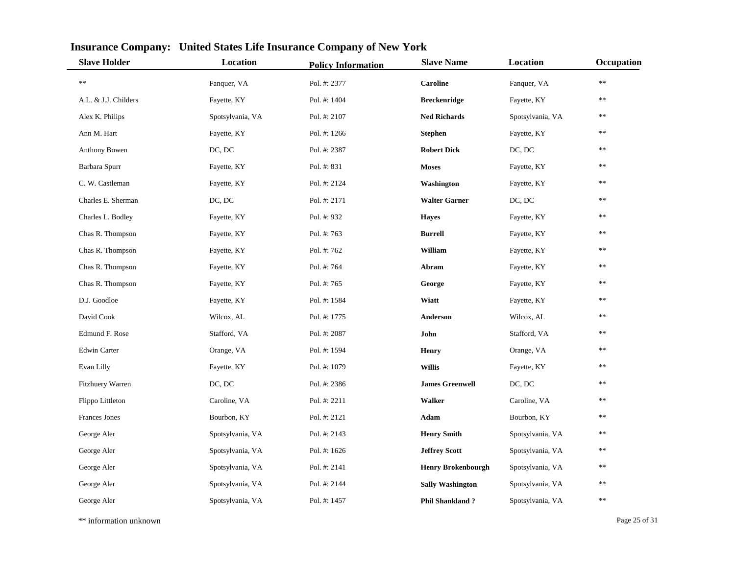| <b>Slave Holder</b>  | Location         | <b>Policy Information</b> | <b>Slave Name</b>         | Location         | Occupation |
|----------------------|------------------|---------------------------|---------------------------|------------------|------------|
| **                   | Fanquer, VA      | Pol. #: 2377              | <b>Caroline</b>           | Fanquer, VA      | $\ast\ast$ |
| A.L. & J.J. Childers | Fayette, KY      | Pol. #: 1404              | <b>Breckenridge</b>       | Fayette, KY      | **         |
| Alex K. Philips      | Spotsylvania, VA | Pol. #: 2107              | <b>Ned Richards</b>       | Spotsylvania, VA | **         |
| Ann M. Hart          | Fayette, KY      | Pol. #: 1266              | <b>Stephen</b>            | Fayette, KY      | **         |
| Anthony Bowen        | DC, DC           | Pol. #: 2387              | <b>Robert Dick</b>        | DC, DC           | **         |
| Barbara Spurr        | Fayette, KY      | Pol. #: 831               | <b>Moses</b>              | Fayette, KY      | **         |
| C. W. Castleman      | Fayette, KY      | Pol. #: 2124              | Washington                | Fayette, KY      | **         |
| Charles E. Sherman   | DC, DC           | Pol. #: 2171              | <b>Walter Garner</b>      | DC, DC           | $**$       |
| Charles L. Bodley    | Fayette, KY      | Pol. #: 932               | <b>Hayes</b>              | Fayette, KY      | $\ast$     |
| Chas R. Thompson     | Fayette, KY      | Pol. #: 763               | <b>Burrell</b>            | Fayette, KY      | $\ast\ast$ |
| Chas R. Thompson     | Fayette, KY      | Pol. #: 762               | William                   | Fayette, KY      | **         |
| Chas R. Thompson     | Fayette, KY      | Pol. #: 764               | Abram                     | Fayette, KY      | $**$       |
| Chas R. Thompson     | Fayette, KY      | Pol. #: 765               | George                    | Fayette, KY      | $\ast$     |
| D.J. Goodloe         | Fayette, KY      | Pol. #: 1584              | Wiatt                     | Fayette, KY      | $**$       |
| David Cook           | Wilcox, AL       | Pol. #: 1775              | Anderson                  | Wilcox, AL       | **         |
| Edmund F. Rose       | Stafford, VA     | Pol. #: 2087              | John                      | Stafford, VA     | **         |
| Edwin Carter         | Orange, VA       | Pol. #: 1594              | <b>Henry</b>              | Orange, VA       | $**$       |
| Evan Lilly           | Fayette, KY      | Pol. #: 1079              | <b>Willis</b>             | Fayette, KY      | **         |
| Fitzhuery Warren     | DC, DC           | Pol. #: 2386              | <b>James Greenwell</b>    | DC, DC           | **         |
| Flippo Littleton     | Caroline, VA     | Pol. #: 2211              | <b>Walker</b>             | Caroline, VA     | **         |
| Frances Jones        | Bourbon, KY      | Pol. #: 2121              | Adam                      | Bourbon, KY      | $\ast$     |
| George Aler          | Spotsylvania, VA | Pol. #: 2143              | <b>Henry Smith</b>        | Spotsylvania, VA | **         |
| George Aler          | Spotsylvania, VA | Pol. #: 1626              | <b>Jeffrey Scott</b>      | Spotsylvania, VA | **         |
| George Aler          | Spotsylvania, VA | Pol. #: 2141              | <b>Henry Brokenbourgh</b> | Spotsylvania, VA | **         |
| George Aler          | Spotsylvania, VA | Pol. #: 2144              | <b>Sally Washington</b>   | Spotsylvania, VA | **         |
| George Aler          | Spotsylvania, VA | Pol. #: 1457              | <b>Phil Shankland?</b>    | Spotsylvania, VA | **         |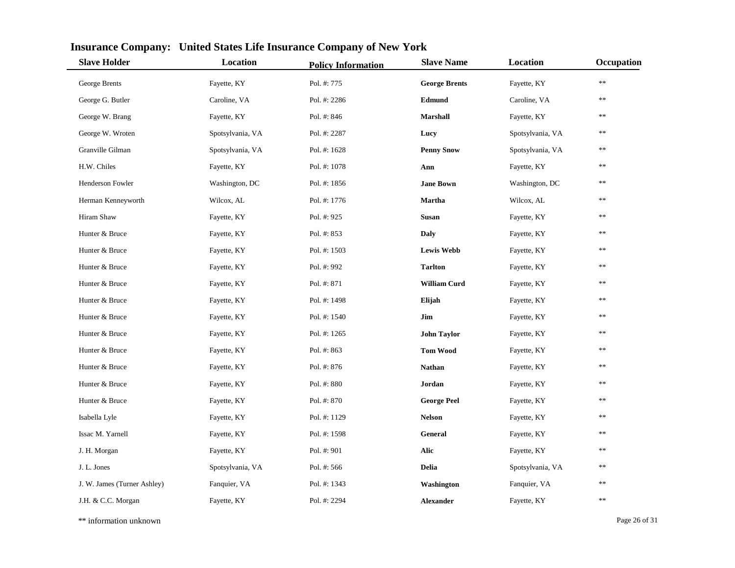| <b>Slave Holder</b>         | Location         | <b>Policy Information</b> | <b>Slave Name</b>    | Location         | Occupation |
|-----------------------------|------------------|---------------------------|----------------------|------------------|------------|
| George Brents               | Fayette, KY      | Pol. #: 775               | <b>George Brents</b> | Fayette, KY      | $\ast\ast$ |
| George G. Butler            | Caroline, VA     | Pol. #: 2286              | Edmund               | Caroline, VA     | **         |
| George W. Brang             | Fayette, KY      | Pol. #: 846               | <b>Marshall</b>      | Fayette, KY      | **         |
| George W. Wroten            | Spotsylvania, VA | Pol. #: 2287              | Lucy                 | Spotsylvania, VA | **         |
| Granville Gilman            | Spotsylvania, VA | Pol. #: 1628              | <b>Penny Snow</b>    | Spotsylvania, VA | **         |
| H.W. Chiles                 | Fayette, KY      | Pol. #: 1078              | Ann                  | Fayette, KY      | **         |
| Henderson Fowler            | Washington, DC   | Pol. #: 1856              | <b>Jane Bown</b>     | Washington, DC   | **         |
| Herman Kenneyworth          | Wilcox, AL       | Pol. #: 1776              | Martha               | Wilcox, AL       | **         |
| Hiram Shaw                  | Fayette, KY      | Pol. #: 925               | <b>Susan</b>         | Fayette, KY      | **         |
| Hunter & Bruce              | Fayette, KY      | Pol. #: 853               | <b>Daly</b>          | Fayette, KY      | **         |
| Hunter & Bruce              | Fayette, KY      | Pol. #: 1503              | <b>Lewis Webb</b>    | Fayette, KY      | **         |
| Hunter & Bruce              | Fayette, KY      | Pol. #: 992               | <b>Tarlton</b>       | Fayette, KY      | $**$       |
| Hunter & Bruce              | Fayette, KY      | Pol. #: 871               | <b>William Curd</b>  | Fayette, KY      | **         |
| Hunter & Bruce              | Fayette, KY      | Pol. #: 1498              | Elijah               | Fayette, KY      | **         |
| Hunter & Bruce              | Fayette, KY      | Pol. #: 1540              | Jim                  | Fayette, KY      | **         |
| Hunter & Bruce              | Fayette, KY      | Pol. #: 1265              | <b>John Taylor</b>   | Fayette, KY      | **         |
| Hunter & Bruce              | Fayette, KY      | Pol. #: 863               | <b>Tom Wood</b>      | Fayette, KY      | **         |
| Hunter & Bruce              | Fayette, KY      | Pol. #: 876               | <b>Nathan</b>        | Fayette, KY      | **         |
| Hunter & Bruce              | Fayette, KY      | Pol. #: 880               | Jordan               | Fayette, KY      | **         |
| Hunter & Bruce              | Fayette, KY      | Pol. #: 870               | <b>George Peel</b>   | Fayette, KY      | **         |
| Isabella Lyle               | Fayette, KY      | Pol. #: 1129              | <b>Nelson</b>        | Fayette, KY      | **         |
| Issac M. Yarnell            | Fayette, KY      | Pol. #: 1598              | General              | Fayette, KY      | **         |
| J. H. Morgan                | Fayette, KY      | Pol. #: 901               | Alic                 | Fayette, KY      | $\ast$     |
| J. L. Jones                 | Spotsylvania, VA | Pol. #: 566               | <b>Delia</b>         | Spotsylvania, VA | **         |
| J. W. James (Turner Ashley) | Fanquier, VA     | Pol. #: 1343              | Washington           | Fanquier, VA     | **         |
| J.H. & C.C. Morgan          | Fayette, KY      | Pol. #: 2294              | <b>Alexander</b>     | Fayette, KY      | **         |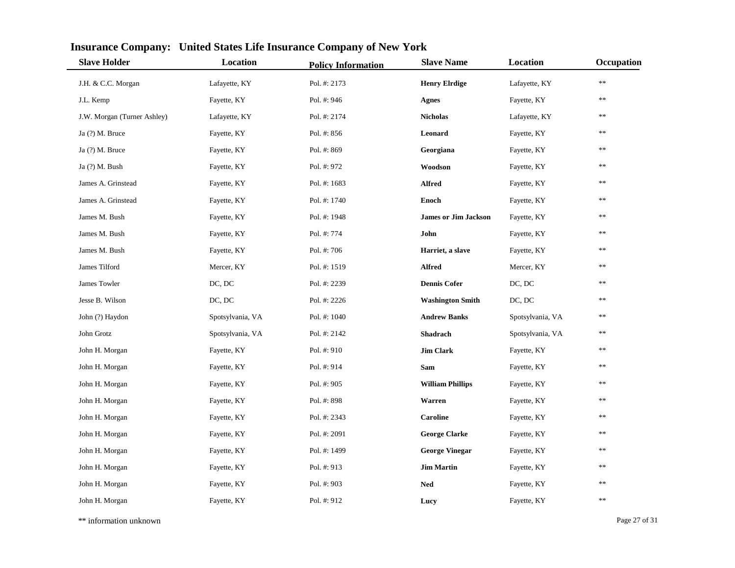| <b>Slave Holder</b>         | Location         | <b>Policy Information</b> | <b>Slave Name</b>           | Location         | Occupation |
|-----------------------------|------------------|---------------------------|-----------------------------|------------------|------------|
| J.H. & C.C. Morgan          | Lafayette, KY    | Pol. #: 2173              | <b>Henry Elrdige</b>        | Lafayette, KY    | $\ast\ast$ |
| J.L. Kemp                   | Fayette, KY      | Pol. #: 946               | <b>Agnes</b>                | Fayette, KY      | **         |
| J.W. Morgan (Turner Ashley) | Lafayette, KY    | Pol. #: 2174              | <b>Nicholas</b>             | Lafayette, KY    | **         |
| Ja (?) M. Bruce             | Fayette, KY      | Pol. #: 856               | Leonard                     | Fayette, KY      | **         |
| Ja (?) M. Bruce             | Fayette, KY      | Pol. #: 869               | Georgiana                   | Fayette, KY      | **         |
| Ja (?) M. Bush              | Fayette, KY      | Pol. #: 972               | Woodson                     | Fayette, KY      | **         |
| James A. Grinstead          | Fayette, KY      | Pol. #: 1683              | <b>Alfred</b>               | Fayette, KY      | **         |
| James A. Grinstead          | Fayette, KY      | Pol. #: 1740              | <b>Enoch</b>                | Fayette, KY      | **         |
| James M. Bush               | Fayette, KY      | Pol. #: 1948              | <b>James or Jim Jackson</b> | Fayette, KY      | **         |
| James M. Bush               | Fayette, KY      | Pol. #: 774               | John                        | Fayette, KY      | **         |
| James M. Bush               | Fayette, KY      | Pol. #: 706               | Harriet, a slave            | Fayette, KY      | **         |
| James Tilford               | Mercer, KY       | Pol. #: 1519              | <b>Alfred</b>               | Mercer, KY       | **         |
| James Towler                | DC, DC           | Pol. #: 2239              | <b>Dennis Cofer</b>         | DC, DC           | **         |
| Jesse B. Wilson             | DC, DC           | Pol. #: 2226              | <b>Washington Smith</b>     | DC, DC           | **         |
| John (?) Haydon             | Spotsylvania, VA | Pol. #: 1040              | <b>Andrew Banks</b>         | Spotsylvania, VA | **         |
| John Grotz                  | Spotsylvania, VA | Pol. #: 2142              | Shadrach                    | Spotsylvania, VA | **         |
| John H. Morgan              | Fayette, KY      | Pol. #: 910               | <b>Jim Clark</b>            | Fayette, KY      | **         |
| John H. Morgan              | Fayette, KY      | Pol. #: 914               | Sam                         | Fayette, KY      | **         |
| John H. Morgan              | Fayette, KY      | Pol. #: 905               | <b>William Phillips</b>     | Fayette, KY      | **         |
| John H. Morgan              | Fayette, KY      | Pol. #: 898               | Warren                      | Fayette, KY      | **         |
| John H. Morgan              | Fayette, KY      | Pol. #: 2343              | <b>Caroline</b>             | Fayette, KY      | **         |
| John H. Morgan              | Fayette, KY      | Pol. #: 2091              | <b>George Clarke</b>        | Fayette, KY      | **         |
| John H. Morgan              | Fayette, KY      | Pol. #: 1499              | <b>George Vinegar</b>       | Fayette, KY      | $**$       |
| John H. Morgan              | Fayette, KY      | Pol. #: 913               | <b>Jim Martin</b>           | Fayette, KY      | **         |
| John H. Morgan              | Fayette, KY      | Pol. #: 903               | <b>Ned</b>                  | Fayette, KY      | $\ast\ast$ |
| John H. Morgan              | Fayette, KY      | Pol. #: 912               | Lucy                        | Fayette, KY      | **         |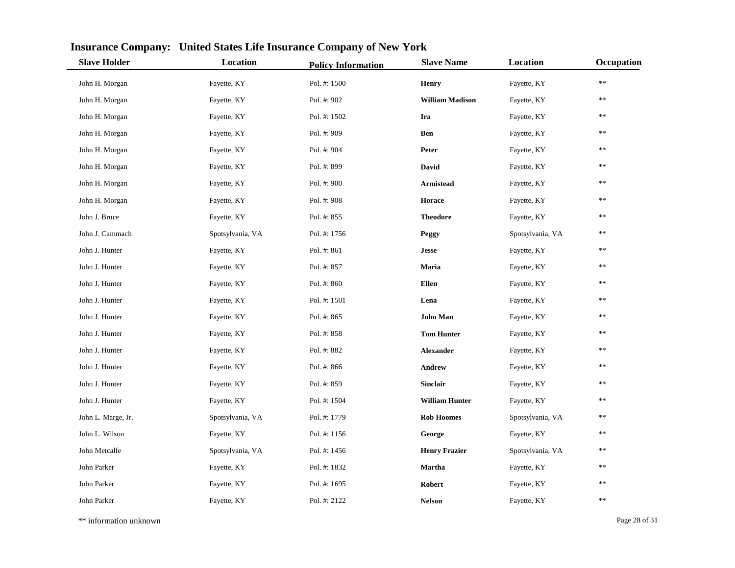| <b>Slave Holder</b> | Location         | <b>Policy Information</b> | <b>Slave Name</b>      | Location         | Occupation |
|---------------------|------------------|---------------------------|------------------------|------------------|------------|
| John H. Morgan      | Fayette, KY      | Pol. #: 1500              | Henry                  | Fayette, KY      | **         |
| John H. Morgan      | Fayette, KY      | Pol. #: 902               | <b>William Madison</b> | Fayette, KY      | **         |
| John H. Morgan      | Fayette, KY      | Pol. #: 1502              | Ira                    | Fayette, KY      | **         |
| John H. Morgan      | Fayette, KY      | Pol. #: 909               | <b>Ben</b>             | Fayette, KY      | **         |
| John H. Morgan      | Fayette, KY      | Pol. #: 904               | Peter                  | Fayette, KY      | **         |
| John H. Morgan      | Fayette, KY      | Pol. #: 899               | David                  | Fayette, KY      | **         |
| John H. Morgan      | Fayette, KY      | Pol. #: 900               | <b>Armistead</b>       | Fayette, KY      | **         |
| John H. Morgan      | Fayette, KY      | Pol. #: 908               | Horace                 | Fayette, KY      | **         |
| John J. Bruce       | Fayette, KY      | Pol. #: 855               | <b>Theodore</b>        | Fayette, KY      | **         |
| John J. Cammach     | Spotsylvania, VA | Pol. #: 1756              | Peggy                  | Spotsylvania, VA | **         |
| John J. Hunter      | Fayette, KY      | Pol. #: 861               | <b>Jesse</b>           | Fayette, KY      | **         |
| John J. Hunter      | Fayette, KY      | Pol. #: 857               | Maria                  | Fayette, KY      | **         |
| John J. Hunter      | Fayette, KY      | Pol. #: 860               | Ellen                  | Fayette, KY      | **         |
| John J. Hunter      | Fayette, KY      | Pol. #: 1501              | Lena                   | Fayette, KY      | **         |
| John J. Hunter      | Fayette, KY      | Pol. #: 865               | <b>John Man</b>        | Fayette, KY      | **         |
| John J. Hunter      | Fayette, KY      | Pol. #: 858               | <b>Tom Hunter</b>      | Fayette, KY      | **         |
| John J. Hunter      | Fayette, KY      | Pol. #: 882               | <b>Alexander</b>       | Fayette, KY      | **         |
| John J. Hunter      | Fayette, KY      | Pol. #: 866               | Andrew                 | Fayette, KY      | **         |
| John J. Hunter      | Fayette, KY      | Pol. #: 859               | <b>Sinclair</b>        | Fayette, KY      | **         |
| John J. Hunter      | Fayette, KY      | Pol. #: 1504              | <b>William Hunter</b>  | Fayette, KY      | **         |
| John L. Marge, Jr.  | Spotsylvania, VA | Pol. #: 1779              | <b>Rob Hoomes</b>      | Spotsylvania, VA | **         |
| John L. Wilson      | Fayette, KY      | Pol. #: 1156              | George                 | Fayette, KY      | **         |
| John Metcalfe       | Spotsylvania, VA | Pol. #: 1456              | <b>Henry Frazier</b>   | Spotsylvania, VA | **         |
| John Parker         | Fayette, KY      | Pol. #: 1832              | <b>Martha</b>          | Fayette, KY      | **         |
| John Parker         | Fayette, KY      | Pol. #: 1695              | Robert                 | Fayette, KY      | **         |
| John Parker         | Fayette, KY      | Pol. #: 2122              | <b>Nelson</b>          | Fayette, KY      | **         |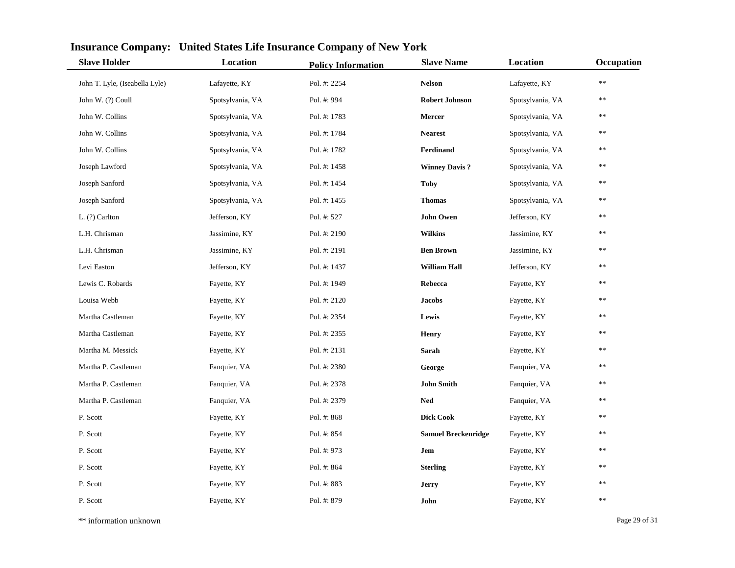| <b>Slave Holder</b>            | Location         | <b>Policy Information</b> | <b>Slave Name</b>          | <b>Location</b>  | Occupation |
|--------------------------------|------------------|---------------------------|----------------------------|------------------|------------|
| John T. Lyle, (Iseabella Lyle) | Lafayette, KY    | Pol. #: 2254              | <b>Nelson</b>              | Lafayette, KY    | **         |
| John W. (?) Coull              | Spotsylvania, VA | Pol. #: 994               | <b>Robert Johnson</b>      | Spotsylvania, VA | **         |
| John W. Collins                | Spotsylvania, VA | Pol. #: 1783              | Mercer                     | Spotsylvania, VA | $\ast\ast$ |
| John W. Collins                | Spotsylvania, VA | Pol. #: 1784              | <b>Nearest</b>             | Spotsylvania, VA | $\ast$     |
| John W. Collins                | Spotsylvania, VA | Pol. #: 1782              | Ferdinand                  | Spotsylvania, VA | $\ast$     |
| Joseph Lawford                 | Spotsylvania, VA | Pol. #: 1458              | <b>Winney Davis?</b>       | Spotsylvania, VA | **         |
| Joseph Sanford                 | Spotsylvania, VA | Pol. #: 1454              | <b>Toby</b>                | Spotsylvania, VA | **         |
| Joseph Sanford                 | Spotsylvania, VA | Pol. #: 1455              | <b>Thomas</b>              | Spotsylvania, VA | **         |
| L. (?) Carlton                 | Jefferson, KY    | Pol. #: 527               | <b>John Owen</b>           | Jefferson, KY    | $\ast$     |
| L.H. Chrisman                  | Jassimine, KY    | Pol. #: 2190              | <b>Wilkins</b>             | Jassimine, KY    | $\ast\ast$ |
| L.H. Chrisman                  | Jassimine, KY    | Pol. #: 2191              | <b>Ben Brown</b>           | Jassimine, KY    | $\ast$     |
| Levi Easton                    | Jefferson, KY    | Pol. #: 1437              | <b>William Hall</b>        | Jefferson, KY    | $\ast$     |
| Lewis C. Robards               | Fayette, KY      | Pol. #: 1949              | Rebecca                    | Fayette, KY      | $\ast\ast$ |
| Louisa Webb                    | Fayette, KY      | Pol. #: 2120              | <b>Jacobs</b>              | Fayette, KY      | $\ast$     |
| Martha Castleman               | Fayette, KY      | Pol. #: 2354              | Lewis                      | Fayette, KY      | **         |
| Martha Castleman               | Fayette, KY      | Pol. #: 2355              | <b>Henry</b>               | Fayette, KY      | **         |
| Martha M. Messick              | Fayette, KY      | Pol. #: 2131              | Sarah                      | Fayette, KY      | $\ast$     |
| Martha P. Castleman            | Fanquier, VA     | Pol. #: 2380              | George                     | Fanquier, VA     | $\ast$     |
| Martha P. Castleman            | Fanquier, VA     | Pol. #: 2378              | <b>John Smith</b>          | Fanquier, VA     | $\ast\ast$ |
| Martha P. Castleman            | Fanquier, VA     | Pol. #: 2379              | <b>Ned</b>                 | Fanquier, VA     | $\ast$     |
| P. Scott                       | Fayette, KY      | Pol. #: 868               | <b>Dick Cook</b>           | Fayette, KY      | $\ast$     |
| P. Scott                       | Fayette, KY      | Pol. #: 854               | <b>Samuel Breckenridge</b> | Fayette, KY      | $\ast$     |
| P. Scott                       | Fayette, KY      | Pol. #: 973               | Jem                        | Fayette, KY      | **         |
| P. Scott                       | Fayette, KY      | Pol. #: 864               | <b>Sterling</b>            | Fayette, KY      | **         |
| P. Scott                       | Fayette, KY      | Pol. #: 883               | <b>Jerry</b>               | Fayette, KY      | $\ast$     |
| P. Scott                       | Fayette, KY      | Pol. #: 879               | John                       | Fayette, KY      | **         |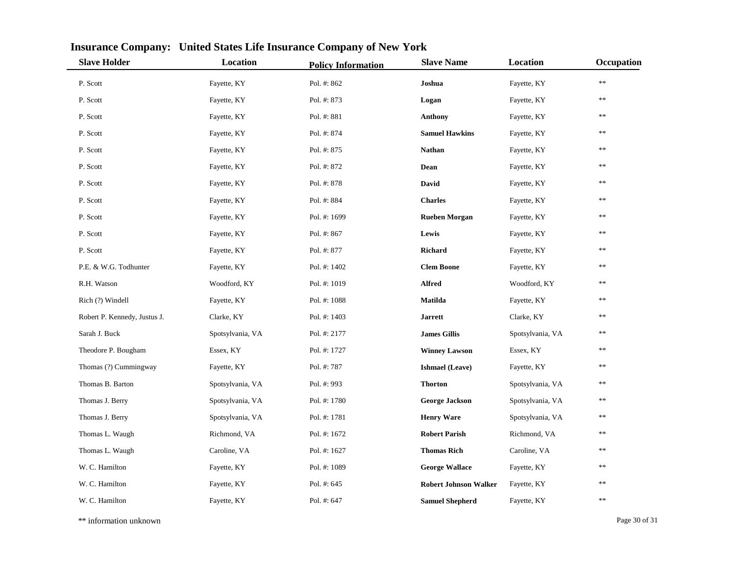| <b>Slave Holder</b>          | Location         | <b>Policy Information</b> | <b>Slave Name</b>            | Location         | Occupation |
|------------------------------|------------------|---------------------------|------------------------------|------------------|------------|
| P. Scott                     | Fayette, KY      | Pol. #: 862               | Joshua                       | Fayette, KY      | **         |
| P. Scott                     | Fayette, KY      | Pol. #: 873               | Logan                        | Fayette, KY      | **         |
| P. Scott                     | Fayette, KY      | Pol. #: 881               | <b>Anthony</b>               | Fayette, KY      | **         |
| P. Scott                     | Fayette, KY      | Pol. #: 874               | <b>Samuel Hawkins</b>        | Fayette, KY      | **         |
| P. Scott                     | Fayette, KY      | Pol. #: 875               | <b>Nathan</b>                | Fayette, KY      | **         |
| P. Scott                     | Fayette, KY      | Pol. #: 872               | Dean                         | Fayette, KY      | **         |
| P. Scott                     | Fayette, KY      | Pol. #: 878               | David                        | Fayette, KY      | **         |
| P. Scott                     | Fayette, KY      | Pol. #: 884               | <b>Charles</b>               | Fayette, KY      | **         |
| P. Scott                     | Fayette, KY      | Pol. #: 1699              | <b>Rueben Morgan</b>         | Fayette, KY      | **         |
| P. Scott                     | Fayette, KY      | Pol. #: 867               | Lewis                        | Fayette, KY      | **         |
| P. Scott                     | Fayette, KY      | Pol. #: 877               | Richard                      | Fayette, KY      | **         |
| P.E. & W.G. Todhunter        | Fayette, KY      | Pol. #: 1402              | <b>Clem Boone</b>            | Fayette, KY      | **         |
| R.H. Watson                  | Woodford, KY     | Pol. #: 1019              | <b>Alfred</b>                | Woodford, KY     | **         |
| Rich (?) Windell             | Fayette, KY      | Pol. #: 1088              | Matilda                      | Fayette, KY      | **         |
| Robert P. Kennedy, Justus J. | Clarke, KY       | Pol. #: 1403              | <b>Jarrett</b>               | Clarke, KY       | **         |
| Sarah J. Buck                | Spotsylvania, VA | Pol. #: 2177              | <b>James Gillis</b>          | Spotsylvania, VA | **         |
| Theodore P. Bougham          | Essex, KY        | Pol. #: 1727              | <b>Winney Lawson</b>         | Essex, KY        | **         |
| Thomas (?) Cummingway        | Fayette, KY      | Pol. #: 787               | <b>Ishmael</b> (Leave)       | Fayette, KY      | **         |
| Thomas B. Barton             | Spotsylvania, VA | Pol. #: 993               | <b>Thorton</b>               | Spotsylvania, VA | **         |
| Thomas J. Berry              | Spotsylvania, VA | Pol. #: 1780              | <b>George Jackson</b>        | Spotsylvania, VA | **         |
| Thomas J. Berry              | Spotsylvania, VA | Pol. #: 1781              | <b>Henry Ware</b>            | Spotsylvania, VA | **         |
| Thomas L. Waugh              | Richmond, VA     | Pol. #: 1672              | <b>Robert Parish</b>         | Richmond, VA     | **         |
| Thomas L. Waugh              | Caroline, VA     | Pol. #: 1627              | <b>Thomas Rich</b>           | Caroline, VA     | **         |
| W. C. Hamilton               | Fayette, KY      | Pol. #: 1089              | <b>George Wallace</b>        | Fayette, KY      | **         |
| W. C. Hamilton               | Fayette, KY      | Pol. #: 645               | <b>Robert Johnson Walker</b> | Fayette, KY      | **         |
| W. C. Hamilton               | Fayette, KY      | Pol. #: $647$             | <b>Samuel Shepherd</b>       | Fayette, KY      | **         |